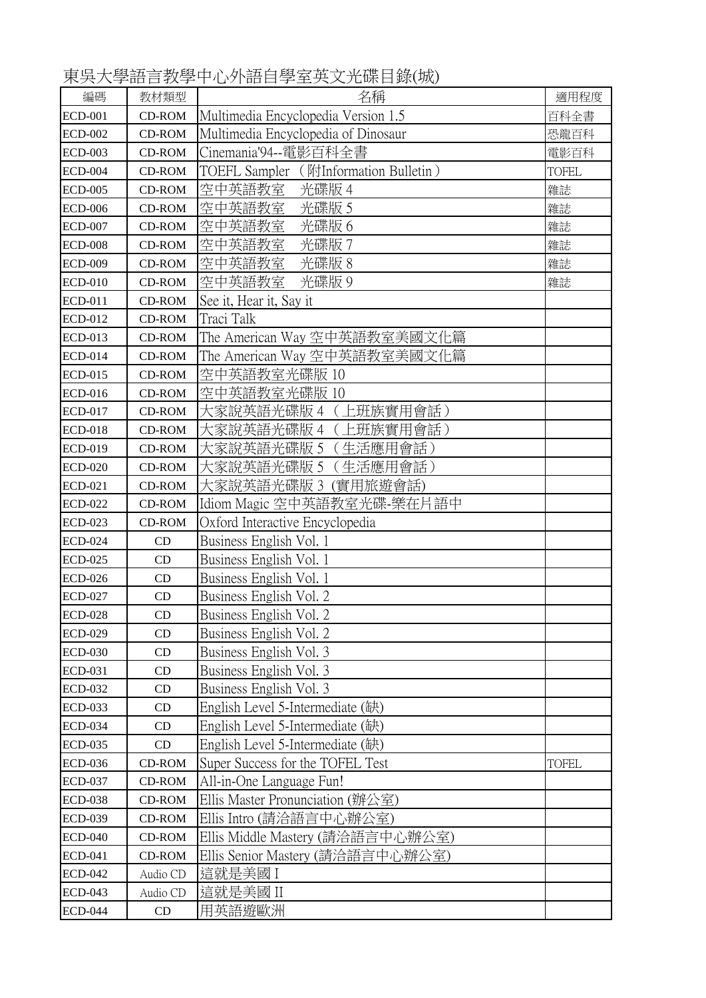東吳大學語言教學中心外語自學室英文光碟目錄(城)

| 編碼             | 教材類型          | 名稱                                    | 適用程度         |
|----------------|---------------|---------------------------------------|--------------|
| <b>ECD-001</b> | <b>CD-ROM</b> | Multimedia Encyclopedia Version 1.5   | 百科全書         |
| <b>ECD-002</b> | <b>CD-ROM</b> | Multimedia Encyclopedia of Dinosaur   | 恐龍百科         |
| <b>ECD-003</b> | <b>CD-ROM</b> | Cinemania'94--電影百科全書                  | 電影百科         |
| <b>ECD-004</b> | <b>CD-ROM</b> | TOEFL Sampler (附Information Bulletin) | <b>TOFEL</b> |
| <b>ECD-005</b> | <b>CD-ROM</b> | 空中英語教室<br>光碟版 4                       | 雜誌           |
| <b>ECD-006</b> | <b>CD-ROM</b> | 空中英語教室<br>光碟版 5                       | 雜誌           |
| <b>ECD-007</b> | <b>CD-ROM</b> | 空中英語教室<br>光碟版 6                       | 雜誌           |
| <b>ECD-008</b> | CD-ROM        | 空中英語教室<br>光碟版 7                       | 雜誌           |
| <b>ECD-009</b> | $CD$ -ROM     | 空中英語教室<br>光碟版 8                       | 雜誌           |
| <b>ECD-010</b> | <b>CD-ROM</b> | 光碟版9<br>空中英語教室                        | 雜誌           |
| <b>ECD-011</b> | $CD$ -ROM     | See it, Hear it, Say it               |              |
| <b>ECD-012</b> | <b>CD-ROM</b> | Traci Talk                            |              |
| <b>ECD-013</b> | <b>CD-ROM</b> | The American Way 空中英語教室美國文化篇          |              |
| <b>ECD-014</b> | <b>CD-ROM</b> | The American Way 空中英語教室美國文化篇          |              |
| <b>ECD-015</b> | <b>CD-ROM</b> | 空中英語教室光碟版 10                          |              |
| <b>ECD-016</b> | CD-ROM        | 空中英語教室光碟版 10                          |              |
| <b>ECD-017</b> | <b>CD-ROM</b> | 大家說英語光碟版 4<br>(上班族實用會話)               |              |
| <b>ECD-018</b> | CD-ROM        | 大家說英語光碟版 4<br>上班族實用會話)                |              |
| <b>ECD-019</b> | CD-ROM        | 大家說英語光碟版 5 (生活應用會話)                   |              |
| <b>ECD-020</b> | CD-ROM        | 大家說英語光碟版 5<br>(生活應用會話)                |              |
| <b>ECD-021</b> | $CD$ -ROM     | 大家說英語光碟版 3 (實用旅遊會話)                   |              |
| <b>ECD-022</b> | <b>CD-ROM</b> | Idiom Magic 空中英語教室光碟-樂在片語中            |              |
| <b>ECD-023</b> | <b>CD-ROM</b> | Oxford Interactive Encyclopedia       |              |
| <b>ECD-024</b> | CD            | Business English Vol. 1               |              |
| <b>ECD-025</b> | CD            | Business English Vol. 1               |              |
| <b>ECD-026</b> | CD            | Business English Vol. 1               |              |
| <b>ECD-027</b> | CD            | Business English Vol. 2               |              |
| <b>ECD-028</b> | CD            | Business English Vol. 2               |              |
| <b>ECD-029</b> | CD            | Business English Vol. 2               |              |
| <b>ECD-030</b> | CD            | Business English Vol. 3               |              |
| <b>ECD-031</b> | CD            | Business English Vol. 3               |              |
| <b>ECD-032</b> | CD            | Business English Vol. 3               |              |
| <b>ECD-033</b> | CD            | English Level 5-Intermediate (缺)      |              |
| <b>ECD-034</b> | CD            | English Level 5-Intermediate (缺)      |              |
| <b>ECD-035</b> | CD            | English Level 5-Intermediate (缺)      |              |
| <b>ECD-036</b> | CD-ROM        | Super Success for the TOFEL Test      | <b>TOFEL</b> |
| <b>ECD-037</b> | CD-ROM        | All-in-One Language Fun!              |              |
| <b>ECD-038</b> | $CD$ -ROM     | Ellis Master Pronunciation (辦公室)      |              |
| ECD-039        | $CD$ -ROM     | Ellis Intro (請洽語言中心辦公室)               |              |
| <b>ECD-040</b> | CD-ROM        | Ellis Middle Mastery (請洽語言中心辦公室)      |              |
| <b>ECD-041</b> | <b>CD-ROM</b> | Ellis Senior Mastery (請洽語言中心辦公室)      |              |
| <b>ECD-042</b> | Audio CD      | 這就是美國 I                               |              |
| <b>ECD-043</b> | Audio CD      | 這就是美國 II                              |              |
| <b>ECD-044</b> | CD            | 用英語遊歐洲                                |              |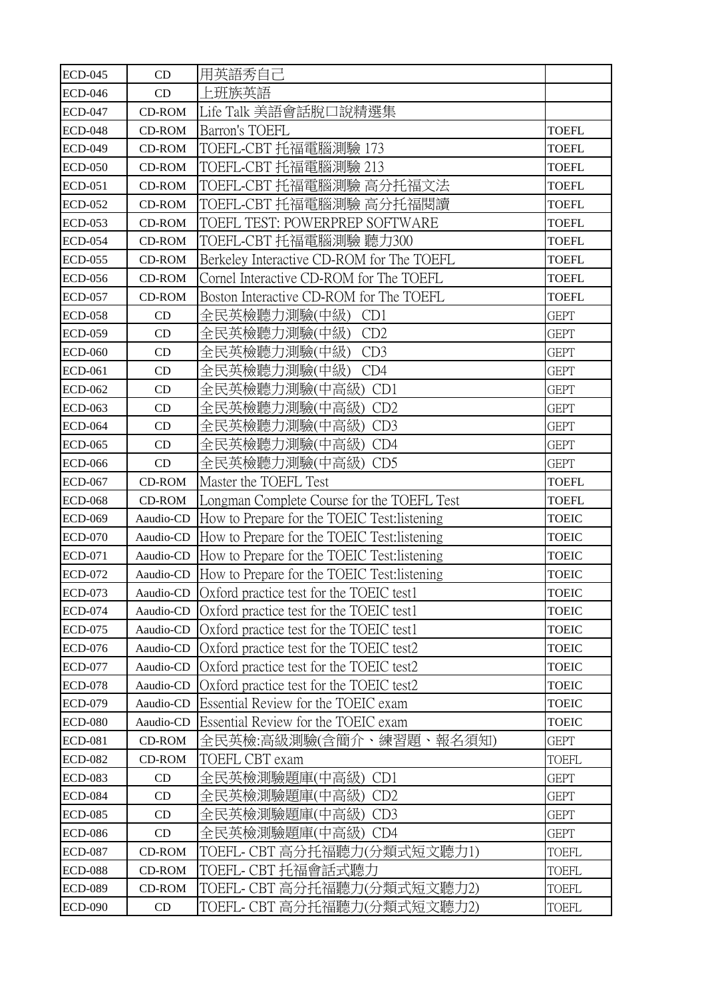| <b>ECD-045</b> | CD            | 用英語秀自己                                             |              |
|----------------|---------------|----------------------------------------------------|--------------|
| <b>ECD-046</b> | CD            | 上班族英語                                              |              |
| <b>ECD-047</b> | $CD$ -ROM     | Life Talk 美語會話脫口說精選集                               |              |
| <b>ECD-048</b> | <b>CD-ROM</b> | Barron's TOEFL                                     | <b>TOEFL</b> |
| <b>ECD-049</b> | <b>CD-ROM</b> | TOEFL-CBT 托福電腦測驗 173                               | <b>TOEFL</b> |
| <b>ECD-050</b> | <b>CD-ROM</b> | TOEFL-CBT 托福電腦測驗 213                               | <b>TOEFL</b> |
| <b>ECD-051</b> | <b>CD-ROM</b> | TOEFL-CBT 托福電腦測驗 高分托福文法                            | <b>TOEFL</b> |
| <b>ECD-052</b> | <b>CD-ROM</b> | TOEFL-CBT 托福電腦測驗 高分托福閱讀                            | <b>TOEFL</b> |
| <b>ECD-053</b> | CD-ROM        | TOEFL TEST: POWERPREP SOFTWARE                     | <b>TOEFL</b> |
| <b>ECD-054</b> | CD-ROM        | TOEFL-CBT 托福電腦測驗 聽力300                             | <b>TOEFL</b> |
| <b>ECD-055</b> | <b>CD-ROM</b> | Berkeley Interactive CD-ROM for The TOEFL          | <b>TOEFL</b> |
| <b>ECD-056</b> | <b>CD-ROM</b> | Cornel Interactive CD-ROM for The TOEFL            | <b>TOEFL</b> |
| <b>ECD-057</b> | <b>CD-ROM</b> | Boston Interactive CD-ROM for The TOEFL            | <b>TOEFL</b> |
| <b>ECD-058</b> | CD            | 全民英檢聽力測驗(中級)<br>C <sub>D</sub> 1                   | <b>GEPT</b>  |
| <b>ECD-059</b> | CD            | 全民英檢聽力測驗(中級)<br>CD2                                | <b>GEPT</b>  |
| <b>ECD-060</b> | CD            | 全民英檢聽力測驗(中級)<br>CD3                                | <b>GEPT</b>  |
| <b>ECD-061</b> | CD            | 全民英檢聽力測驗(中級)<br>CD4                                | <b>GEPT</b>  |
| <b>ECD-062</b> | CD            | 全民英檢聽力測驗(中高級)<br>CD1                               | <b>GEPT</b>  |
| <b>ECD-063</b> | CD            | 全民英檢聽力測驗(中高級)<br>CD2                               | <b>GEPT</b>  |
| <b>ECD-064</b> | CD            | 全民英檢聽力測驗(中高級)<br>CD3                               | <b>GEPT</b>  |
| <b>ECD-065</b> | CD            | 全民英檢聽力測驗(中高級)<br>CD4                               | <b>GEPT</b>  |
| <b>ECD-066</b> | CD            | 全民英檢聽力測驗(中高級) CD5                                  | <b>GEPT</b>  |
| <b>ECD-067</b> | $CD$ -ROM     | Master the TOEFL Test                              | <b>TOEFL</b> |
| <b>ECD-068</b> | CD-ROM        | Longman Complete Course for the TOEFL Test         | <b>TOEFL</b> |
| <b>ECD-069</b> | Aaudio-CD     | How to Prepare for the TOEIC Test: listening       | <b>TOEIC</b> |
| <b>ECD-070</b> | Aaudio-CD     | How to Prepare for the TOEIC Test: listening       | <b>TOEIC</b> |
| <b>ECD-071</b> | Aaudio-CD     | How to Prepare for the TOEIC Test: listening       | <b>TOEIC</b> |
| <b>ECD-072</b> | Aaudio-CD     | How to Prepare for the TOEIC Test: listening       | <b>TOEIC</b> |
| <b>ECD-073</b> |               | Aaudio-CD Oxford practice test for the TOEIC test1 | <b>TOEIC</b> |
| <b>ECD-074</b> | Aaudio-CD     | Oxford practice test for the TOEIC test1           | <b>TOEIC</b> |
| <b>ECD-075</b> | Aaudio-CD     | Oxford practice test for the TOEIC test1           | <b>TOEIC</b> |
| <b>ECD-076</b> | Aaudio-CD     | Oxford practice test for the TOEIC test2           | <b>TOEIC</b> |
| <b>ECD-077</b> | Aaudio-CD     | Oxford practice test for the TOEIC test2           | <b>TOEIC</b> |
| <b>ECD-078</b> | Aaudio-CD     | Oxford practice test for the TOEIC test2           | <b>TOEIC</b> |
| <b>ECD-079</b> | Aaudio-CD     | Essential Review for the TOEIC exam                | <b>TOEIC</b> |
| <b>ECD-080</b> | Aaudio-CD     | Essential Review for the TOEIC exam                | <b>TOEIC</b> |
| <b>ECD-081</b> | <b>CD-ROM</b> | 全民英檢:高級測驗(含簡介、練習題、報名須知)                            | <b>GEPT</b>  |
| <b>ECD-082</b> | <b>CD-ROM</b> | TOEFL CBT exam                                     | <b>TOEFL</b> |
| <b>ECD-083</b> | CD            | 全民英檢測驗題庫(中高級) CD1                                  | <b>GEPT</b>  |
| <b>ECD-084</b> | CD            | 全民英檢測驗題庫(中高級)<br>CD2                               | <b>GEPT</b>  |
| <b>ECD-085</b> | CD            | 全民英檢測驗題庫(中高級)<br>CD3                               | <b>GEPT</b>  |
| <b>ECD-086</b> | CD            | 全民英檢測驗題庫(中高級)<br>CD4                               | <b>GEPT</b>  |
| <b>ECD-087</b> | $CD$ -ROM     | TOEFL- CBT 高分托福聽力(分類式短文聽力1)                        | <b>TOEFL</b> |
| <b>ECD-088</b> | CD-ROM        | TOEFL- CBT 托福會話式聽力                                 | <b>TOEFL</b> |
| <b>ECD-089</b> | <b>CD-ROM</b> | TOEFL- CBT 高分托福聽力(分類式短文聽力2)                        | <b>TOEFL</b> |
| <b>ECD-090</b> | CD            | TOEFL- CBT 高分托福聽力(分類式短文聽力2)                        | <b>TOEFL</b> |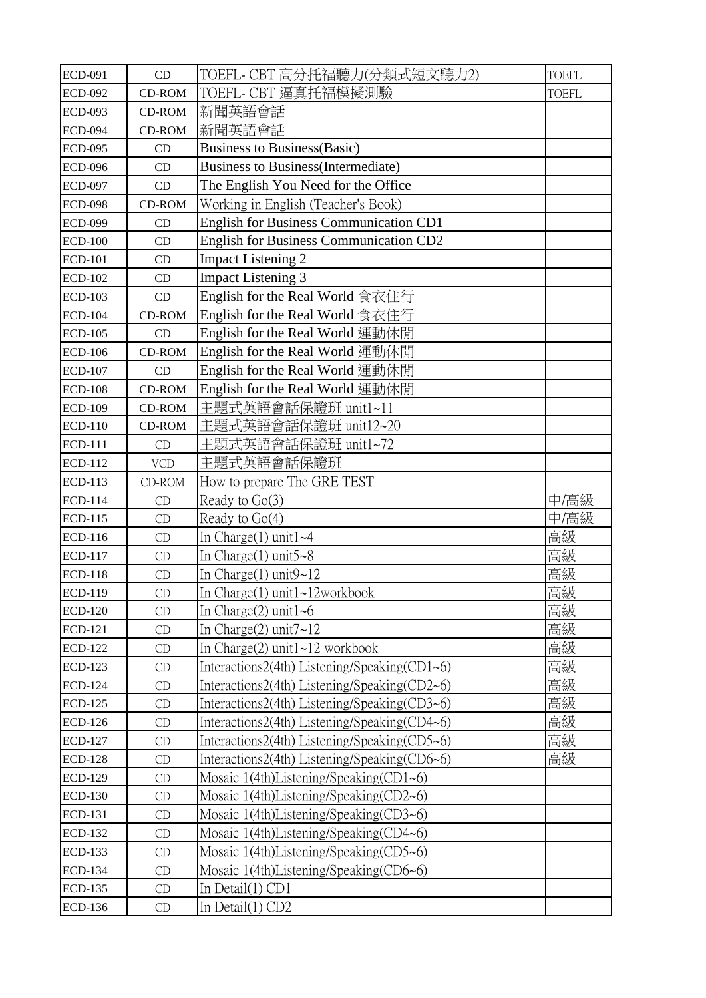| <b>ECD-091</b> | CD            | TOEFL- CBT 高分托福聽力(分類式短文聽力2)                   | <b>TOEFL</b> |
|----------------|---------------|-----------------------------------------------|--------------|
| <b>ECD-092</b> | <b>CD-ROM</b> | TOEFL- CBT 逼真托福模擬測驗                           | <b>TOEFL</b> |
| <b>ECD-093</b> | <b>CD-ROM</b> | 新聞英語會話                                        |              |
| <b>ECD-094</b> | <b>CD-ROM</b> | 新聞英語會話                                        |              |
| <b>ECD-095</b> | CD            | <b>Business to Business(Basic)</b>            |              |
| <b>ECD-096</b> | CD            | <b>Business to Business (Intermediate)</b>    |              |
| <b>ECD-097</b> | CD            | The English You Need for the Office           |              |
| <b>ECD-098</b> | <b>CD-ROM</b> | Working in English (Teacher's Book)           |              |
| <b>ECD-099</b> | CD            | <b>English for Business Communication CD1</b> |              |
| <b>ECD-100</b> | CD            | <b>English for Business Communication CD2</b> |              |
| <b>ECD-101</b> | CD            | <b>Impact Listening 2</b>                     |              |
| <b>ECD-102</b> | CD            | <b>Impact Listening 3</b>                     |              |
| <b>ECD-103</b> | CD            | English for the Real World 食衣住行               |              |
| <b>ECD-104</b> | <b>CD-ROM</b> | English for the Real World 食衣住行               |              |
| <b>ECD-105</b> | CD            | English for the Real World 運動休閒               |              |
| <b>ECD-106</b> | <b>CD-ROM</b> | English for the Real World 運動休閒               |              |
| <b>ECD-107</b> | CD            | English for the Real World 運動休閒               |              |
| <b>ECD-108</b> | $CD$ -ROM     | English for the Real World 運動休閒               |              |
| <b>ECD-109</b> | <b>CD-ROM</b> | 主題式英語會話保證班 unit1~11                           |              |
| <b>ECD-110</b> | <b>CD-ROM</b> | 主題式英語會話保證班 unit12~20                          |              |
| <b>ECD-111</b> | CD            | 主題式英語會話保證班 unit1~72                           |              |
| <b>ECD-112</b> | <b>VCD</b>    | 主題式英語會話保證班                                    |              |
| <b>ECD-113</b> | $CD$ - $ROM$  | How to prepare The GRE TEST                   |              |
| <b>ECD-114</b> | CD            | Ready to $Go(3)$                              | 中/高級         |
| <b>ECD-115</b> | CD            | Ready to Go(4)                                | 中/高級         |
| ECD-116        | CD            | In $Change(1)$ unit $1~-4$                    | 高級           |
| <b>ECD-117</b> | CD            | In Charge(1) unit5~8                          | 高級           |
| <b>ECD-118</b> | CD            | In Charge $(1)$ unit $9~12$                   | 高級           |
| <b>ECD-119</b> | CD            | In Charge(1) unit1~12workbook                 | 高級           |
| <b>ECD-120</b> | CD            | In Charge $(2)$ unit $1\neg 6$                | 高級           |
| <b>ECD-121</b> | CD            | In Charge $(2)$ unit $7 \sim 12$              | 高級           |
| <b>ECD-122</b> | CD            | In Charge $(2)$ unit $1 \sim 12$ workbook     | 高級           |
| <b>ECD-123</b> | CD            | Interactions2(4th) Listening/Speaking(CD1~6)  | 高級           |
| <b>ECD-124</b> | CD            | Interactions2(4th) Listening/Speaking(CD2~6)  | 高級           |
| <b>ECD-125</b> | CD            | Interactions2(4th) Listening/Speaking(CD3~6)  | 高級           |
| <b>ECD-126</b> | CD            | Interactions2(4th) Listening/Speaking(CD4~6)  | 高級           |
| <b>ECD-127</b> | CD            | Interactions2(4th) Listening/Speaking(CD5~6)  | 高級           |
| <b>ECD-128</b> | CD            | Interactions2(4th) Listening/Speaking(CD6~6)  | 高級           |
| <b>ECD-129</b> | CD            | Mosaic 1(4th)Listening/Speaking(CD1~6)        |              |
| <b>ECD-130</b> | CD            | Mosaic 1(4th)Listening/Speaking(CD2~6)        |              |
| <b>ECD-131</b> | CD            | Mosaic 1(4th)Listening/Speaking(CD3~6)        |              |
| <b>ECD-132</b> | CD            | Mosaic 1(4th)Listening/Speaking(CD4~6)        |              |
| <b>ECD-133</b> | CD            | Mosaic 1(4th)Listening/Speaking(CD5~6)        |              |
| <b>ECD-134</b> | CD            | Mosaic 1(4th)Listening/Speaking(CD6~6)        |              |
| <b>ECD-135</b> | CD            | In Detail(1) CD1                              |              |
| <b>ECD-136</b> | CD            | In Detail(1) CD2                              |              |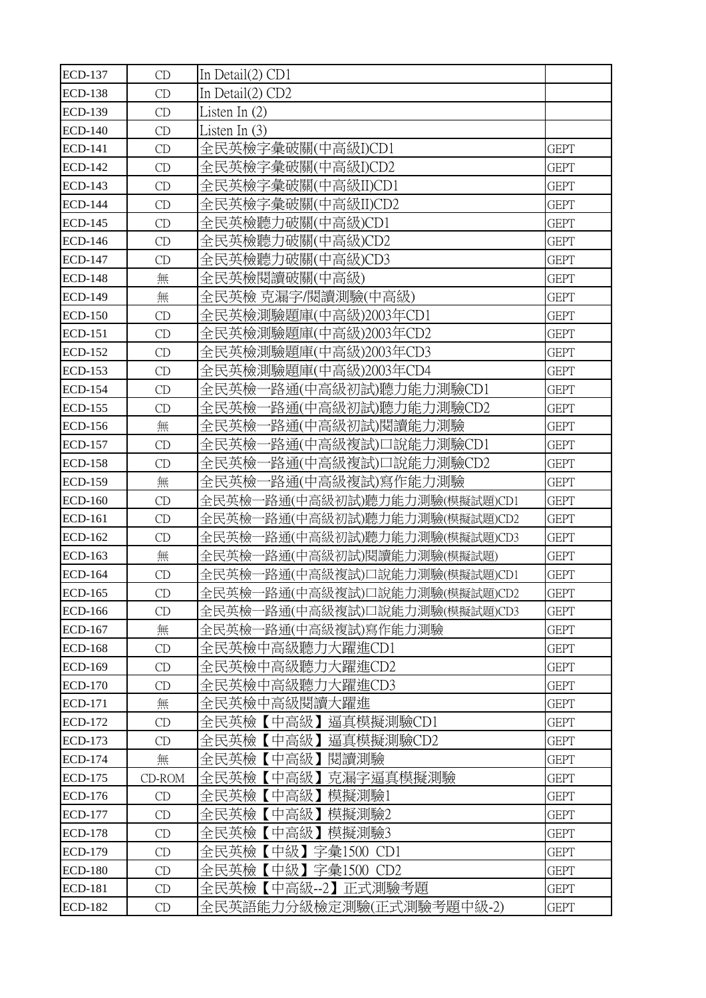| <b>ECD-137</b> | CD     | In Detail(2) CD1                   |             |
|----------------|--------|------------------------------------|-------------|
| <b>ECD-138</b> | CD     | In Detail(2) CD2                   |             |
| <b>ECD-139</b> | CD     | Listen In $(2)$                    |             |
| <b>ECD-140</b> | CD     | Listen In $(3)$                    |             |
| <b>ECD-141</b> | CD     | 全民英檢字彙破關(中高級I)CD1                  | <b>GEPT</b> |
| <b>ECD-142</b> | CD     | 全民英檢字彙破關(中高級I)CD2                  | <b>GEPT</b> |
| <b>ECD-143</b> | CD     | 全民英檢字彙破關(中高級II)CD1                 | <b>GEPT</b> |
| <b>ECD-144</b> | CD     | 全民英檢字彙破關(中高級II)CD2                 | <b>GEPT</b> |
| <b>ECD-145</b> | CD     | 全民英檢聽力破關(中高級)CD1                   | <b>GEPT</b> |
| <b>ECD-146</b> | CD     | 全民英檢聽力破關(中高級)CD2                   | <b>GEPT</b> |
| <b>ECD-147</b> | CD     | 全民英檢聽力破關(中高級)CD3                   | <b>GEPT</b> |
| <b>ECD-148</b> | 無      | 全民英檢閱讀破關(中高級)                      | <b>GEPT</b> |
| <b>ECD-149</b> | 無      | 全民英檢 克漏字/閱讀測驗(中高級)                 | <b>GEPT</b> |
| <b>ECD-150</b> | CD     | 全民英檢測驗題庫(中高級)2003年CD1              | <b>GEPT</b> |
| <b>ECD-151</b> | CD     | 全民英檢測驗題庫(中高級)2003年CD2              | <b>GEPT</b> |
| <b>ECD-152</b> | CD     | 全民英檢測驗題庫(中高級)2003年CD3              | <b>GEPT</b> |
| <b>ECD-153</b> | CD     | 全民英檢測驗題庫(中高級)2003年CD4              | <b>GEPT</b> |
| <b>ECD-154</b> | CD     | 全民英檢<br>一路通(中高級初試)聽力能力測驗CD1        | <b>GEPT</b> |
| <b>ECD-155</b> | CD     | 全民英檢<br>·路通(中高級初試)聽力能力測驗CD2        | <b>GEPT</b> |
| <b>ECD-156</b> | 無      | ·路通(中高級初試)閱讀能力測驗<br>全民英檢           | <b>GEPT</b> |
| <b>ECD-157</b> | CD     | 全民英檢<br>·路通(中高級複試)口說能力測驗CD1        | <b>GEPT</b> |
| <b>ECD-158</b> | CD     | 全民英檢<br>·路通(中高級複試)口說能力測驗CD2        | <b>GEPT</b> |
| <b>ECD-159</b> | 無      | 全民英檢<br>·路通(中高級複試)寫作能力測驗           | <b>GEPT</b> |
| <b>ECD-160</b> | CD     | 全民英檢<br>·路通(中高級初試)聽力能力測驗(模擬試題)CD1  | <b>GEPT</b> |
| <b>ECD-161</b> | CD     | 全民英檢<br>·路通(中高級初試)聽力能力測驗(模擬試題)CD2  | <b>GEPT</b> |
| ECD-162        | CD     | 全民英檢<br>·路通(中高級初試)聽力能力測驗(模擬試題)CD3  | <b>GEPT</b> |
| ECD-163        | 無      | 全民英檢<br>·路通(中高級初試)閱讀能力測驗(模擬試題)     | <b>GEPT</b> |
| <b>ECD-164</b> | CD     | 全民英檢<br>·路通(中高級複試)口說能力測驗(模擬試題)CD1  | <b>GEPT</b> |
| ECD-165        | CD     | 全民英檢·<br>─路通(中高級複試)口說能力測驗(模擬試題)CD2 | <b>GEPT</b> |
| <b>ECD-166</b> | CD     | -路通(中高級複試)口說能力測驗(模擬試題)CD3<br>全民英檢— | <b>GEPT</b> |
| <b>ECD-167</b> | 無      | 全民英檢-<br>·路通(中高級複試)寫作能力測驗          | <b>GEPT</b> |
| <b>ECD-168</b> | CD     | 全民英檢中高級聽力大躍進CD1                    | <b>GEPT</b> |
| <b>ECD-169</b> | CD     | 全民英檢中高級聽力大躍進CD2                    | <b>GEPT</b> |
| <b>ECD-170</b> | CD     | 全民英檢中高級聽力大躍進CD3                    | <b>GEPT</b> |
| <b>ECD-171</b> | 無      | 全民英檢中高級閱讀大躍進                       | <b>GEPT</b> |
| <b>ECD-172</b> | CD     | 全民英檢【中高級】逼真模擬測驗CD1                 | <b>GEPT</b> |
| <b>ECD-173</b> | CD     | 全民英檢【中高級】<br>逼真模擬測驗CD2             | <b>GEPT</b> |
| <b>ECD-174</b> | 無      | 閱讀測驗<br>全民英檢【中高級】                  | <b>GEPT</b> |
| <b>ECD-175</b> | CD-ROM | 克漏字逼真模擬測驗<br>全民英檢<br>【中高級】         | <b>GEPT</b> |
| <b>ECD-176</b> | CD     | 【中高級】<br>全民英檢<br>模擬測驗1             | <b>GEPT</b> |
| <b>ECD-177</b> | CD     | 【中高級】<br>全民英檢<br>模擬測驗2             | <b>GEPT</b> |
| <b>ECD-178</b> | CD     | 全民英檢<br>模擬測驗3<br>【中高級】             | <b>GEPT</b> |
| <b>ECD-179</b> | CD     | 全民英檢【中級】字彙1500 CD1                 | <b>GEPT</b> |
| <b>ECD-180</b> | CD     | 全民英檢<br>【中級】字彙1500 CD2             | <b>GEPT</b> |
| <b>ECD-181</b> | CD     | 全民英檢【中高級--2】正式測驗考題                 | <b>GEPT</b> |
| <b>ECD-182</b> | CD     | 全民英語能力分級檢定測驗(正式測驗考題中級-2)           | <b>GEPT</b> |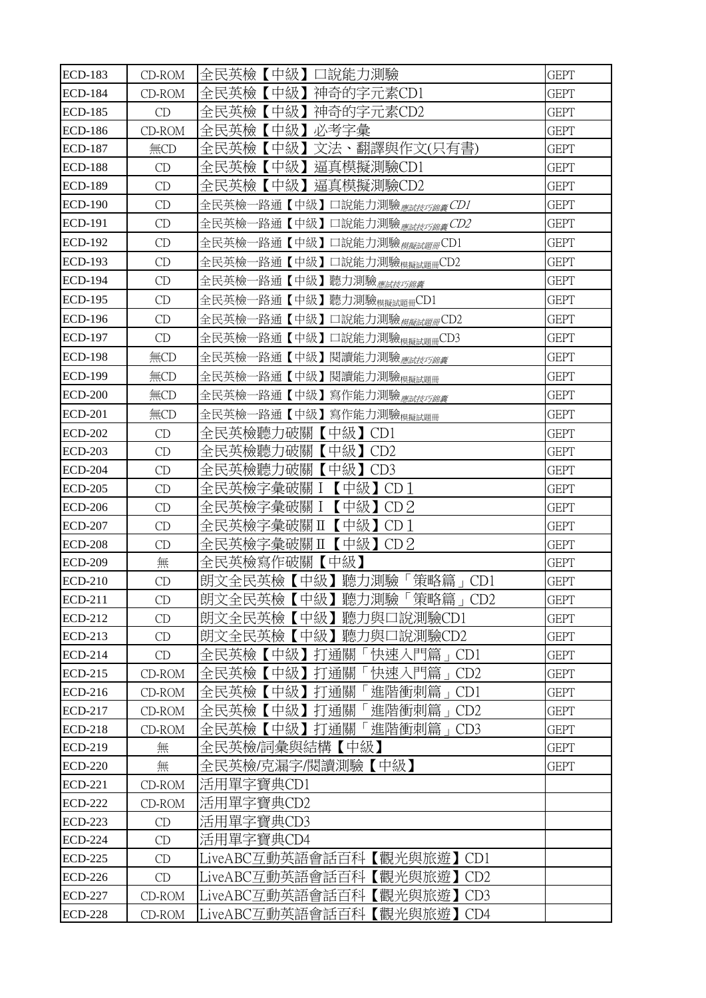| <b>ECD-183</b> | CD-ROM | 全民英檢【中級】口說能力測驗                               | <b>GEPT</b> |
|----------------|--------|----------------------------------------------|-------------|
| <b>ECD-184</b> | CD-ROM | 【中級】神奇的字元素CD1<br>全民英檢                        | <b>GEPT</b> |
| <b>ECD-185</b> | CD     | 【中級】神奇的字元素CD2<br>全民英檢                        | <b>GEPT</b> |
| <b>ECD-186</b> | CD-ROM | 【中級】必考字彙<br>全民英檢                             | <b>GEPT</b> |
| <b>ECD-187</b> | 無CD    | 【中級】文法、翻譯與作文(只有書)<br>全民英檢                    | <b>GEPT</b> |
| <b>ECD-188</b> | CD     | 全民英檢【中級】<br>逼真模擬測驗CD1                        | <b>GEPT</b> |
| <b>ECD-189</b> | CD     | 全民英檢【中級】逼真模擬測驗CD2                            | <b>GEPT</b> |
| <b>ECD-190</b> | CD     | 一路通【中級】口說能力測驗 <sub>應試技巧錦囊</sub> CDI<br>全民英檢  | <b>GEPT</b> |
| <b>ECD-191</b> | CD     | -路通【中級】口說能力測驗 <sub>應試技巧錦囊</sub> CD2<br>全民英檢- | <b>GEPT</b> |
| <b>ECD-192</b> | CD     | ・路通【中級】口說能力測驗 <sub>模擬試題冊</sub> CD1<br>全民英檢-  | <b>GEPT</b> |
| <b>ECD-193</b> | CD     | 全民英檢一路通【中級】口說能力測驗 <sub>模擬試題冊</sub> CD2       | <b>GEPT</b> |
| <b>ECD-194</b> | CD     | -路通【中級】聽力測驗 <sub>應試技巧錦囊</sub><br>全民英檢        | <b>GEPT</b> |
| <b>ECD-195</b> | CD     | └路通【中級】聽力測驗 <sub>模擬試題冊</sub> CD1<br>全民英檢     | <b>GEPT</b> |
| <b>ECD-196</b> | CD     | 全民英檢一路通【中級】口說能力測驗 <sub>模擬試題冊</sub> CD2       | <b>GEPT</b> |
| <b>ECD-197</b> | CD     | ・路通【中級】口說能力測驗 <sub>模擬試題冊</sub> CD3<br>全民英檢   | <b>GEPT</b> |
| <b>ECD-198</b> | 無CD    | 全民英檢一路通【中級】閱讀能力測驗                            | <b>GEPT</b> |
| <b>ECD-199</b> | 無CD    | 全民英檢<br>一路通【中級】閱讀能力測驗 <sub>模擬試題冊</sub>       | <b>GEPT</b> |
| <b>ECD-200</b> | 無CD    | 全民英檢一路通【中級】寫作能力測驗 <sub>應試技巧錦囊</sub>          | <b>GEPT</b> |
| <b>ECD-201</b> | 無CD    | 一路通【中級】寫作能力測驗 <sub>模擬試題冊</sub><br>全民英檢       | <b>GEPT</b> |
| <b>ECD-202</b> | CD     | 全民英檢聽力破關【中級】CD1                              | <b>GEPT</b> |
| <b>ECD-203</b> | CD     | 全民英檢聽力破關<br>【中級】<br>CD <sub>2</sub>          | <b>GEPT</b> |
| <b>ECD-204</b> | CD     | 全民英檢聽力破關<br>【中級】<br>CD3                      | <b>GEPT</b> |
| <b>ECD-205</b> | CD     | 全民英檢字彙破關 I<br>【中級】<br>CD 1                   | <b>GEPT</b> |
| <b>ECD-206</b> | CD     | 全民英檢字彙破關 I<br>【中級】<br>CD2                    | <b>GEPT</b> |
| <b>ECD-207</b> | CD     | 【中級】CD1<br>全民英檢字彙破關Ⅱ                         | <b>GEPT</b> |
| <b>ECD-208</b> | CD     | 全民英檢字彙破關Ⅱ<br>【中級】 $CD2$                      | <b>GEPT</b> |
| <b>ECD-209</b> | 無      | 全民英檢寫作破關【中級】                                 | <b>GEPT</b> |
| <b>ECD-210</b> | CD     | 朗文全民英檢【中級】聽力測驗「策略篇」<br>CD1                   | <b>GEPT</b> |
| <b>ECD-211</b> | CD     | 朗文全民英檢【中級】聽力測驗「策略篇」CD2                       | <b>GEPT</b> |
| <b>ECD-212</b> | CD     | 朗文全民英檢【中級】聽力與口說測驗CD1                         | <b>GEPT</b> |
| <b>ECD-213</b> | CD     | 朗文全民英檢【中級】聽力與口說測驗CD2                         | <b>GEPT</b> |
| <b>ECD-214</b> | CD     | 快速入門篇<br>全民英檢【中級】打通關<br>CD1                  | <b>GEPT</b> |
| <b>ECD-215</b> | CD-ROM | 快速入門篇<br>全民英檢【中級】打通關<br>CD2                  | <b>GEPT</b> |
| <b>ECD-216</b> | CD-ROM | 全民英檢【中級】<br>CD1<br>打通關<br>進階衝刺篇              | <b>GEPT</b> |
| <b>ECD-217</b> | CD-ROM | 全民英檢【中級】打通關<br>進階衝刺篇<br>CD2                  | <b>GEPT</b> |
| <b>ECD-218</b> | CD-ROM | 全民英檢【中級】打通關「進階衝刺篇<br>CD3                     | <b>GEPT</b> |
| <b>ECD-219</b> | 無      | 全民英檢/詞彙與結構【中級】                               | <b>GEPT</b> |
| <b>ECD-220</b> | 無      | 全民英檢/克漏字/閱讀測驗【中級】                            | <b>GEPT</b> |
| <b>ECD-221</b> | CD-ROM | 活用單字寶典CD1                                    |             |
| <b>ECD-222</b> | CD-ROM | 活用單字寶典CD2                                    |             |
| <b>ECD-223</b> | CD     | 活用單字寶典CD3                                    |             |
| <b>ECD-224</b> | CD     | 活用單字寶典CD4                                    |             |
| <b>ECD-225</b> | CD     | LiveABC互動英語會話百科【觀光與旅遊】<br>CD1                |             |
| <b>ECD-226</b> | CD     | LiveABC互動英語會話百科<br>【觀光與旅遊】<br>CD2            |             |
| <b>ECD-227</b> | CD-ROM | LiveABC互動英語會話百科<br>【觀光與旅遊】<br>CD3            |             |
| <b>ECD-228</b> | CD-ROM | LiveABC互動英語會話百科<br>【觀光與旅遊】<br>CD4            |             |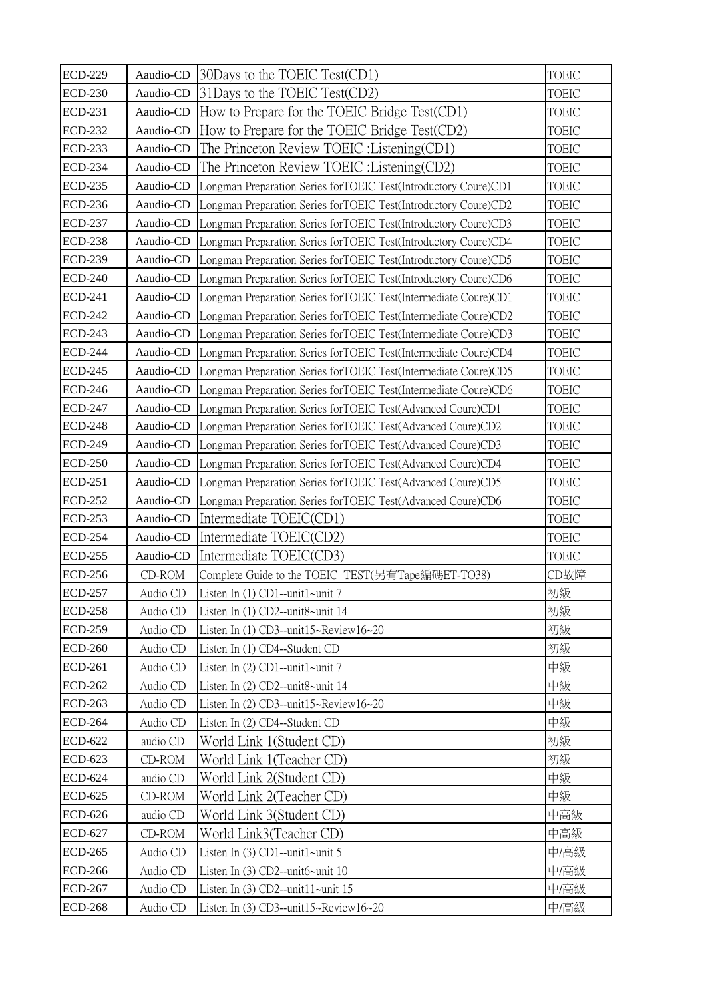| <b>ECD-229</b> | Aaudio-CD | 30Days to the TOEIC Test(CD1)                                   | <b>TOEIC</b> |
|----------------|-----------|-----------------------------------------------------------------|--------------|
| <b>ECD-230</b> | Aaudio-CD | 31 Days to the TOEIC Test (CD2)                                 | <b>TOEIC</b> |
| <b>ECD-231</b> | Aaudio-CD | How to Prepare for the TOEIC Bridge Test(CD1)                   | <b>TOEIC</b> |
| <b>ECD-232</b> | Aaudio-CD | How to Prepare for the TOEIC Bridge Test(CD2)                   | <b>TOEIC</b> |
| <b>ECD-233</b> | Aaudio-CD | The Princeton Review TOEIC : Listening (CD1)                    | <b>TOEIC</b> |
| <b>ECD-234</b> | Aaudio-CD | The Princeton Review TOEIC : Listening (CD2)                    | <b>TOEIC</b> |
| <b>ECD-235</b> | Aaudio-CD | Longman Preparation Series forTOEIC Test(Introductory Coure)CD1 | <b>TOEIC</b> |
| <b>ECD-236</b> | Aaudio-CD | Longman Preparation Series forTOEIC Test(Introductory Coure)CD2 | <b>TOEIC</b> |
| <b>ECD-237</b> | Aaudio-CD | Longman Preparation Series forTOEIC Test(Introductory Coure)CD3 | <b>TOEIC</b> |
| <b>ECD-238</b> | Aaudio-CD | Longman Preparation Series forTOEIC Test(Introductory Coure)CD4 | <b>TOEIC</b> |
| <b>ECD-239</b> | Aaudio-CD | Longman Preparation Series forTOEIC Test(Introductory Coure)CD5 | <b>TOEIC</b> |
| <b>ECD-240</b> | Aaudio-CD | Longman Preparation Series forTOEIC Test(Introductory Coure)CD6 | <b>TOEIC</b> |
| <b>ECD-241</b> | Aaudio-CD | Longman Preparation Series forTOEIC Test(Intermediate Coure)CD1 | <b>TOEIC</b> |
| <b>ECD-242</b> | Aaudio-CD | Longman Preparation Series forTOEIC Test(Intermediate Coure)CD2 | <b>TOEIC</b> |
| <b>ECD-243</b> | Aaudio-CD | Longman Preparation Series forTOEIC Test(Intermediate Coure)CD3 | <b>TOEIC</b> |
| <b>ECD-244</b> | Aaudio-CD | Longman Preparation Series forTOEIC Test(Intermediate Coure)CD4 | <b>TOEIC</b> |
| <b>ECD-245</b> | Aaudio-CD | Longman Preparation Series forTOEIC Test(Intermediate Coure)CD5 | <b>TOEIC</b> |
| <b>ECD-246</b> | Aaudio-CD | Longman Preparation Series forTOEIC Test(Intermediate Coure)CD6 | <b>TOEIC</b> |
| <b>ECD-247</b> | Aaudio-CD | Longman Preparation Series forTOEIC Test(Advanced Coure)CD1     | <b>TOEIC</b> |
| <b>ECD-248</b> | Aaudio-CD | Longman Preparation Series forTOEIC Test(Advanced Coure)CD2     | <b>TOEIC</b> |
| <b>ECD-249</b> | Aaudio-CD | Longman Preparation Series forTOEIC Test(Advanced Coure)CD3     | <b>TOEIC</b> |
| <b>ECD-250</b> | Aaudio-CD | Longman Preparation Series forTOEIC Test(Advanced Coure)CD4     | <b>TOEIC</b> |
| <b>ECD-251</b> | Aaudio-CD | Longman Preparation Series forTOEIC Test(Advanced Coure)CD5     | <b>TOEIC</b> |
| <b>ECD-252</b> | Aaudio-CD | Longman Preparation Series forTOEIC Test(Advanced Coure)CD6     | <b>TOEIC</b> |
| <b>ECD-253</b> | Aaudio-CD | Intermediate TOEIC(CD1)                                         | <b>TOEIC</b> |
| <b>ECD-254</b> | Aaudio-CD | Intermediate TOEIC(CD2)                                         | <b>TOEIC</b> |
| <b>ECD-255</b> | Aaudio-CD | Intermediate TOEIC(CD3)                                         | <b>TOEIC</b> |
| <b>ECD-256</b> | CD-ROM    | Complete Guide to the TOEIC TEST(另有Tape編碼ET-TO38)               | CD故障         |
| <b>ECD-257</b> | Audio CD  | Listen In (1) CD1--unit1~unit 7                                 | 初級           |
| <b>ECD-258</b> | Audio CD  | Listen In (1) CD2--unit8~unit 14                                | 初級           |
| <b>ECD-259</b> | Audio CD  | Listen In (1) CD3--unit15~Review16~20                           | 初級           |
| <b>ECD-260</b> | Audio CD  | Listen In (1) CD4--Student CD                                   | 初級           |
| <b>ECD-261</b> | Audio CD  | Listen In (2) CD1--unit1~unit 7                                 | 中級           |
| <b>ECD-262</b> | Audio CD  | Listen In (2) CD2--unit8~unit 14                                | 中級           |
| <b>ECD-263</b> | Audio CD  | Listen In (2) CD3--unit15~Review16~20                           | 中級           |
| <b>ECD-264</b> | Audio CD  | Listen In (2) CD4--Student CD                                   | 中級           |
| <b>ECD-622</b> | audio CD  | World Link 1(Student CD)                                        | 初級           |
| ECD-623        | CD-ROM    | World Link 1 (Teacher CD)                                       | 初級           |
| ECD-624        | audio CD  | World Link 2(Student CD)                                        | 中級           |
| ECD-625        | CD-ROM    | World Link 2(Teacher CD)                                        | 中級           |
| ECD-626        | audio CD  | World Link 3(Student CD)                                        | 中高級          |
| <b>ECD-627</b> | CD-ROM    | World Link3(Teacher CD)                                         | 中高級          |
| <b>ECD-265</b> | Audio CD  | Listen In $(3)$ CD1--unit1~unit 5                               | 中/高級         |
| <b>ECD-266</b> | Audio CD  | Listen In (3) CD2--unit6~unit 10                                | 中/高級         |
| <b>ECD-267</b> | Audio CD  | Listen In $(3)$ CD2--unit11~unit 15                             | 中/高級         |
| <b>ECD-268</b> | Audio CD  | Listen In (3) CD3--unit15~Review16~20                           | 中/高級         |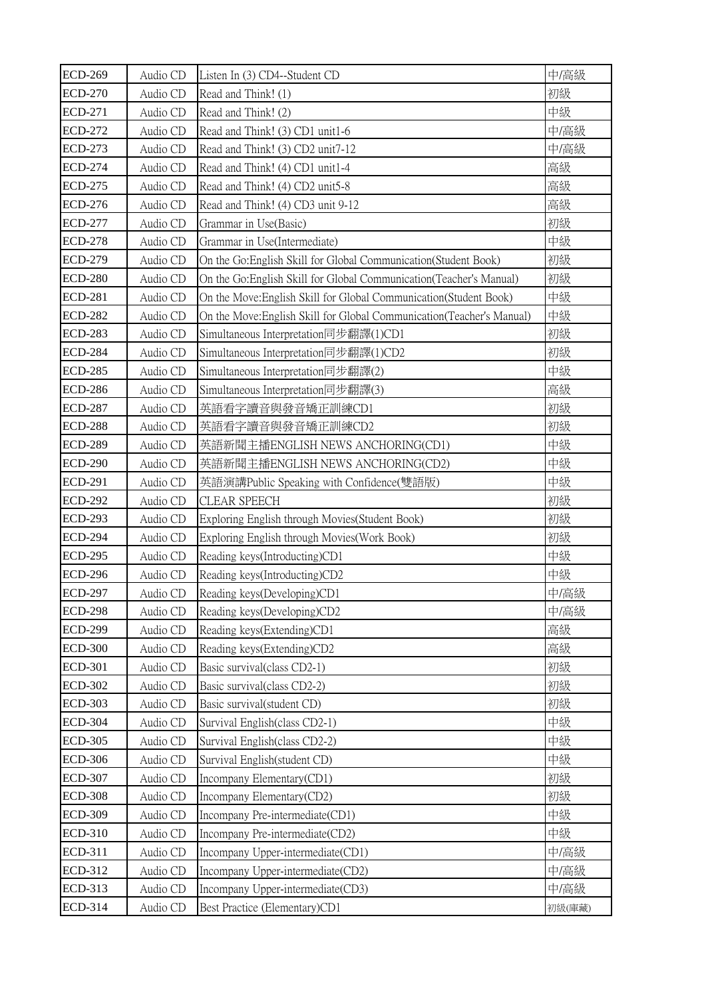| <b>ECD-269</b> | Audio CD | Listen In (3) CD4--Student CD                                          | 中/高級   |
|----------------|----------|------------------------------------------------------------------------|--------|
| <b>ECD-270</b> | Audio CD | Read and Think! (1)                                                    | 初級     |
| <b>ECD-271</b> | Audio CD | Read and Think! (2)                                                    | 中級     |
| <b>ECD-272</b> | Audio CD | Read and Think! (3) CD1 unit1-6                                        | 中/高級   |
| <b>ECD-273</b> | Audio CD | Read and Think! (3) CD2 unit7-12                                       | 中/高級   |
| <b>ECD-274</b> | Audio CD | Read and Think! (4) CD1 unit1-4                                        | 高級     |
| <b>ECD-275</b> | Audio CD | Read and Think! (4) CD2 unit5-8                                        | 高級     |
| <b>ECD-276</b> | Audio CD | Read and Think! (4) CD3 unit 9-12                                      | 高級     |
| <b>ECD-277</b> | Audio CD | Grammar in Use(Basic)                                                  | 初級     |
| <b>ECD-278</b> | Audio CD | Grammar in Use(Intermediate)                                           | 中級     |
| <b>ECD-279</b> | Audio CD | On the Go:English Skill for Global Communication(Student Book)         | 初級     |
| <b>ECD-280</b> | Audio CD | On the Go: English Skill for Global Communication (Teacher's Manual)   | 初級     |
| <b>ECD-281</b> | Audio CD | On the Move: English Skill for Global Communication (Student Book)     | 中級     |
| <b>ECD-282</b> | Audio CD | On the Move: English Skill for Global Communication (Teacher's Manual) | 中級     |
| <b>ECD-283</b> | Audio CD | Simultaneous Interpretation同步翻譯(1)CD1                                  | 初級     |
| <b>ECD-284</b> | Audio CD | Simultaneous Interpretation同步翻譯(1)CD2                                  | 初級     |
| <b>ECD-285</b> | Audio CD | Simultaneous Interpretation同步翻譯(2)                                     | 中級     |
| <b>ECD-286</b> | Audio CD | Simultaneous Interpretation同步翻譯(3)                                     | 高級     |
| <b>ECD-287</b> | Audio CD | 英語看字讀音與發音矯正訓練CD1                                                       | 初級     |
| <b>ECD-288</b> | Audio CD | 英語看字讀音與發音矯正訓練CD2                                                       | 初級     |
| <b>ECD-289</b> | Audio CD | 英語新聞主播ENGLISH NEWS ANCHORING(CD1)                                      | 中級     |
| <b>ECD-290</b> | Audio CD | 英語新聞主播ENGLISH NEWS ANCHORING(CD2)                                      | 中級     |
| <b>ECD-291</b> | Audio CD | 英語演講Public Speaking with Confidence(雙語版)                               | 中級     |
| <b>ECD-292</b> | Audio CD | <b>CLEAR SPEECH</b>                                                    | 初級     |
| <b>ECD-293</b> | Audio CD | Exploring English through Movies(Student Book)                         | 初級     |
| <b>ECD-294</b> | Audio CD | Exploring English through Movies(Work Book)                            | 初級     |
| <b>ECD-295</b> | Audio CD | Reading keys(Introducting)CD1                                          | 中級     |
| <b>ECD-296</b> | Audio CD | Reading keys(Introducting)CD2                                          | 中級     |
| <b>ECD-297</b> | Audio CD | Reading keys(Developing)CD1                                            | 中/高級   |
| <b>ECD-298</b> | Audio CD | Reading keys(Developing)CD2                                            | 中/高級   |
| <b>ECD-299</b> | Audio CD | Reading keys(Extending)CD1                                             | 高級     |
| <b>ECD-300</b> | Audio CD | Reading keys(Extending)CD2                                             | 高級     |
| <b>ECD-301</b> | Audio CD | Basic survival(class CD2-1)                                            | 初級     |
| <b>ECD-302</b> | Audio CD | Basic survival(class CD2-2)                                            | 初級     |
| <b>ECD-303</b> | Audio CD | Basic survival(student CD)                                             | 初級     |
| <b>ECD-304</b> | Audio CD | Survival English(class CD2-1)                                          | 中級     |
| <b>ECD-305</b> | Audio CD | Survival English(class CD2-2)                                          | 中級     |
| <b>ECD-306</b> | Audio CD | Survival English(student CD)                                           | 中級     |
| <b>ECD-307</b> | Audio CD | Incompany Elementary(CD1)                                              | 初級     |
| <b>ECD-308</b> | Audio CD | Incompany Elementary(CD2)                                              | 初級     |
| <b>ECD-309</b> | Audio CD | Incompany Pre-intermediate(CD1)                                        | 中級     |
| <b>ECD-310</b> | Audio CD | Incompany Pre-intermediate(CD2)                                        | 中級     |
| ECD-311        | Audio CD | Incompany Upper-intermediate(CD1)                                      | 中/高級   |
| ECD-312        | Audio CD | Incompany Upper-intermediate(CD2)                                      | 中/高級   |
| ECD-313        | Audio CD | Incompany Upper-intermediate(CD3)                                      | 中/高級   |
| ECD-314        | Audio CD | Best Practice (Elementary)CD1                                          | 初級(庫藏) |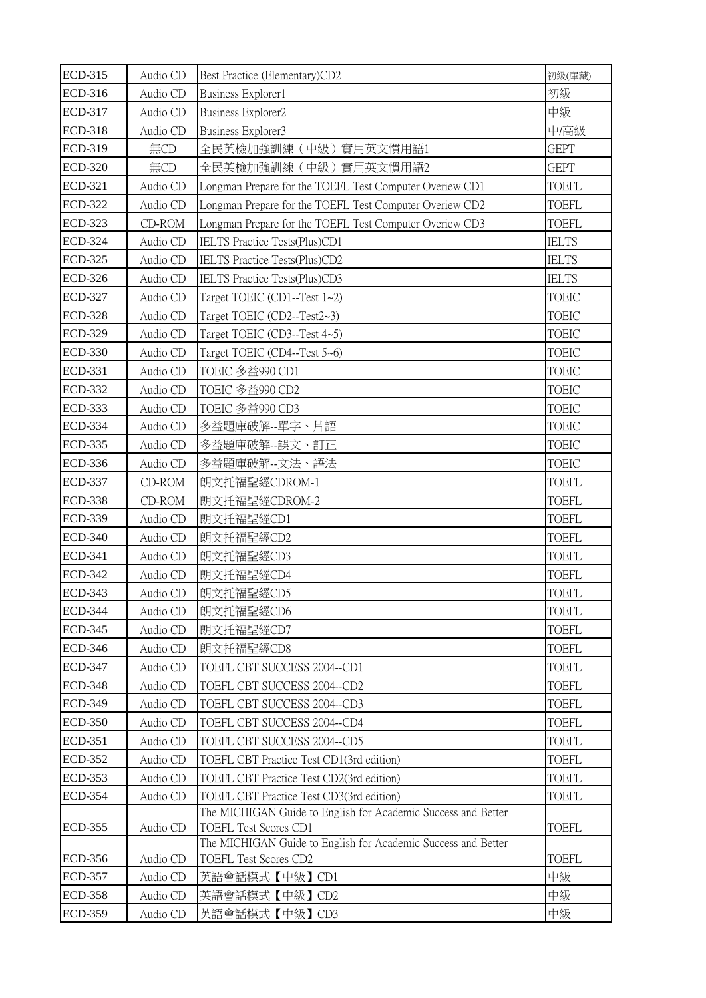| ECD-315        | Audio CD | Best Practice (Elementary)CD2                                                                 | 初級(庫藏)       |
|----------------|----------|-----------------------------------------------------------------------------------------------|--------------|
| ECD-316        | Audio CD | Business Explorer1                                                                            | 初級           |
| <b>ECD-317</b> | Audio CD | <b>Business Explorer2</b>                                                                     | 中級           |
| <b>ECD-318</b> | Audio CD | Business Explorer3                                                                            | 中/高級         |
| ECD-319        | 無CD      | 全民英檢加強訓練(中級)實用英文慣用語1                                                                          | <b>GEPT</b>  |
| <b>ECD-320</b> | 無CD      | 全民英檢加強訓練(中級)實用英文慣用語2                                                                          | <b>GEPT</b>  |
| <b>ECD-321</b> | Audio CD | Longman Prepare for the TOEFL Test Computer Overiew CD1                                       | <b>TOEFL</b> |
| <b>ECD-322</b> | Audio CD | Longman Prepare for the TOEFL Test Computer Overiew CD2                                       | <b>TOEFL</b> |
| <b>ECD-323</b> | CD-ROM   | Longman Prepare for the TOEFL Test Computer Overiew CD3                                       | <b>TOEFL</b> |
| <b>ECD-324</b> | Audio CD | IELTS Practice Tests(Plus)CD1                                                                 | <b>IELTS</b> |
| <b>ECD-325</b> | Audio CD | IELTS Practice Tests(Plus)CD2                                                                 | <b>IELTS</b> |
| <b>ECD-326</b> | Audio CD | IELTS Practice Tests(Plus)CD3                                                                 | <b>IELTS</b> |
| <b>ECD-327</b> | Audio CD | Target TOEIC (CD1--Test 1~2)                                                                  | <b>TOEIC</b> |
| <b>ECD-328</b> | Audio CD | Target TOEIC (CD2--Test2~3)                                                                   | <b>TOEIC</b> |
| <b>ECD-329</b> | Audio CD | Target TOEIC (CD3--Test 4~5)                                                                  | <b>TOEIC</b> |
| <b>ECD-330</b> | Audio CD | Target TOEIC (CD4--Test 5~6)                                                                  | <b>TOEIC</b> |
| ECD-331        | Audio CD | TOEIC 多益990 CD1                                                                               | <b>TOEIC</b> |
| <b>ECD-332</b> | Audio CD | TOEIC 多益990 CD2                                                                               | <b>TOEIC</b> |
| <b>ECD-333</b> | Audio CD | TOEIC 多益990 CD3                                                                               | <b>TOEIC</b> |
| <b>ECD-334</b> | Audio CD | 多益題庫破解--單字、片語                                                                                 | <b>TOEIC</b> |
| <b>ECD-335</b> | Audio CD | 多益題庫破解--誤文、訂正                                                                                 | <b>TOEIC</b> |
| <b>ECD-336</b> | Audio CD | 多益題庫破解--文法、語法                                                                                 | <b>TOEIC</b> |
| <b>ECD-337</b> | CD-ROM   | 朗文托福聖經CDROM-1                                                                                 | <b>TOEFL</b> |
| <b>ECD-338</b> | CD-ROM   | 朗文托福聖經CDROM-2                                                                                 | <b>TOEFL</b> |
| <b>ECD-339</b> | Audio CD | 朗文托福聖經CD1                                                                                     | <b>TOEFL</b> |
| <b>ECD-340</b> | Audio CD | 朗文托福聖經CD2                                                                                     | <b>TOEFL</b> |
| <b>ECD-341</b> | Audio CD | 朗文托福聖經CD3                                                                                     | <b>TOEFL</b> |
| <b>ECD-342</b> | Audio CD | 朗文托福聖經CD4                                                                                     | <b>TOEFL</b> |
| <b>ECD-343</b> | Audio CD | 朗文托福聖經CD5                                                                                     | <b>TOEFL</b> |
| <b>ECD-344</b> | Audio CD | 朗文托福聖經CD6                                                                                     | TOEFL        |
| <b>ECD-345</b> | Audio CD | 朗文托福聖經CD7                                                                                     | <b>TOEFL</b> |
| <b>ECD-346</b> | Audio CD | 朗文托福聖經CD8                                                                                     | <b>TOEFL</b> |
| <b>ECD-347</b> | Audio CD | TOEFL CBT SUCCESS 2004--CD1                                                                   | <b>TOEFL</b> |
| <b>ECD-348</b> | Audio CD | TOEFL CBT SUCCESS 2004--CD2                                                                   | <b>TOEFL</b> |
| <b>ECD-349</b> | Audio CD | TOEFL CBT SUCCESS 2004--CD3                                                                   | <b>TOEFL</b> |
| <b>ECD-350</b> | Audio CD | TOEFL CBT SUCCESS 2004--CD4                                                                   | <b>TOEFL</b> |
| <b>ECD-351</b> | Audio CD | TOEFL CBT SUCCESS 2004--CD5                                                                   | <b>TOEFL</b> |
| <b>ECD-352</b> | Audio CD | TOEFL CBT Practice Test CD1(3rd edition)                                                      | <b>TOEFL</b> |
| <b>ECD-353</b> | Audio CD | TOEFL CBT Practice Test CD2(3rd edition)                                                      | <b>TOEFL</b> |
| <b>ECD-354</b> | Audio CD | TOEFL CBT Practice Test CD3(3rd edition)                                                      | <b>TOEFL</b> |
|                |          | The MICHIGAN Guide to English for Academic Success and Better                                 |              |
| <b>ECD-355</b> | Audio CD | <b>TOEFL Test Scores CD1</b><br>The MICHIGAN Guide to English for Academic Success and Better | <b>TOEFL</b> |
| <b>ECD-356</b> | Audio CD | TOEFL Test Scores CD2                                                                         | <b>TOEFL</b> |
| <b>ECD-357</b> | Audio CD | 英語會話模式【中級】CD1                                                                                 | 中級           |
| <b>ECD-358</b> | Audio CD | 英語會話模式【中級】CD2                                                                                 | 中級           |
| <b>ECD-359</b> | Audio CD | 英語會話模式【中級】CD3                                                                                 | 中級           |
|                |          |                                                                                               |              |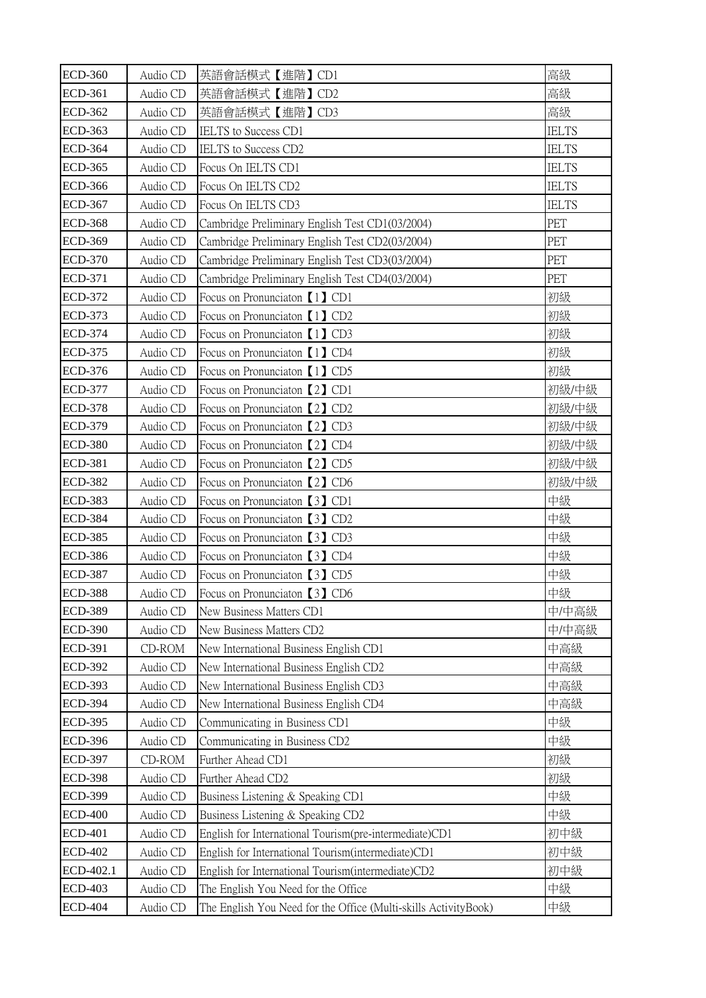| <b>ECD-360</b> | Audio CD | 英語會話模式【進階】CD1                                                   | 高級           |
|----------------|----------|-----------------------------------------------------------------|--------------|
| <b>ECD-361</b> | Audio CD | 英語會話模式【進階】CD2                                                   | 高級           |
| <b>ECD-362</b> | Audio CD | 英語會話模式【進階】CD3                                                   | 高級           |
| <b>ECD-363</b> | Audio CD | IELTS to Success CD1                                            | <b>IELTS</b> |
| <b>ECD-364</b> | Audio CD | IELTS to Success CD2                                            | <b>IELTS</b> |
| <b>ECD-365</b> | Audio CD | Focus On IELTS CD1                                              | <b>IELTS</b> |
| <b>ECD-366</b> | Audio CD | Focus On IELTS CD2                                              | <b>IELTS</b> |
| <b>ECD-367</b> | Audio CD | Focus On IELTS CD3                                              | <b>IELTS</b> |
| <b>ECD-368</b> | Audio CD | Cambridge Preliminary English Test CD1(03/2004)                 | PET          |
| <b>ECD-369</b> | Audio CD | Cambridge Preliminary English Test CD2(03/2004)                 | PET          |
| <b>ECD-370</b> | Audio CD | Cambridge Preliminary English Test CD3(03/2004)                 | PET          |
| <b>ECD-371</b> | Audio CD | Cambridge Preliminary English Test CD4(03/2004)                 | PET          |
| <b>ECD-372</b> | Audio CD | Focus on Pronunciaton [1] CD1                                   | 初級           |
| <b>ECD-373</b> | Audio CD | Focus on Pronunciaton [1] CD2                                   | 初級           |
| <b>ECD-374</b> | Audio CD | Focus on Pronunciaton 【1】CD3                                    | 初級           |
| <b>ECD-375</b> | Audio CD | Focus on Pronunciaton [1] CD4                                   | 初級           |
| <b>ECD-376</b> | Audio CD | Focus on Pronunciaton [1] CD5                                   | 初級           |
| <b>ECD-377</b> | Audio CD | Focus on Pronunciaton [2] CD1                                   | 初級/中級        |
| <b>ECD-378</b> | Audio CD | Focus on Pronunciaton [2] CD2                                   | 初級/中級        |
| <b>ECD-379</b> | Audio CD | Focus on Pronunciaton [2] CD3                                   | 初級/中級        |
| <b>ECD-380</b> | Audio CD | Focus on Pronunciaton [2] CD4                                   | 初級/中級        |
| <b>ECD-381</b> | Audio CD | Focus on Pronunciaton [2] CD5                                   | 初級/中級        |
| <b>ECD-382</b> | Audio CD | Focus on Pronunciaton [2] CD6                                   | 初級/中級        |
| <b>ECD-383</b> | Audio CD | Focus on Pronunciaton [3] CD1                                   | 中級           |
| <b>ECD-384</b> | Audio CD | Focus on Pronunciaton [3] CD2                                   | 中級           |
| <b>ECD-385</b> | Audio CD | Focus on Pronunciaton 【3】CD3                                    | 中級           |
| <b>ECD-386</b> | Audio CD | Focus on Pronunciaton [3] CD4                                   | 中級           |
| <b>ECD-387</b> | Audio CD | Focus on Pronunciaton [3] CD5                                   | 中級           |
| <b>ECD-388</b> | Audio CD | Focus on Pronunciaton [3] CD6                                   | 中級           |
| <b>ECD-389</b> | Audio CD | New Business Matters CD1                                        | 中/中高級        |
| <b>ECD-390</b> | Audio CD | New Business Matters CD2                                        | 中/中高級        |
| <b>ECD-391</b> | CD-ROM   | New International Business English CD1                          | 中高級          |
| <b>ECD-392</b> | Audio CD | New International Business English CD2                          | 中高級          |
| ECD-393        | Audio CD | New International Business English CD3                          | 中高級          |
| <b>ECD-394</b> | Audio CD | New International Business English CD4                          | 中高級          |
| <b>ECD-395</b> | Audio CD | Communicating in Business CD1                                   | 中級           |
| <b>ECD-396</b> | Audio CD | Communicating in Business CD2                                   | 中級           |
| <b>ECD-397</b> | CD-ROM   | Further Ahead CD1                                               | 初級           |
| <b>ECD-398</b> | Audio CD | Further Ahead CD2                                               | 初級           |
| <b>ECD-399</b> | Audio CD | Business Listening & Speaking CD1                               | 中級           |
| <b>ECD-400</b> | Audio CD | Business Listening & Speaking CD2                               | 中級           |
| <b>ECD-401</b> | Audio CD | English for International Tourism (pre-intermediate)CD1         | 初中級          |
| <b>ECD-402</b> | Audio CD | English for International Tourism(intermediate)CD1              | 初中級          |
| ECD-402.1      | Audio CD | English for International Tourism(intermediate)CD2              | 初中級          |
| <b>ECD-403</b> | Audio CD | The English You Need for the Office                             | 中級           |
| <b>ECD-404</b> | Audio CD | The English You Need for the Office (Multi-skills ActivityBook) | 中級           |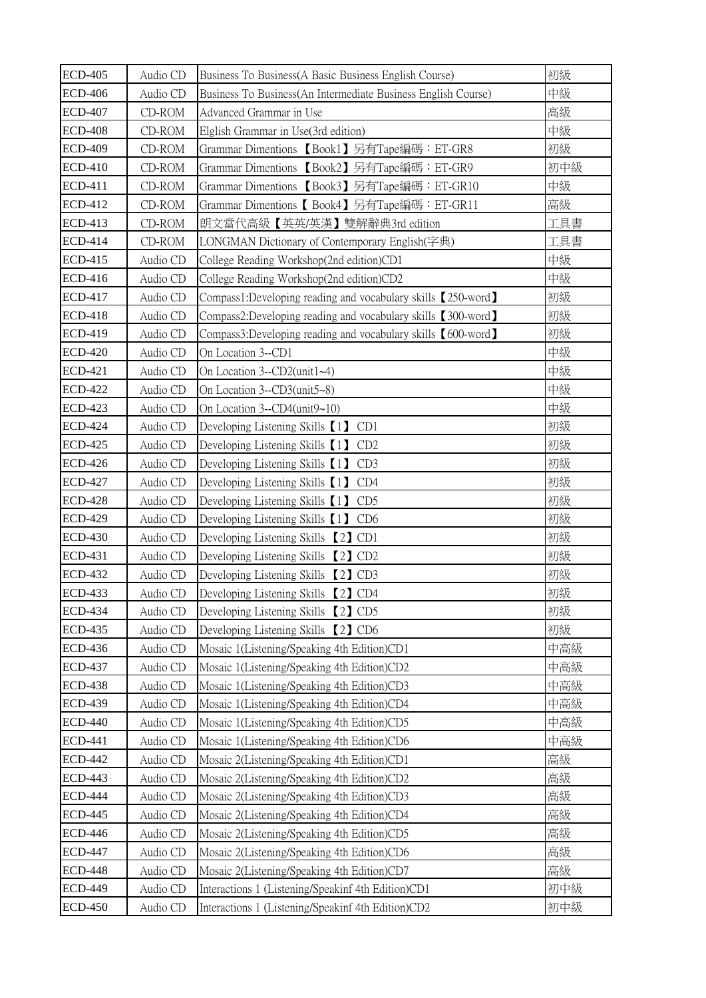| <b>ECD-405</b> | Audio CD | Business To Business(A Basic Business English Course)         | 初級  |
|----------------|----------|---------------------------------------------------------------|-----|
| <b>ECD-406</b> | Audio CD | Business To Business(An Intermediate Business English Course) | 中級  |
| <b>ECD-407</b> | CD-ROM   | Advanced Grammar in Use                                       | 高級  |
| <b>ECD-408</b> | CD-ROM   | Elglish Grammar in Use(3rd edition)                           | 中級  |
| <b>ECD-409</b> | CD-ROM   | Grammar Dimentions 【Book1】另有Tape編碼:ET-GR8                     | 初級  |
| <b>ECD-410</b> | CD-ROM   | Grammar Dimentions 【Book2】另有Tape編碼:ET-GR9                     | 初中級 |
| ECD-411        | CD-ROM   | Grammar Dimentions 【Book3】另有Tape編碼:ET-GR10                    | 中級  |
| <b>ECD-412</b> | CD-ROM   | Grammar Dimentions【 Book4】另有Tape編碼:ET-GR11                    | 高級  |
| ECD-413        | CD-ROM   | 朗文當代高級【英英/英漢】雙解辭典3rd edition                                  | 工具書 |
| <b>ECD-414</b> | CD-ROM   | LONGMAN Dictionary of Contemporary English(字典)                | 工具書 |
| ECD-415        | Audio CD | College Reading Workshop(2nd edition)CD1                      | 中級  |
| ECD-416        | Audio CD | College Reading Workshop(2nd edition)CD2                      | 中級  |
| <b>ECD-417</b> | Audio CD | Compass1:Developing reading and vocabulary skills [250-word]  | 初級  |
| <b>ECD-418</b> | Audio CD | Compass2:Developing reading and vocabulary skills [300-word]  | 初級  |
| <b>ECD-419</b> | Audio CD | Compass3:Developing reading and vocabulary skills (600-word)  | 初級  |
| <b>ECD-420</b> | Audio CD | On Location 3--CD1                                            | 中級  |
| ECD-421        | Audio CD | On Location 3--CD2(unit1~4)                                   | 中級  |
| <b>ECD-422</b> | Audio CD | On Location 3--CD3(unit5~8)                                   | 中級  |
| <b>ECD-423</b> | Audio CD | On Location 3--CD4(unit9~10)                                  | 中級  |
| <b>ECD-424</b> | Audio CD | Developing Listening Skills [1] CD1                           | 初級  |
| <b>ECD-425</b> | Audio CD | Developing Listening Skills [1] CD2                           | 初級  |
| <b>ECD-426</b> | Audio CD | Developing Listening Skills [1] CD3                           | 初級  |
| <b>ECD-427</b> | Audio CD | Developing Listening Skills 11<br>CD4                         | 初級  |
| <b>ECD-428</b> | Audio CD | Developing Listening Skills [1]<br>CD5                        | 初級  |
| <b>ECD-429</b> | Audio CD | CD6<br>Developing Listening Skills $\llbracket 1 \rrbracket$  | 初級  |
| <b>ECD-430</b> | Audio CD | Developing Listening Skills [2] CD1                           | 初級  |
| ECD-431        | Audio CD | Developing Listening Skills [2] CD2                           | 初級  |
| <b>ECD-432</b> | Audio CD | Developing Listening Skills [2] CD3                           | 初級  |
| <b>ECD-433</b> | Audio CD | Developing Listening Skills [2] CD4                           | 初級  |
| <b>ECD-434</b> | Audio CD | Developing Listening Skills [2] CD5                           | 初級  |
| <b>ECD-435</b> | Audio CD | Developing Listening Skills [2] CD6                           | 初級  |
| ECD-436        | Audio CD | Mosaic 1(Listening/Speaking 4th Edition)CD1                   | 中高級 |
| <b>ECD-437</b> | Audio CD | Mosaic 1(Listening/Speaking 4th Edition)CD2                   | 中高級 |
| <b>ECD-438</b> | Audio CD | Mosaic 1(Listening/Speaking 4th Edition)CD3                   | 中高級 |
| <b>ECD-439</b> | Audio CD | Mosaic 1(Listening/Speaking 4th Edition)CD4                   | 中高級 |
| <b>ECD-440</b> | Audio CD | Mosaic 1(Listening/Speaking 4th Edition)CD5                   | 中高級 |
| <b>ECD-441</b> | Audio CD | Mosaic 1(Listening/Speaking 4th Edition)CD6                   | 中高級 |
| <b>ECD-442</b> | Audio CD | Mosaic 2(Listening/Speaking 4th Edition)CD1                   | 高級  |
| <b>ECD-443</b> | Audio CD | Mosaic 2(Listening/Speaking 4th Edition)CD2                   | 高級  |
| <b>ECD-444</b> | Audio CD | Mosaic 2(Listening/Speaking 4th Edition)CD3                   | 高級  |
| <b>ECD-445</b> | Audio CD | Mosaic 2(Listening/Speaking 4th Edition)CD4                   | 高級  |
| <b>ECD-446</b> | Audio CD | Mosaic 2(Listening/Speaking 4th Edition)CD5                   | 高級  |
| <b>ECD-447</b> | Audio CD | Mosaic 2(Listening/Speaking 4th Edition)CD6                   | 高級  |
| <b>ECD-448</b> | Audio CD | Mosaic 2(Listening/Speaking 4th Edition)CD7                   | 高級  |
| <b>ECD-449</b> | Audio CD | Interactions 1 (Listening/Speakinf 4th Edition)CD1            | 初中級 |
| <b>ECD-450</b> | Audio CD | Interactions 1 (Listening/Speakinf 4th Edition)CD2            | 初中級 |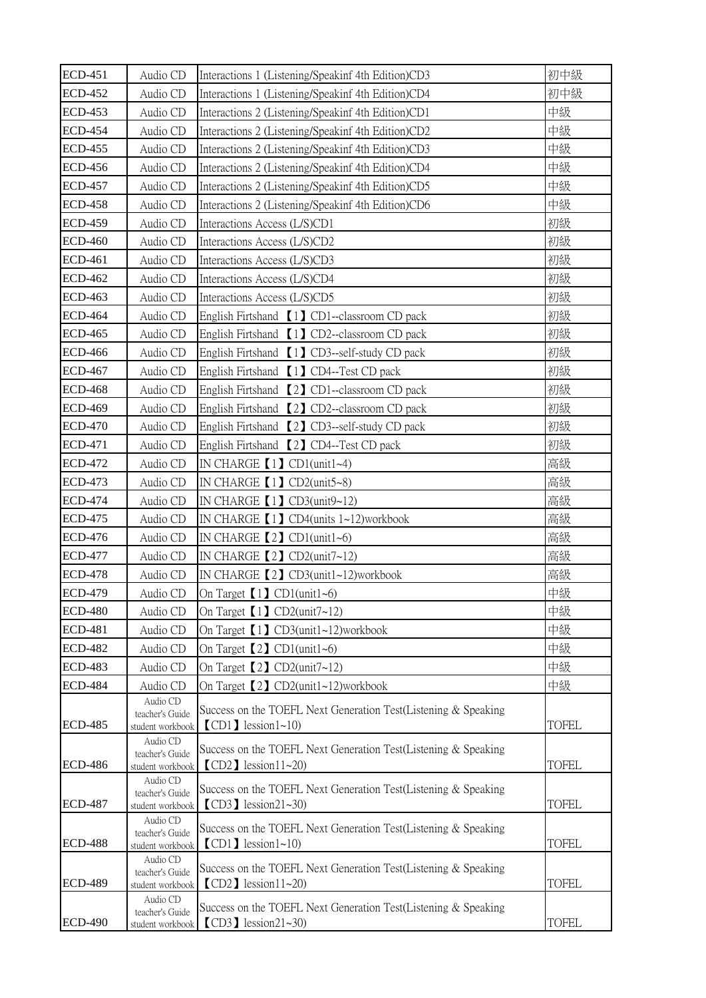| ECD-451        | Audio CD                            | Interactions 1 (Listening/Speakinf 4th Edition)CD3                                      | 初中級          |
|----------------|-------------------------------------|-----------------------------------------------------------------------------------------|--------------|
| <b>ECD-452</b> | Audio CD                            | Interactions 1 (Listening/Speakinf 4th Edition)CD4                                      | 初中級          |
| <b>ECD-453</b> | Audio CD                            | Interactions 2 (Listening/Speakinf 4th Edition)CD1                                      | 中級           |
| <b>ECD-454</b> | Audio CD                            | Interactions 2 (Listening/Speakinf 4th Edition)CD2                                      | 中級           |
| <b>ECD-455</b> | Audio CD                            | Interactions 2 (Listening/Speakinf 4th Edition)CD3                                      | 中級           |
| <b>ECD-456</b> | Audio CD                            | Interactions 2 (Listening/Speakinf 4th Edition)CD4                                      | 中級           |
| <b>ECD-457</b> | Audio CD                            | Interactions 2 (Listening/Speakinf 4th Edition)CD5                                      | 中級           |
| <b>ECD-458</b> | Audio CD                            | Interactions 2 (Listening/Speakinf 4th Edition)CD6                                      | 中級           |
| <b>ECD-459</b> | Audio CD                            | Interactions Access (L/S)CD1                                                            | 初級           |
| <b>ECD-460</b> | Audio CD                            | Interactions Access (L/S)CD2                                                            | 初級           |
| <b>ECD-461</b> | Audio CD                            | Interactions Access (L/S)CD3                                                            | 初級           |
| <b>ECD-462</b> | Audio CD                            | Interactions Access (L/S)CD4                                                            | 初級           |
| <b>ECD-463</b> | Audio CD                            | Interactions Access (L/S)CD5                                                            | 初級           |
| <b>ECD-464</b> | Audio CD                            | English Firtshand [1] CD1--classroom CD pack                                            | 初級           |
| <b>ECD-465</b> | Audio CD                            | English Firtshand $\blacksquare$ 1 $\blacksquare$ CD2--classroom CD pack                | 初級           |
| <b>ECD-466</b> | Audio CD                            | English Firtshand [1] CD3--self-study CD pack                                           | 初級           |
| <b>ECD-467</b> | Audio CD                            | English Firtshand [1] CD4--Test CD pack                                                 | 初級           |
| <b>ECD-468</b> | Audio CD                            | English Firtshand [2] CD1--classroom CD pack                                            | 初級           |
| <b>ECD-469</b> | Audio CD                            | English Firtshand [2] CD2--classroom CD pack                                            | 初級           |
| <b>ECD-470</b> | Audio CD                            | English Firtshand [2] CD3--self-study CD pack                                           | 初級           |
| ECD-471        | Audio CD                            | English Firtshand [2] CD4--Test CD pack                                                 | 初級           |
| <b>ECD-472</b> | Audio CD                            | IN CHARGE $[1]$ CD1(unit1~4)                                                            | 高級           |
| <b>ECD-473</b> | Audio CD                            | IN CHARGE $[1]$ CD2(unit5~8)                                                            | 高級           |
| <b>ECD-474</b> | Audio CD                            | IN CHARGE [1] CD3(unit9~12)                                                             | 高級           |
| <b>ECD-475</b> | Audio CD                            | IN CHARGE [1] CD4(units 1~12)workbook                                                   | 高級           |
| <b>ECD-476</b> | Audio CD                            | IN CHARGE [2] CD1(unit1~6)                                                              | 高級           |
| <b>ECD-477</b> | Audio CD                            | IN CHARGE $[2]$ CD2(unit7~12)                                                           | 高級           |
| <b>ECD-478</b> | Audio CD                            | IN CHARGE [2] CD3(unit1~12)workbook                                                     | 高級           |
| <b>ECD-479</b> | Audio CD                            | On Target $[1]$ CD1(unit1~6)                                                            | 中級           |
| <b>ECD-480</b> | Audio CD                            | On Target $[1]$ CD2(unit7~12)                                                           | 中級           |
| <b>ECD-481</b> | Audio CD                            | On Target [1] CD3(unit1~12)workbook                                                     | 中級           |
| <b>ECD-482</b> | Audio CD                            | On Target $[2]$ CD1(unit1~6)                                                            | 中級           |
| <b>ECD-483</b> | Audio CD                            | On Target $[2]$ CD2(unit7~12)                                                           | 中級           |
| <b>ECD-484</b> | Audio CD                            | On Target $[2]$ CD2(unit1~12)workbook                                                   | 中級           |
|                | Audio CD<br>teacher's Guide         | Success on the TOEFL Next Generation Test(Listening & Speaking                          |              |
| <b>ECD-485</b> | student workbook                    | $[CD1]$ lession $1~10$ )                                                                | TOFEL        |
|                | Audio CD<br>teacher's Guide         | Success on the TOEFL Next Generation Test(Listening & Speaking                          |              |
| <b>ECD-486</b> | student workbook                    | $\text{CD2}$ ] lession11~20)                                                            | <b>TOFEL</b> |
|                | Audio CD                            | Success on the TOEFL Next Generation Test(Listening & Speaking                          |              |
| <b>ECD-487</b> | teacher's Guide<br>student workbook | $[CD3]$ lession21~30)                                                                   | TOFEL        |
|                | Audio CD                            | Success on the TOEFL Next Generation Test(Listening & Speaking                          |              |
| <b>ECD-488</b> | teacher's Guide<br>student workbook | [CD1] lession1~10)                                                                      | <b>TOFEL</b> |
|                | Audio CD                            |                                                                                         |              |
| <b>ECD-489</b> | teacher's Guide                     | Success on the TOEFL Next Generation Test(Listening & Speaking<br>$[CD2]$ lession11~20) | <b>TOFEL</b> |
|                | student workbook<br>Audio CD        |                                                                                         |              |
|                | teacher's Guide                     | Success on the TOEFL Next Generation Test(Listening & Speaking                          |              |
| <b>ECD-490</b> | student workbook                    | $[CD3]$ lession21~30)                                                                   | <b>TOFEL</b> |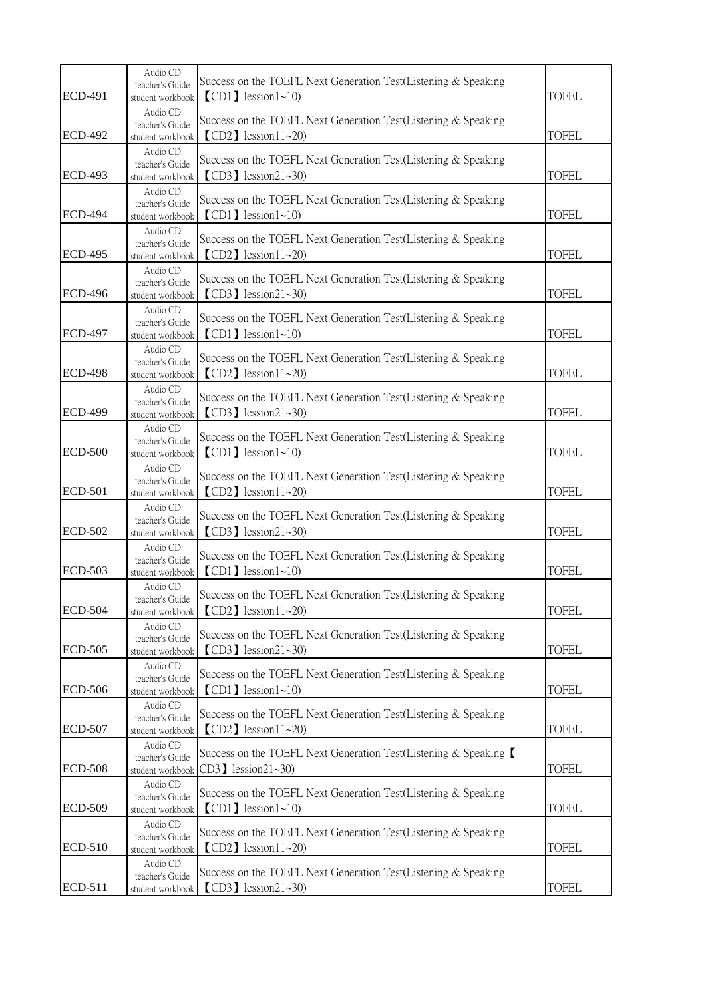| <b>ECD-491</b> | Audio CD<br>teacher's Guide<br>student workbook | Success on the TOEFL Next Generation Test(Listening & Speaking<br>$[CD1]$ lession $1~10$ )             | <b>TOFEL</b> |
|----------------|-------------------------------------------------|--------------------------------------------------------------------------------------------------------|--------------|
| <b>ECD-492</b> | Audio CD<br>teacher's Guide<br>student workbook | Success on the TOEFL Next Generation Test (Listening & Speaking<br>$[CD2]$ lession11~20)               | TOFEL        |
| <b>ECD-493</b> | Audio CD<br>teacher's Guide<br>student workbook | Success on the TOEFL Next Generation Test (Listening & Speaking<br>$[CD3]$ lession21~30)               | <b>TOFEL</b> |
| <b>ECD-494</b> | Audio CD<br>teacher's Guide<br>student workbook | Success on the TOEFL Next Generation Test (Listening & Speaking<br>$[CD1]$ lession $1~10$ )            | TOFEL        |
| <b>ECD-495</b> | Audio CD<br>teacher's Guide<br>student workbook | Success on the TOEFL Next Generation Test(Listening & Speaking<br>$\text{CD2}$ ] lession11~20)         | <b>TOFEL</b> |
| <b>ECD-496</b> | Audio CD<br>teacher's Guide<br>student workbook | Success on the TOEFL Next Generation Test (Listening & Speaking<br>$[CD3]$ lession21~30)               | <b>TOFEL</b> |
| <b>ECD-497</b> | Audio CD<br>teacher's Guide<br>student workbook | Success on the TOEFL Next Generation Test(Listening & Speaking<br>$[CD1]$ lession $1~10$ )             | TOFEL        |
| <b>ECD-498</b> | Audio CD<br>teacher's Guide<br>student workbook | Success on the TOEFL Next Generation Test (Listening & Speaking<br>$[CD2]$ lession11~20)               | <b>TOFEL</b> |
| <b>ECD-499</b> | Audio CD<br>teacher's Guide<br>student workbook | Success on the TOEFL Next Generation Test (Listening & Speaking<br>$[CD3]$ lession21~30)               | TOFEL        |
| <b>ECD-500</b> | Audio CD<br>teacher's Guide<br>student workbook | Success on the TOEFL Next Generation Test (Listening & Speaking<br>$[CD1]$ lession $1~10$ )            | <b>TOFEL</b> |
| <b>ECD-501</b> | Audio CD<br>teacher's Guide<br>student workbook | Success on the TOEFL Next Generation Test(Listening & Speaking<br>$[CD2]$ lession11~20)                | <b>TOFEL</b> |
| <b>ECD-502</b> | Audio CD<br>teacher's Guide<br>student workbook | Success on the TOEFL Next Generation Test(Listening & Speaking<br>$[CD3]$ lession21~30)                | <b>TOFEL</b> |
| <b>ECD-503</b> | Audio CD<br>teacher's Guide<br>student workbook | Success on the TOEFL Next Generation Test (Listening & Speaking<br>$[CD1]$ lession $1~10$ )            | <b>TOFEL</b> |
| <b>ECD-504</b> | Audio CD<br>teacher's Guide<br>student workbook | Success on the TOEFL Next Generation Test(Listening & Speaking<br>$[CD2]$ lession11~20)                | <b>TOFEL</b> |
| <b>ECD-505</b> | Audio CD<br>teacher's Guide<br>student workbook | Success on the TOEFL Next Generation Test (Listening & Speaking<br>$[CD3]$ lession21~30)               | TOFEL        |
| <b>ECD-506</b> | Audio CD<br>teacher's Guide<br>student workbook | Success on the TOEFL Next Generation Test(Listening & Speaking<br>$[CD1]$ lession $1~10$ )             | <b>TOFEL</b> |
| <b>ECD-507</b> | Audio CD<br>teacher's Guide<br>student workbook | Success on the TOEFL Next Generation Test(Listening & Speaking<br>$\text{CD2}$ lession11~20)           | <b>TOFEL</b> |
| <b>ECD-508</b> | Audio CD<br>teacher's Guide<br>student workbook | Success on the TOEFL Next Generation Test (Listening $\&$ Speaking $\blacksquare$<br>CD3 lession21~30) | TOFEL        |
| <b>ECD-509</b> | Audio CD<br>teacher's Guide<br>student workbook | Success on the TOEFL Next Generation Test (Listening & Speaking<br>$[CD1]$ lession $1~10$ )            | <b>TOFEL</b> |
| <b>ECD-510</b> | Audio CD<br>teacher's Guide<br>student workbook | Success on the TOEFL Next Generation Test(Listening & Speaking<br>$[CD2]$ lession11~20)                | TOFEL        |
| <b>ECD-511</b> | Audio CD<br>teacher's Guide<br>student workbook | Success on the TOEFL Next Generation Test(Listening & Speaking<br>$[CD3]$ lession21~30)                | <b>TOFEL</b> |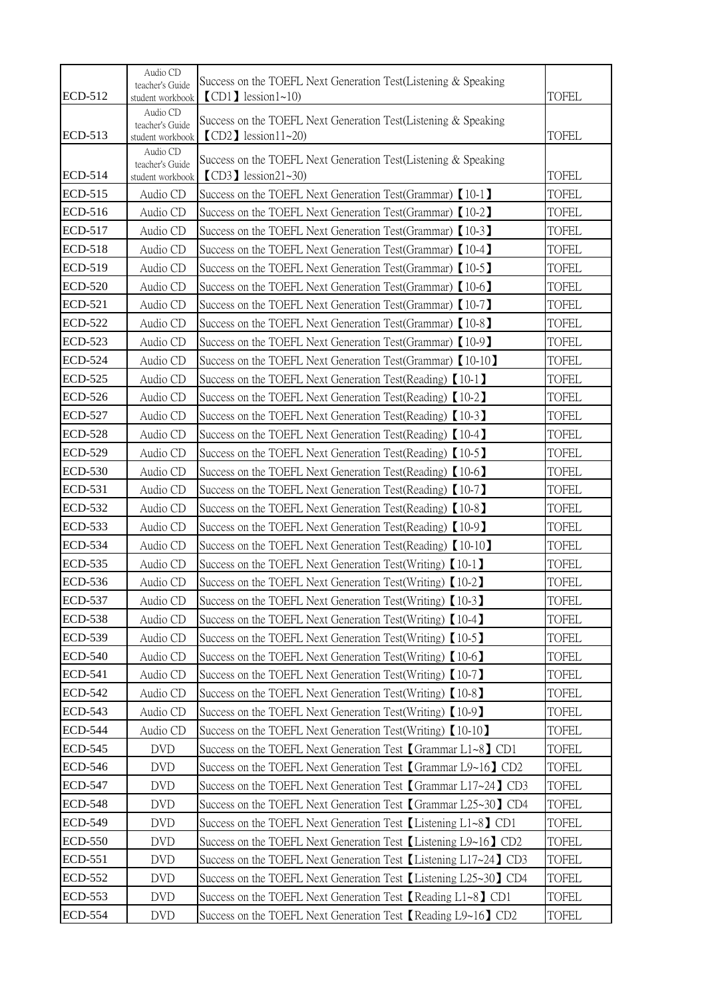| <b>ECD-512</b> | Audio CD<br>teacher's Guide<br>student workbook | Success on the TOEFL Next Generation Test(Listening & Speaking<br>$[CD1]$ lession $1~10$ )   | <b>TOFEL</b> |
|----------------|-------------------------------------------------|----------------------------------------------------------------------------------------------|--------------|
| ECD-513        | Audio CD<br>teacher's Guide<br>student workbook | Success on the TOEFL Next Generation Test(Listening & Speaking<br>$\text{CD2}$ lession11~20) | <b>TOFEL</b> |
| ECD-514        | Audio CD<br>teacher's Guide<br>student workbook | Success on the TOEFL Next Generation Test(Listening & Speaking<br>$[CD3]$ lession21~30)      | <b>TOFEL</b> |
| ECD-515        | Audio CD                                        | Success on the TOEFL Next Generation Test(Grammar) [10-1]                                    | <b>TOFEL</b> |
| ECD-516        | Audio CD                                        | Success on the TOEFL Next Generation Test(Grammar) [10-2]                                    | <b>TOFEL</b> |
| <b>ECD-517</b> | Audio CD                                        | Success on the TOEFL Next Generation Test(Grammar) 【10-3】                                    | <b>TOFEL</b> |
| <b>ECD-518</b> | Audio CD                                        | Success on the TOEFL Next Generation Test(Grammar) [10-4]                                    | <b>TOFEL</b> |
| ECD-519        | Audio CD                                        | Success on the TOEFL Next Generation Test(Grammar) [10-5]                                    | <b>TOFEL</b> |
| <b>ECD-520</b> | Audio CD                                        | Success on the TOEFL Next Generation Test(Grammar) [10-6]                                    | <b>TOFEL</b> |
| ECD-521        | Audio CD                                        | Success on the TOEFL Next Generation Test(Grammar) 10-7                                      | <b>TOFEL</b> |
| <b>ECD-522</b> | Audio CD                                        | Success on the TOEFL Next Generation Test(Grammar) [10-8]                                    | <b>TOFEL</b> |
| <b>ECD-523</b> | Audio CD                                        | Success on the TOEFL Next Generation Test(Grammar) (10-9)                                    | <b>TOFEL</b> |
| <b>ECD-524</b> | Audio CD                                        | Success on the TOEFL Next Generation Test(Grammar) [10-10]                                   | <b>TOFEL</b> |
| <b>ECD-525</b> | Audio CD                                        | Success on the TOEFL Next Generation Test(Reading) 10-1                                      | <b>TOFEL</b> |
| <b>ECD-526</b> | Audio CD                                        | Success on the TOEFL Next Generation Test (Reading) $[10-2]$                                 | <b>TOFEL</b> |
| <b>ECD-527</b> | Audio CD                                        | Success on the TOEFL Next Generation Test(Reading) [10-3]                                    | <b>TOFEL</b> |
| <b>ECD-528</b> | Audio CD                                        | Success on the TOEFL Next Generation Test(Reading) $[10-4]$                                  | <b>TOFEL</b> |
| <b>ECD-529</b> | Audio CD                                        | Success on the TOEFL Next Generation Test (Reading) $[10-5]$                                 | <b>TOFEL</b> |
| <b>ECD-530</b> | Audio CD                                        | Success on the TOEFL Next Generation Test(Reading) [10-6]                                    | <b>TOFEL</b> |
| ECD-531        | Audio CD                                        | Success on the TOEFL Next Generation Test(Reading) [10-7]                                    | <b>TOFEL</b> |
| <b>ECD-532</b> | Audio CD                                        | Success on the TOEFL Next Generation Test(Reading) [10-8]                                    | <b>TOFEL</b> |
| <b>ECD-533</b> | Audio CD                                        | Success on the TOEFL Next Generation Test (Reading) [10-9]                                   | <b>TOFEL</b> |
| <b>ECD-534</b> | Audio CD                                        | Success on the TOEFL Next Generation Test(Reading) [10-10]                                   | <b>TOFEL</b> |
| <b>ECD-535</b> | Audio CD                                        | Success on the TOEFL Next Generation Test(Writing) $[10-1]$                                  | <b>TOFEL</b> |
| ECD-536        | Audio CD                                        | Success on the TOEFL Next Generation Test(Writing) [10-2]                                    | <b>TOFEL</b> |
| <b>ECD-537</b> | Audio CD                                        | Success on the TOEFL Next Generation Test(Writing) [10-3]                                    | TOFEL        |
| <b>ECD-538</b> | Audio CD                                        | Success on the TOEFL Next Generation Test(Writing) $[10-4]$                                  | <b>TOFEL</b> |
| <b>ECD-539</b> | Audio CD                                        | Success on the TOEFL Next Generation Test(Writing) [10-5]                                    | <b>TOFEL</b> |
| <b>ECD-540</b> | Audio CD                                        | Success on the TOEFL Next Generation Test(Writing) $[10-6]$                                  | <b>TOFEL</b> |
| <b>ECD-541</b> | Audio CD                                        | Success on the TOEFL Next Generation Test(Writing) [10-7]                                    | <b>TOFEL</b> |
| <b>ECD-542</b> | Audio CD                                        | Success on the TOEFL Next Generation Test(Writing) $[10-8]$                                  | <b>TOFEL</b> |
| <b>ECD-543</b> | Audio CD                                        | Success on the TOEFL Next Generation Test(Writing) [10-9]                                    | <b>TOFEL</b> |
| <b>ECD-544</b> | Audio CD                                        | Success on the TOEFL Next Generation Test(Writing) [10-10]                                   | <b>TOFEL</b> |
| <b>ECD-545</b> | <b>DVD</b>                                      | Success on the TOEFL Next Generation Test 【Grammar L1~8】CD1                                  | <b>TOFEL</b> |
| <b>ECD-546</b> | <b>DVD</b>                                      | Success on the TOEFL Next Generation Test [Grammar L9~16] CD2                                | <b>TOFEL</b> |
| <b>ECD-547</b> | <b>DVD</b>                                      | Success on the TOEFL Next Generation Test 【Grammar L17~24】CD3                                | <b>TOFEL</b> |
| <b>ECD-548</b> | <b>DVD</b>                                      | Success on the TOEFL Next Generation Test [Grammar L25~30] CD4                               | <b>TOFEL</b> |
| <b>ECD-549</b> | <b>DVD</b>                                      | Success on the TOEFL Next Generation Test <i>Listening L1</i> ~8 CD1                         | <b>TOFEL</b> |
| <b>ECD-550</b> | <b>DVD</b>                                      | Success on the TOEFL Next Generation Test [Listening L9~16] CD2                              | <b>TOFEL</b> |
| <b>ECD-551</b> | <b>DVD</b>                                      | Success on the TOEFL Next Generation Test [Listening L17~24] CD3                             | <b>TOFEL</b> |
| <b>ECD-552</b> | <b>DVD</b>                                      | Success on the TOEFL Next Generation Test [Listening L25~30] CD4                             | <b>TOFEL</b> |
| <b>ECD-553</b> | <b>DVD</b>                                      | Success on the TOEFL Next Generation Test [Reading L1~8] CD1                                 | <b>TOFEL</b> |
| <b>ECD-554</b> | <b>DVD</b>                                      | Success on the TOEFL Next Generation Test [Reading L9~16] CD2                                | <b>TOFEL</b> |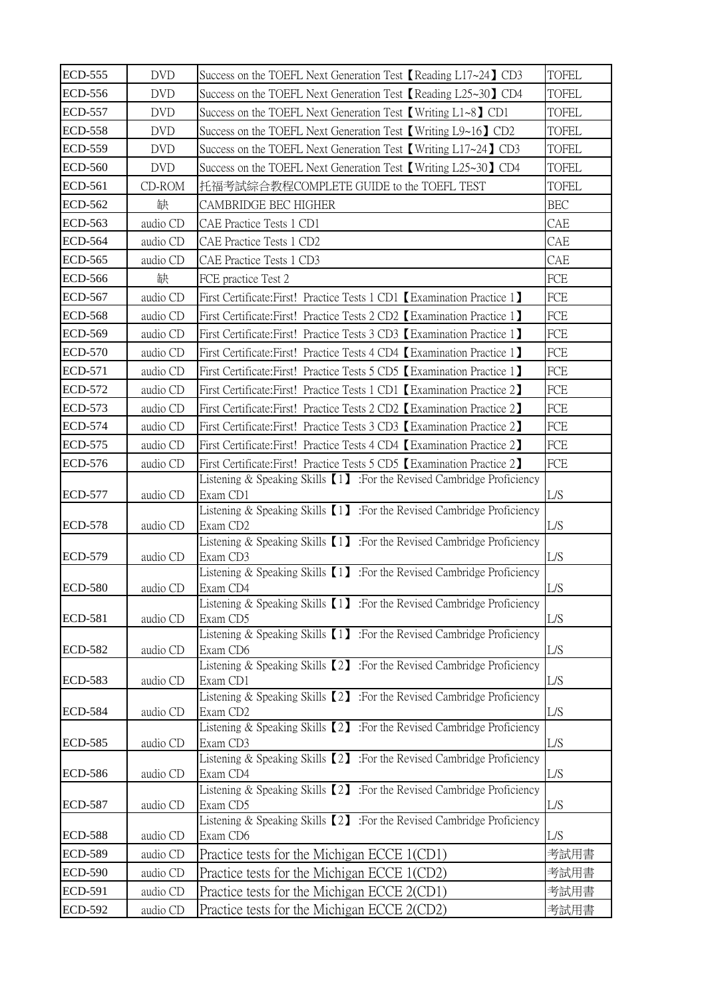| <b>ECD-555</b> | <b>DVD</b> | Success on the TOEFL Next Generation Test [Reading L17~24] CD3                                             | <b>TOFEL</b> |
|----------------|------------|------------------------------------------------------------------------------------------------------------|--------------|
| <b>ECD-556</b> | <b>DVD</b> | Success on the TOEFL Next Generation Test [Reading L25~30] CD4                                             | <b>TOFEL</b> |
| <b>ECD-557</b> | <b>DVD</b> | Success on the TOEFL Next Generation Test Writing L1~8 CD1                                                 | <b>TOFEL</b> |
| <b>ECD-558</b> | <b>DVD</b> | Success on the TOEFL Next Generation Test Writing L9~16 CD2                                                | TOFEL        |
| <b>ECD-559</b> | <b>DVD</b> | Success on the TOEFL Next Generation Test [Writing L17~24] CD3                                             | <b>TOFEL</b> |
| <b>ECD-560</b> | <b>DVD</b> | Success on the TOEFL Next Generation Test [Writing L25~30] CD4                                             | TOFEL        |
| <b>ECD-561</b> | CD-ROM     | 托福考試綜合教程COMPLETE GUIDE to the TOEFL TEST                                                                   | TOFEL        |
| ECD-562        | 缺          | CAMBRIDGE BEC HIGHER                                                                                       | <b>BEC</b>   |
| ECD-563        | audio CD   | CAE Practice Tests 1 CD1                                                                                   | CAE          |
| <b>ECD-564</b> | audio CD   | CAE Practice Tests 1 CD2                                                                                   | CAE          |
| <b>ECD-565</b> | audio CD   | CAE Practice Tests 1 CD3                                                                                   | CAE          |
| ECD-566        | 缺          | FCE practice Test 2                                                                                        | FCE          |
| <b>ECD-567</b> | audio CD   | First Certificate: First! Practice Tests 1 CD1 [Examination Practice 1]                                    | FCE          |
| <b>ECD-568</b> | audio CD   | First Certificate: First! Practice Tests 2 CD2 [Examination Practice 1]                                    | FCE          |
| ECD-569        | audio CD   | First Certificate: First! Practice Tests 3 CD3 [Examination Practice 1]                                    | FCE          |
| <b>ECD-570</b> | audio CD   | First Certificate: First! Practice Tests 4 CD4 [Examination Practice 1]                                    | FCE          |
| ECD-571        | audio CD   | First Certificate: First! Practice Tests 5 CD5 [Examination Practice 1]                                    | FCE          |
| <b>ECD-572</b> | audio CD   | First Certificate: First! Practice Tests 1 CD1 【Examination Practice 2】                                    | FCE          |
| <b>ECD-573</b> | audio CD   | First Certificate: First! Practice Tests 2 CD2 [Examination Practice 2]                                    | FCE          |
| <b>ECD-574</b> | audio CD   | First Certificate: First! Practice Tests 3 CD3 [Examination Practice 2]                                    | FCE          |
| <b>ECD-575</b> | audio CD   | First Certificate: First! Practice Tests 4 CD4 【Examination Practice 2】                                    | FCE          |
| <b>ECD-576</b> | audio CD   | First Certificate: First! Practice Tests 5 CD5 [Examination Practice 2]                                    | FCE          |
|                |            | Listening & Speaking Skills $[1]$ : For the Revised Cambridge Proficiency                                  |              |
| <b>ECD-577</b> | audio CD   | Exam CD1                                                                                                   | L/S          |
| <b>ECD-578</b> | audio CD   | Listening & Speaking Skills $[1]$ : For the Revised Cambridge Proficiency<br>Exam CD2                      | L/S          |
| <b>ECD-579</b> | audio CD   | Listening & Speaking Skills $[1]$ : For the Revised Cambridge Proficiency<br>Exam CD3                      | L/S          |
|                |            | Listening & Speaking Skills $\llbracket 1 \rrbracket$ : For the Revised Cambridge Proficiency              |              |
| <b>ECD-580</b> | audio CD   | Exam CD4                                                                                                   | L/S          |
| <b>ECD-581</b> | audio CD   | Listening & Speaking Skills $[1]$ : For the Revised Cambridge Proficiency<br>Exam CD5                      | L/S          |
|                |            | Listening & Speaking Skills $\begin{bmatrix} 1 \\ 1 \end{bmatrix}$ : For the Revised Cambridge Proficiency |              |
| <b>ECD-582</b> | audio CD   | Exam CD6<br>Listening & Speaking Skills $\llbracket 2 \rrbracket$ : For the Revised Cambridge Proficiency  | L/S          |
| <b>ECD-583</b> | audio CD   | Exam CD1                                                                                                   | L/S          |
|                |            | Listening & Speaking Skills $[2]$ : For the Revised Cambridge Proficiency                                  |              |
| <b>ECD-584</b> | audio CD   | Exam CD2                                                                                                   | L/S          |
| <b>ECD-585</b> | audio CD   | Listening & Speaking Skills <b>[2]</b> : For the Revised Cambridge Proficiency<br>Exam CD3                 | L/S          |
|                |            | Listening & Speaking Skills <sup>[2]</sup> :For the Revised Cambridge Proficiency                          |              |
| <b>ECD-586</b> | audio CD   | Exam CD4<br>Listening & Speaking Skills $\llbracket 2 \rrbracket$ : For the Revised Cambridge Proficiency  | L/S          |
| <b>ECD-587</b> | audio CD   | Exam CD5                                                                                                   | L/S          |
| <b>ECD-588</b> | audio CD   | Listening & Speaking Skills $\llbracket 2 \rrbracket$ : For the Revised Cambridge Proficiency<br>Exam CD6  | L/S          |
| <b>ECD-589</b> | audio CD   | Practice tests for the Michigan ECCE 1(CD1)                                                                | 考試用書         |
| <b>ECD-590</b> | audio CD   | Practice tests for the Michigan ECCE 1(CD2)                                                                | 考試用書         |
| ECD-591        |            |                                                                                                            | 考試用書         |
|                | audio CD   | Practice tests for the Michigan ECCE 2(CD1)                                                                |              |
| <b>ECD-592</b> | audio CD   | Practice tests for the Michigan ECCE 2(CD2)                                                                | 考試用書         |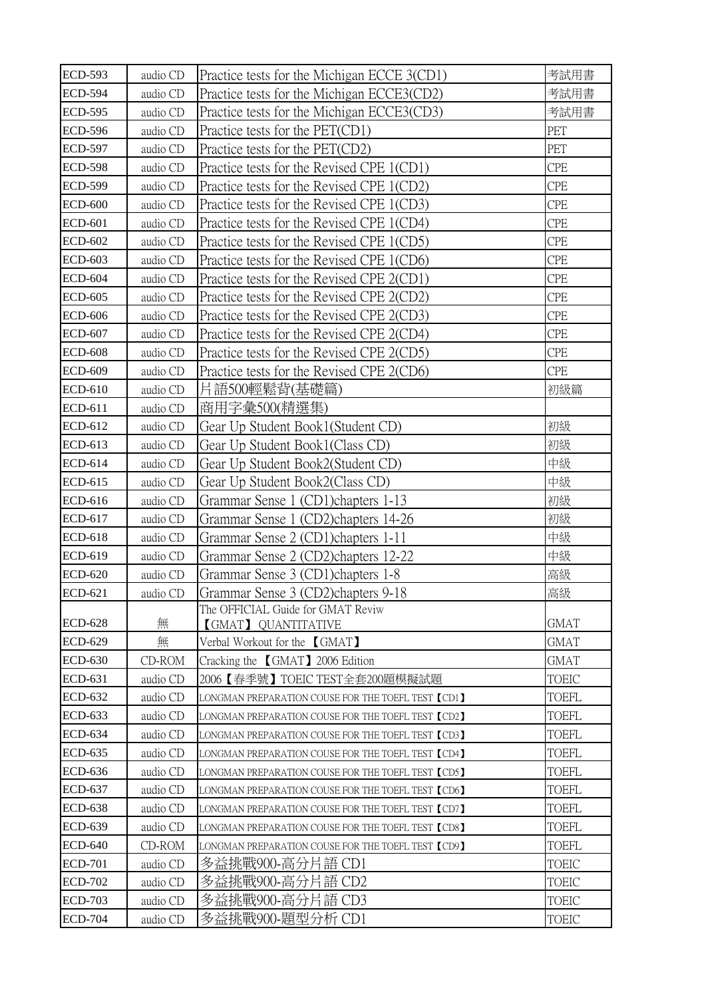| <b>ECD-593</b> | audio CD | Practice tests for the Michigan ECCE 3(CD1)                 | 考試用書         |
|----------------|----------|-------------------------------------------------------------|--------------|
| <b>ECD-594</b> | audio CD | Practice tests for the Michigan ECCE3(CD2)                  | 考試用書         |
| <b>ECD-595</b> | audio CD | Practice tests for the Michigan ECCE3(CD3)                  | 考試用書         |
| <b>ECD-596</b> | audio CD | Practice tests for the PET(CD1)                             | PET          |
| <b>ECD-597</b> | audio CD | Practice tests for the PET(CD2)                             | PET          |
| <b>ECD-598</b> | audio CD | Practice tests for the Revised CPE 1(CD1)                   | <b>CPE</b>   |
| <b>ECD-599</b> | audio CD | Practice tests for the Revised CPE 1(CD2)                   | <b>CPE</b>   |
| <b>ECD-600</b> | audio CD | Practice tests for the Revised CPE 1(CD3)                   | <b>CPE</b>   |
| <b>ECD-601</b> | audio CD | Practice tests for the Revised CPE 1(CD4)                   | <b>CPE</b>   |
| <b>ECD-602</b> | audio CD | Practice tests for the Revised CPE 1(CD5)                   | <b>CPE</b>   |
| <b>ECD-603</b> | audio CD | Practice tests for the Revised CPE 1(CD6)                   | <b>CPE</b>   |
| <b>ECD-604</b> | audio CD | Practice tests for the Revised CPE 2(CD1)                   | <b>CPE</b>   |
| <b>ECD-605</b> | audio CD | Practice tests for the Revised CPE 2(CD2)                   | <b>CPE</b>   |
| <b>ECD-606</b> | audio CD | Practice tests for the Revised CPE 2(CD3)                   | <b>CPE</b>   |
| <b>ECD-607</b> | audio CD | Practice tests for the Revised CPE 2(CD4)                   | <b>CPE</b>   |
| <b>ECD-608</b> | audio CD | Practice tests for the Revised CPE 2(CD5)                   | <b>CPE</b>   |
| <b>ECD-609</b> | audio CD | Practice tests for the Revised CPE 2(CD6)                   | <b>CPE</b>   |
| <b>ECD-610</b> | audio CD | 片語500輕鬆背(基礎篇)                                               | 初級篇          |
| ECD-611        | audio CD | 商用字彙500(精選集)                                                |              |
| ECD-612        | audio CD | Gear Up Student Book1(Student CD)                           | 初級           |
| ECD-613        | audio CD | Gear Up Student Book1(Class CD)                             | 初級           |
| ECD-614        | audio CD | Gear Up Student Book2(Student CD)                           | 中級           |
| ECD-615        | audio CD | Gear Up Student Book2(Class CD)                             | 中級           |
| ECD-616        | audio CD | Grammar Sense 1 (CD1) chapters 1-13                         | 初級           |
| ECD-617        | audio CD | Grammar Sense 1 (CD2) chapters 14-26                        | 初級           |
| <b>ECD-618</b> | audio CD | Grammar Sense 2 (CD1) chapters 1-11                         | 中級           |
| ECD-619        | audio CD | Grammar Sense 2 (CD2)chapters 12-22                         | 中級           |
| <b>ECD-620</b> | audio CD | Grammar Sense 3 (CD1) chapters 1-8                          | 高級           |
| ECD-621        | audio CD | Grammar Sense 3 (CD2)chapters 9-18                          | 高級           |
| <b>ECD-628</b> |          | The OFFICIAL Guide for GMAT Reviw                           | <b>GMAT</b>  |
| <b>ECD-629</b> | 無<br>無   | <b>[GMAT] QUANTITATIVE</b><br>Verbal Workout for the [GMAT] | <b>GMAT</b>  |
| <b>ECD-630</b> | CD-ROM   | Cracking the <b>[GMAT]</b> 2006 Edition                     | <b>GMAT</b>  |
| <b>ECD-631</b> | audio CD | 2006【春季號】TOEIC TEST全套200題模擬試題                               | <b>TOEIC</b> |
| <b>ECD-632</b> | audio CD | LONGMAN PREPARATION COUSE FOR THE TOEFL TEST [CD1]          | <b>TOEFL</b> |
| <b>ECD-633</b> | audio CD | LONGMAN PREPARATION COUSE FOR THE TOEFL TEST [CD2]          | <b>TOEFL</b> |
| <b>ECD-634</b> | audio CD | LONGMAN PREPARATION COUSE FOR THE TOEFL TEST [CD3]          | TOEFL        |
| <b>ECD-635</b> | audio CD | LONGMAN PREPARATION COUSE FOR THE TOEFL TEST [CD4]          | <b>TOEFL</b> |
| <b>ECD-636</b> | audio CD | LONGMAN PREPARATION COUSE FOR THE TOEFL TEST [CD5]          | <b>TOEFL</b> |
| <b>ECD-637</b> | audio CD | LONGMAN PREPARATION COUSE FOR THE TOEFL TEST [CD6]          | <b>TOEFL</b> |
| <b>ECD-638</b> | audio CD | LONGMAN PREPARATION COUSE FOR THE TOEFL TEST [CD7]          | <b>TOEFL</b> |
| <b>ECD-639</b> | audio CD | LONGMAN PREPARATION COUSE FOR THE TOEFL TEST [CD8]          | <b>TOEFL</b> |
| <b>ECD-640</b> | CD-ROM   | LONGMAN PREPARATION COUSE FOR THE TOEFL TEST [CD9]          | <b>TOEFL</b> |
| <b>ECD-701</b> | audio CD | 多益挑戰900-高分片語 CD1                                            | <b>TOEIC</b> |
| <b>ECD-702</b> | audio CD | 多益挑戰900-高分片語 CD2                                            | <b>TOEIC</b> |
| <b>ECD-703</b> | audio CD | 多益挑戰900-高分片語 CD3                                            | <b>TOEIC</b> |
| <b>ECD-704</b> | audio CD | 多益挑戰900-題型分析 CD1                                            | <b>TOEIC</b> |
|                |          |                                                             |              |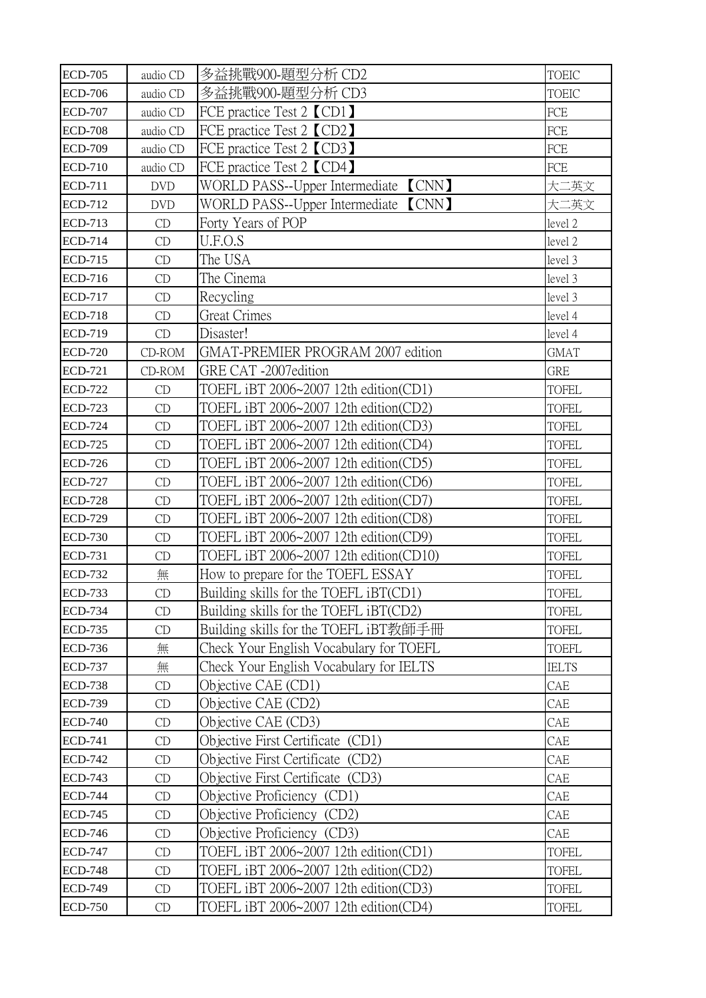| <b>ECD-705</b> | audio CD               | 多益挑戰900-題型分析 CD2                            | <b>TOEIC</b> |
|----------------|------------------------|---------------------------------------------|--------------|
| <b>ECD-706</b> | audio CD               | 多益挑戰900-題型分析 CD3                            | <b>TOEIC</b> |
| <b>ECD-707</b> | audio CD               | FCE practice Test 2 (CD1)                   | FCE          |
| <b>ECD-708</b> | audio CD               | FCE practice Test 2 (CD2)                   | FCE          |
| <b>ECD-709</b> | audio CD               | FCE practice Test 2 (CD3)                   | FCE          |
| <b>ECD-710</b> | audio CD               | FCE practice Test 2 CD4                     | FCE          |
| <b>ECD-711</b> | <b>DVD</b>             | WORLD PASS--Upper Intermediate (CNN)        | 大二英文         |
| <b>ECD-712</b> | <b>DVD</b>             | WORLD PASS--Upper Intermediate <b>[CNN]</b> | 大二英文         |
| <b>ECD-713</b> | CD                     | Forty Years of POP                          | level 2      |
| <b>ECD-714</b> | CD                     | U.F.O.S                                     | level 2      |
| <b>ECD-715</b> | CD                     | The USA                                     | level 3      |
| <b>ECD-716</b> | CD                     | The Cinema                                  | level 3      |
| <b>ECD-717</b> | CD                     | Recycling                                   | level 3      |
| <b>ECD-718</b> | CD                     | <b>Great Crimes</b>                         | level 4      |
| <b>ECD-719</b> | CD                     | Disaster!                                   | level 4      |
| <b>ECD-720</b> | CD-ROM                 | GMAT-PREMIER PROGRAM 2007 edition           | <b>GMAT</b>  |
| <b>ECD-721</b> | CD-ROM                 | GRE CAT -2007 edition                       | <b>GRE</b>   |
| <b>ECD-722</b> | CD                     | TOEFL iBT 2006~2007 12th edition(CD1)       | <b>TOFEL</b> |
| <b>ECD-723</b> | CD                     | TOEFL iBT 2006~2007 12th edition(CD2)       | <b>TOFEL</b> |
| <b>ECD-724</b> | CD                     | TOEFL iBT 2006~2007 12th edition(CD3)       | <b>TOFEL</b> |
| <b>ECD-725</b> | CD                     | TOEFL iBT 2006~2007 12th edition(CD4)       | <b>TOFEL</b> |
| <b>ECD-726</b> | CD                     | TOEFL iBT 2006~2007 12th edition(CD5)       | <b>TOFEL</b> |
| <b>ECD-727</b> | CD                     | TOEFL iBT 2006~2007 12th edition(CD6)       | <b>TOFEL</b> |
| <b>ECD-728</b> | CD                     | TOEFL iBT 2006~2007 12th edition(CD7)       | <b>TOFEL</b> |
| <b>ECD-729</b> | CD                     | TOEFL iBT 2006~2007 12th edition(CD8)       | <b>TOFEL</b> |
| <b>ECD-730</b> | CD                     | TOEFL iBT 2006~2007 12th edition(CD9)       | <b>TOFEL</b> |
| <b>ECD-731</b> | CD                     | TOEFL iBT 2006~2007 12th edition(CD10)      | <b>TOFEL</b> |
| <b>ECD-732</b> | 無                      | How to prepare for the TOEFL ESSAY          | <b>TOFEL</b> |
| <b>ECD-733</b> | $\mathop{\mathrm{CD}}$ | Building skills for the TOEFL iBT(CD1)      | <b>TOFEL</b> |
| <b>ECD-734</b> | CD                     | Building skills for the TOEFL iBT(CD2)      | <b>TOFEL</b> |
| <b>ECD-735</b> | CD                     | Building skills for the TOEFL iBT教師手冊       | <b>TOFEL</b> |
| <b>ECD-736</b> | 無                      | Check Your English Vocabulary for TOEFL     | <b>TOEFL</b> |
| <b>ECD-737</b> | 無                      | Check Your English Vocabulary for IELTS     | <b>IELTS</b> |
| <b>ECD-738</b> | CD                     | Objective CAE (CD1)                         | CAE          |
| <b>ECD-739</b> | CD                     | Objective CAE (CD2)                         | CAE          |
| <b>ECD-740</b> | CD                     | Objective CAE (CD3)                         | CAE          |
| <b>ECD-741</b> | CD                     | Objective First Certificate (CD1)           | CAE          |
| <b>ECD-742</b> | CD                     | Objective First Certificate (CD2)           | CAE          |
| <b>ECD-743</b> | CD                     | Objective First Certificate (CD3)           | CAE          |
| <b>ECD-744</b> | CD                     | Objective Proficiency (CD1)                 | CAE          |
| <b>ECD-745</b> | CD                     | Objective Proficiency (CD2)                 | CAE          |
| <b>ECD-746</b> | CD                     | Objective Proficiency (CD3)                 | CAE          |
| <b>ECD-747</b> | CD                     | TOEFL iBT 2006~2007 12th edition(CD1)       | <b>TOFEL</b> |
| <b>ECD-748</b> | CD                     | TOEFL iBT 2006~2007 12th edition(CD2)       | <b>TOFEL</b> |
| <b>ECD-749</b> | CD                     | TOEFL iBT 2006~2007 12th edition(CD3)       | <b>TOFEL</b> |
| <b>ECD-750</b> | CD                     | TOEFL iBT 2006~2007 12th edition(CD4)       | <b>TOFEL</b> |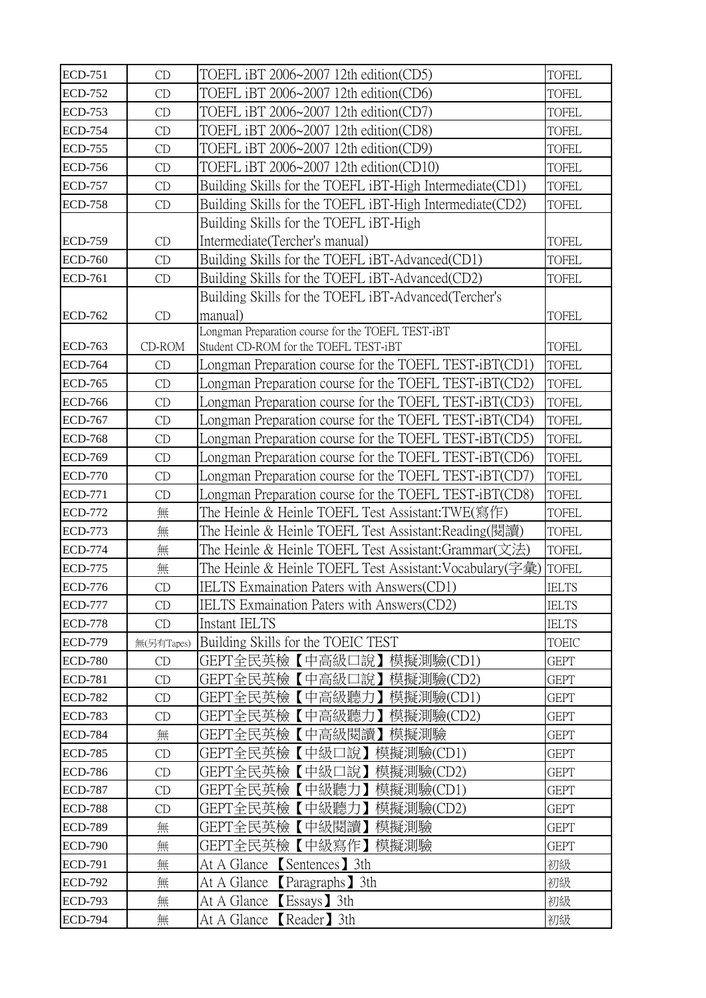| ECD-751        | CD         | TOEFL iBT 2006~2007 12th edition(CD5)                                                              | <b>TOFEL</b> |
|----------------|------------|----------------------------------------------------------------------------------------------------|--------------|
| <b>ECD-752</b> | CD         | TOEFL iBT 2006~2007 12th edition(CD6)                                                              | <b>TOFEL</b> |
| <b>ECD-753</b> | CD         | TOEFL iBT 2006~2007 12th edition(CD7)                                                              | <b>TOFEL</b> |
| <b>ECD-754</b> | CD         | TOEFL iBT 2006~2007 12th edition(CD8)                                                              | <b>TOFEL</b> |
| <b>ECD-755</b> | CD         | TOEFL iBT 2006~2007 12th edition(CD9)                                                              | <b>TOFEL</b> |
| <b>ECD-756</b> | CD         | TOEFL iBT 2006~2007 12th edition(CD10)                                                             | <b>TOFEL</b> |
| <b>ECD-757</b> | CD         | Building Skills for the TOEFL iBT-High Intermediate (CD1)                                          | <b>TOFEL</b> |
| <b>ECD-758</b> | CD         |                                                                                                    | <b>TOFEL</b> |
|                |            | Building Skills for the TOEFL iBT-High Intermediate(CD2)<br>Building Skills for the TOEFL iBT-High |              |
| <b>ECD-759</b> | CD         | Intermediate(Tercher's manual)                                                                     | <b>TOFEL</b> |
| <b>ECD-760</b> | CD         | Building Skills for the TOEFL iBT-Advanced(CD1)                                                    | <b>TOFEL</b> |
| <b>ECD-761</b> | CD         | Building Skills for the TOEFL iBT-Advanced(CD2)                                                    | <b>TOFEL</b> |
|                |            | Building Skills for the TOEFL iBT-Advanced(Tercher's                                               |              |
| <b>ECD-762</b> | CD         | manual)                                                                                            |              |
|                |            | Longman Preparation course for the TOEFL TEST-iBT                                                  | <b>TOFEL</b> |
| ECD-763        | CD-ROM     | Student CD-ROM for the TOEFL TEST-iBT                                                              | <b>TOFEL</b> |
| <b>ECD-764</b> | CD         | Longman Preparation course for the TOEFL TEST-iBT(CD1)                                             | <b>TOFEL</b> |
| <b>ECD-765</b> | CD         | Longman Preparation course for the TOEFL TEST-iBT(CD2)                                             | <b>TOFEL</b> |
| <b>ECD-766</b> | CD         | Longman Preparation course for the TOEFL TEST-iBT(CD3)                                             | <b>TOFEL</b> |
| <b>ECD-767</b> | CD         | Longman Preparation course for the TOEFL TEST-iBT(CD4)                                             | <b>TOFEL</b> |
| <b>ECD-768</b> | CD         | Longman Preparation course for the TOEFL TEST-iBT(CD5)                                             | <b>TOFEL</b> |
| <b>ECD-769</b> | CD         | Longman Preparation course for the TOEFL TEST-iBT(CD6)                                             | <b>TOFEL</b> |
| <b>ECD-770</b> | CD         | Longman Preparation course for the TOEFL TEST-iBT(CD7)                                             | <b>TOFEL</b> |
| <b>ECD-771</b> | CD         | Longman Preparation course for the TOEFL TEST-iBT(CD8)                                             | <b>TOFEL</b> |
| <b>ECD-772</b> | 無          | The Heinle & Heinle TOEFL Test Assistant:TWE(寫作)                                                   | <b>TOFEL</b> |
| <b>ECD-773</b> | 無          | The Heinle & Heinle TOEFL Test Assistant:Reading(閱讀)                                               | <b>TOFEL</b> |
| <b>ECD-774</b> | 無          | The Heinle & Heinle TOEFL Test Assistant:Grammar(文法)                                               | <b>TOFEL</b> |
| <b>ECD-775</b> | 無          | The Heinle & Heinle TOEFL Test Assistant:Vocabulary(字彙)                                            | <b>TOFEL</b> |
| <b>ECD-776</b> | CD         | IELTS Exmaination Paters with Answers(CD1)                                                         | <b>IELTS</b> |
| <b>ECD-777</b> | CD         | IELTS Exmaination Paters with Answers(CD2)                                                         | <b>IELTS</b> |
| <b>ECD-778</b> | CD         | Instant IELTS                                                                                      | <b>IELTS</b> |
| <b>ECD-779</b> | 無(另有Tapes) | Building Skills for the TOEIC TEST                                                                 | <b>TOEIC</b> |
| <b>ECD-780</b> | CD         | GEPT全民英檢【中高級口說】模擬測驗(CD1)                                                                           | <b>GEPT</b>  |
| <b>ECD-781</b> | CD         | GEPT全民英檢【中高級口說】模擬測驗(CD2)                                                                           | <b>GEPT</b>  |
| <b>ECD-782</b> | CD         | GEPT全民英檢【中高級聽力】<br>模擬測驗(CD1)                                                                       | <b>GEPT</b>  |
| <b>ECD-783</b> | CD         | GEPT全民英檢【中高級聽力】模擬測驗(CD2)                                                                           | <b>GEPT</b>  |
| <b>ECD-784</b> | 無          | GEPT全民英檢【中高級閱讀】模擬測驗                                                                                | <b>GEPT</b>  |
| <b>ECD-785</b> | CD         | GEPT全民英檢【中級口說】<br>模擬測驗(CD1)                                                                        | <b>GEPT</b>  |
| <b>ECD-786</b> | CD         | 【中級口說】<br>模擬測驗(CD2)<br>GEPT全民英檢                                                                    | <b>GEPT</b>  |
| <b>ECD-787</b> | CD         | GEPT全民英檢<br>【中級聽力】<br>模擬測驗(CD1)                                                                    | <b>GEPT</b>  |
| <b>ECD-788</b> | CD         | GEPT全民英檢【中級聽力】<br>模擬測驗(CD2)                                                                        | <b>GEPT</b>  |
| <b>ECD-789</b> | 無          | GEPT全民英檢【中級閱讀】<br>模擬測驗                                                                             | <b>GEPT</b>  |
| <b>ECD-790</b> | 無          | GEPT全民英檢【中級寫作】模擬測驗                                                                                 | <b>GEPT</b>  |
| ECD-791        | 無          | At A Glance <b>[Sentences</b> ] 3th                                                                | 初級           |
| <b>ECD-792</b> | 無          | At A Glance<br><b>Paragraphs</b> 3th                                                               | 初級           |
| <b>ECD-793</b> | 無          | [Essays] 3th<br>At A Glance                                                                        | 初級           |
| <b>ECD-794</b> | 無          | At A Glance<br>Reader 3th                                                                          | 初級           |
|                |            |                                                                                                    |              |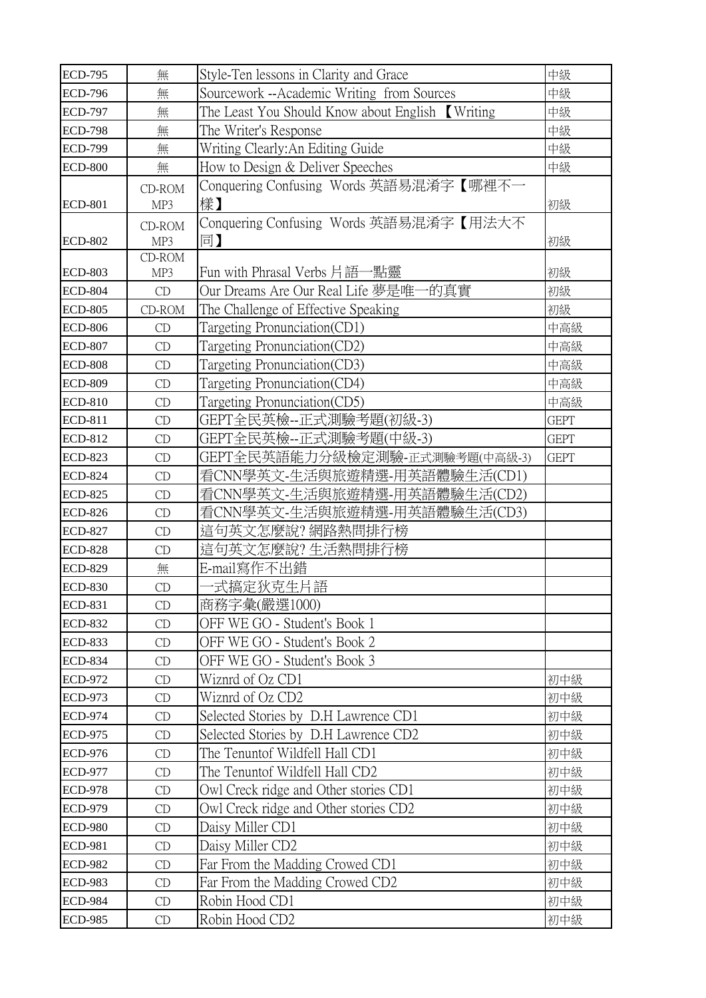| <b>ECD-795</b> | 無                       | Style-Ten lessons in Clarity and Grace          | 中級          |
|----------------|-------------------------|-------------------------------------------------|-------------|
| <b>ECD-796</b> | 無                       | Sourcework --Academic Writing from Sources      | 中級          |
| <b>ECD-797</b> | 無                       | The Least You Should Know about English Writing | 中級          |
| <b>ECD-798</b> | 無                       | The Writer's Response                           | 中級          |
| <b>ECD-799</b> | 無                       | Writing Clearly: An Editing Guide               | 中級          |
| <b>ECD-800</b> | 無                       | How to Design & Deliver Speeches                | 中級          |
| <b>ECD-801</b> | CD-ROM<br>MP3           | Conquering Confusing Words 英語易混淆字【哪裡不一<br>樣】    | 初級          |
| <b>ECD-802</b> | CD-ROM<br>MP3<br>CD-ROM | Conquering Confusing Words 英語易混淆字【用法大不<br>同】    | 初級          |
| <b>ECD-803</b> | MP3                     | Fun with Phrasal Verbs 片語一點靈                    | 初級          |
| <b>ECD-804</b> | CD                      | Our Dreams Are Our Real Life 夢是唯一的真實            | 初級          |
| <b>ECD-805</b> | CD-ROM                  | The Challenge of Effective Speaking             | 初級          |
| <b>ECD-806</b> | CD                      | Targeting Pronunciation(CD1)                    | 中高級         |
| <b>ECD-807</b> | CD                      | Targeting Pronunciation(CD2)                    | 中高級         |
| <b>ECD-808</b> | CD                      | Targeting Pronunciation(CD3)                    | 中高級         |
| <b>ECD-809</b> | CD                      | Targeting Pronunciation (CD4)                   | 中高級         |
| <b>ECD-810</b> | CD                      | Targeting Pronunciation(CD5)                    | 中高級         |
| <b>ECD-811</b> | CD                      | GEPT全民英檢--正式測驗考題(初級-3)                          | <b>GEPT</b> |
| <b>ECD-812</b> | CD                      | GEPT全民英檢--正式測驗考題(中級-3)                          | <b>GEPT</b> |
| <b>ECD-823</b> | CD                      | GEPT全民英語能力分級檢定測驗-正式測驗考題(中高級-3)                  | <b>GEPT</b> |
| <b>ECD-824</b> | CD                      | 看CNN學英文-生活與旅遊精選-用英語體驗生活(CD1)                    |             |
| <b>ECD-825</b> | CD                      | 看CNN學英文-生活與旅遊精選-用英語體驗生活(CD2)                    |             |
| <b>ECD-826</b> | CD                      | 看CNN學英文-生活與旅遊精選-用英語體驗生活(CD3)                    |             |
| <b>ECD-827</b> | CD                      | 這句英文怎麼說? 網路熱問排行榜                                |             |
| <b>ECD-828</b> | CD                      | 這句英文怎麼說? 生活熱問排行榜                                |             |
| <b>ECD-829</b> | 無                       | E-mail寫作不出錯                                     |             |
| <b>ECD-830</b> | CD                      | 式搞定狄克生片語                                        |             |
| <b>ECD-831</b> | CD                      | 商務字彙(嚴選1000)                                    |             |
| <b>ECD-832</b> | CD                      | OFF WE GO - Student's Book 1                    |             |
| <b>ECD-833</b> | CD                      | OFF WE GO - Student's Book 2                    |             |
| <b>ECD-834</b> | CD                      | OFF WE GO - Student's Book 3                    |             |
| <b>ECD-972</b> | CD                      | Wiznrd of Oz CD1                                | 初中級         |
| <b>ECD-973</b> | CD                      | Wiznrd of Oz CD2                                | 初中級         |
| <b>ECD-974</b> | CD                      | Selected Stories by D.H Lawrence CD1            | 初中級         |
| <b>ECD-975</b> | CD                      | Selected Stories by D.H Lawrence CD2            | 初中級         |
| <b>ECD-976</b> | CD                      | The Tenuntof Wildfell Hall CD1                  | 初中級         |
| <b>ECD-977</b> | CD                      | The Tenuntof Wildfell Hall CD2                  | 初中級         |
| <b>ECD-978</b> | CD                      | Owl Creck ridge and Other stories CD1           | 初中級         |
| <b>ECD-979</b> | CD                      | Owl Creck ridge and Other stories CD2           | 初中級         |
| <b>ECD-980</b> | CD                      | Daisy Miller CD1                                | 初中級         |
| <b>ECD-981</b> | CD                      | Daisy Miller CD2                                | 初中級         |
| <b>ECD-982</b> | CD                      | Far From the Madding Crowed CD1                 | 初中級         |
| <b>ECD-983</b> | CD                      | Far From the Madding Crowed CD2                 | 初中級         |
| <b>ECD-984</b> | CD                      | Robin Hood CD1                                  | 初中級         |
| <b>ECD-985</b> | CD                      | Robin Hood CD2                                  | 初中級         |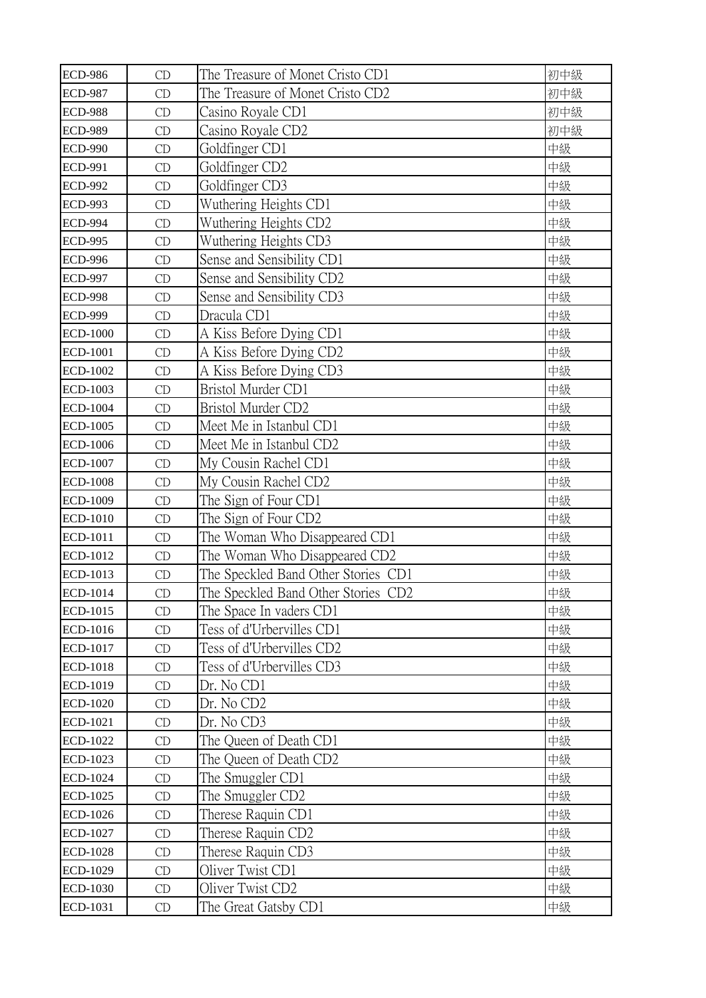| <b>ECD-986</b>  | CD | The Treasure of Monet Cristo CD1    | 初中級 |
|-----------------|----|-------------------------------------|-----|
| <b>ECD-987</b>  | CD | The Treasure of Monet Cristo CD2    | 初中級 |
| <b>ECD-988</b>  | CD | Casino Royale CD1                   | 初中級 |
| <b>ECD-989</b>  | CD | Casino Royale CD2                   | 初中級 |
| <b>ECD-990</b>  | CD | Goldfinger CD1                      | 中級  |
| <b>ECD-991</b>  | CD | Goldfinger CD2                      | 中級  |
| <b>ECD-992</b>  | CD | Goldfinger CD3                      | 中級  |
| <b>ECD-993</b>  | CD | Wuthering Heights CD1               | 中級  |
| <b>ECD-994</b>  | CD | Wuthering Heights CD2               | 中級  |
| <b>ECD-995</b>  | CD | Wuthering Heights CD3               | 中級  |
| <b>ECD-996</b>  | CD | Sense and Sensibility CD1           | 中級  |
| <b>ECD-997</b>  | CD | Sense and Sensibility CD2           | 中級  |
| <b>ECD-998</b>  | CD | Sense and Sensibility CD3           | 中級  |
| <b>ECD-999</b>  | CD | Dracula CD1                         | 中級  |
| <b>ECD-1000</b> | CD | A Kiss Before Dying CD1             | 中級  |
| <b>ECD-1001</b> | CD | A Kiss Before Dying CD2             | 中級  |
| ECD-1002        | CD | A Kiss Before Dying CD3             | 中級  |
| <b>ECD-1003</b> | CD | Bristol Murder CD1                  | 中級  |
| <b>ECD-1004</b> | CD | <b>Bristol Murder CD2</b>           | 中級  |
| <b>ECD-1005</b> | CD | Meet Me in Istanbul CD1             | 中級  |
| <b>ECD-1006</b> | CD | Meet Me in Istanbul CD2             | 中級  |
| <b>ECD-1007</b> | CD | My Cousin Rachel CD1                | 中級  |
| <b>ECD-1008</b> | CD | My Cousin Rachel CD2                | 中級  |
| ECD-1009        | CD | The Sign of Four CD1                | 中級  |
| <b>ECD-1010</b> | CD | The Sign of Four CD2                | 中級  |
| ECD-1011        | CD | The Woman Who Disappeared CD1       | 中級  |
| ECD-1012        | CD | The Woman Who Disappeared CD2       | 中級  |
| ECD-1013        | CD | The Speckled Band Other Stories CD1 | 中級  |
| ECD-1014        | CD | The Speckled Band Other Stories CD2 | 中級  |
| ECD-1015        | CD | The Space In vaders CD1             | 中級  |
| ECD-1016        | CD | Tess of d'Urbervilles CD1           | 中級  |
| ECD-1017        | CD | Tess of d'Urbervilles CD2           | 中級  |
| <b>ECD-1018</b> | CD | Tess of d'Urbervilles CD3           | 中級  |
| ECD-1019        | CD | Dr. No CD1                          | 中級  |
| <b>ECD-1020</b> | CD | Dr. No CD2                          | 中級  |
| ECD-1021        | CD | Dr. No CD3                          | 中級  |
| <b>ECD-1022</b> | CD | The Queen of Death CD1              | 中級  |
| ECD-1023        | CD | The Queen of Death CD2              | 中級  |
| ECD-1024        | CD | The Smuggler CD1                    | 中級  |
| <b>ECD-1025</b> | CD | The Smuggler CD2                    | 中級  |
| ECD-1026        | CD | Therese Raquin CD1                  | 中級  |
| ECD-1027        | CD | Therese Raquin CD2                  | 中級  |
| <b>ECD-1028</b> | CD | Therese Raquin CD3                  | 中級  |
| ECD-1029        | CD | Oliver Twist CD1                    | 中級  |
| <b>ECD-1030</b> | CD | Oliver Twist CD2                    | 中級  |
| ECD-1031        | CD | The Great Gatsby CD1                | 中級  |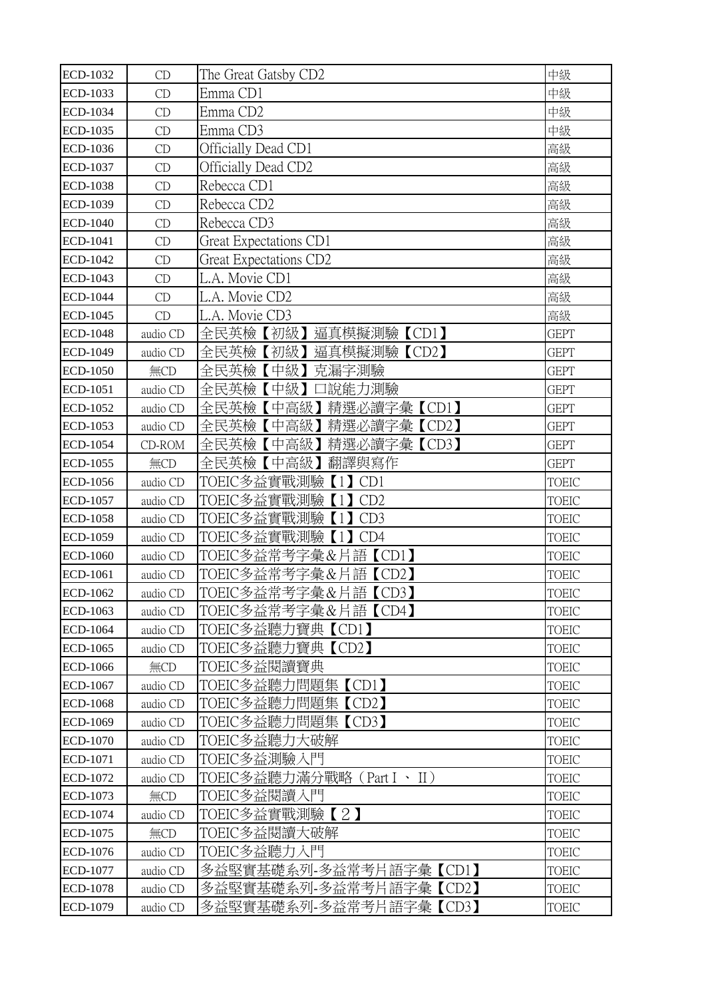| ECD-1032        | CD       | The Great Gatsby CD2       | 中級           |
|-----------------|----------|----------------------------|--------------|
| ECD-1033        | CD       | Emma CD1                   | 中級           |
| ECD-1034        | CD       | Emma CD2                   | 中級           |
| ECD-1035        | CD       | Emma CD3                   | 中級           |
| ECD-1036        | CD       | Officially Dead CD1        | 高級           |
| ECD-1037        | CD       | Officially Dead CD2        | 高級           |
| ECD-1038        | CD       | Rebecca CD1                | 高級           |
| ECD-1039        | CD       | Rebecca CD2                | 高級           |
| ECD-1040        | CD       | Rebecca CD3                | 高級           |
| ECD-1041        | CD       | Great Expectations CD1     | 高級           |
| ECD-1042        | CD       | Great Expectations CD2     | 高級           |
| ECD-1043        | CD       | L.A. Movie CD1             | 高級           |
| <b>ECD-1044</b> | CD       | L.A. Movie CD2             | 高級           |
| ECD-1045        | CD       | L.A. Movie CD3             | 高級           |
| <b>ECD-1048</b> | audio CD | 全民英檢【初級】逼真模擬測驗【CD1】        | <b>GEPT</b>  |
| ECD-1049        | audio CD | 全民英檢【初級】逼真模擬測驗【CD2】        | <b>GEPT</b>  |
| ECD-1050        | 無CD      | 全民英檢【中級】克漏字測驗              | <b>GEPT</b>  |
| ECD-1051        | audio CD | 全民英檢【中級】<br>コ說能力測驗         | <b>GEPT</b>  |
| ECD-1052        | audio CD | 全民英檢【中高級】精選必讀字彙【CD1】       | <b>GEPT</b>  |
| ECD-1053        | audio CD | 全民英檢【中高級】精選必讀字彙【CD2】       | <b>GEPT</b>  |
| ECD-1054        | CD-ROM   | 全民英檢【中高級】精選必讀字彙【CD3】       | <b>GEPT</b>  |
| ECD-1055        | 無CD      | 全民英檢【中高級】<br>翻譯與寫作         | <b>GEPT</b>  |
| ECD-1056        | audio CD | TOEIC多益實戰測驗【1】CD1          | <b>TOEIC</b> |
| ECD-1057        | audio CD | TOEIC多益實戰測驗<br>(1)<br>CD2  | TOEIC        |
| <b>ECD-1058</b> | audio CD | TOEIC多益實戰測驗【1】CD3          | <b>TOEIC</b> |
| ECD-1059        | audio CD | TOEIC多益實戰測驗【1】CD4          | <b>TOEIC</b> |
| ECD-1060        | audio CD | TOEIC多益常考字彙&片語【CD1】        | <b>TOEIC</b> |
| ECD-1061        | audio CD | TOEIC多益常考字彙&片語【CD2】        | <b>TOEIC</b> |
| ECD-1062        | audio CD | TOEIC多益常考字彙&片語【CD3】        | <b>TOEIC</b> |
| ECD-1063        | audio CD | TOEIC多益常考字彙&片語【CD4】        | <b>TOEIC</b> |
| <b>ECD-1064</b> | audio CD | TOEIC多益聽力寶典【CD1】           | <b>TOEIC</b> |
| ECD-1065        | audio CD | TOEIC多益聽力寶典【CD2】           | <b>TOEIC</b> |
| ECD-1066        | 無CD      | TOEIC多益閱讀寶典                | <b>TOEIC</b> |
| ECD-1067        | audio CD | TOEIC多益聽力問題集【CD1】          | <b>TOEIC</b> |
| <b>ECD-1068</b> | audio CD | TOEIC多益聽力問題集【CD2】          | <b>TOEIC</b> |
| ECD-1069        | audio CD | TOEIC多益聽力問題集【CD3】          | <b>TOEIC</b> |
| <b>ECD-1070</b> | audio CD | TOEIC多益聽力大破解               | <b>TOEIC</b> |
| ECD-1071        | audio CD | TOEIC多益測驗入門                | <b>TOEIC</b> |
| ECD-1072        | audio CD | TOEIC多益聽力滿分戰略(Part I 、 II) | <b>TOEIC</b> |
| ECD-1073        | 無CD      | TOEIC多益閱讀入門                | <b>TOEIC</b> |
| ECD-1074        | audio CD | TOEIC多益實戰測驗【2】             | <b>TOEIC</b> |
| ECD-1075        | 無CD      | TOEIC多益閱讀大破解               | <b>TOEIC</b> |
| ECD-1076        | audio CD | TOEIC多益聽力入門                | <b>TOEIC</b> |
| <b>ECD-1077</b> | audio CD | 多益堅實基礎系列-多益常考片語字彙【CD1】     | TOEIC        |
| <b>ECD-1078</b> | audio CD | 多益堅實基礎系列-多益常考片語字彙【CD2】     | <b>TOEIC</b> |
| ECD-1079        | audio CD | 多益堅實基礎系列-多益常考片語字彙【CD3】     | <b>TOEIC</b> |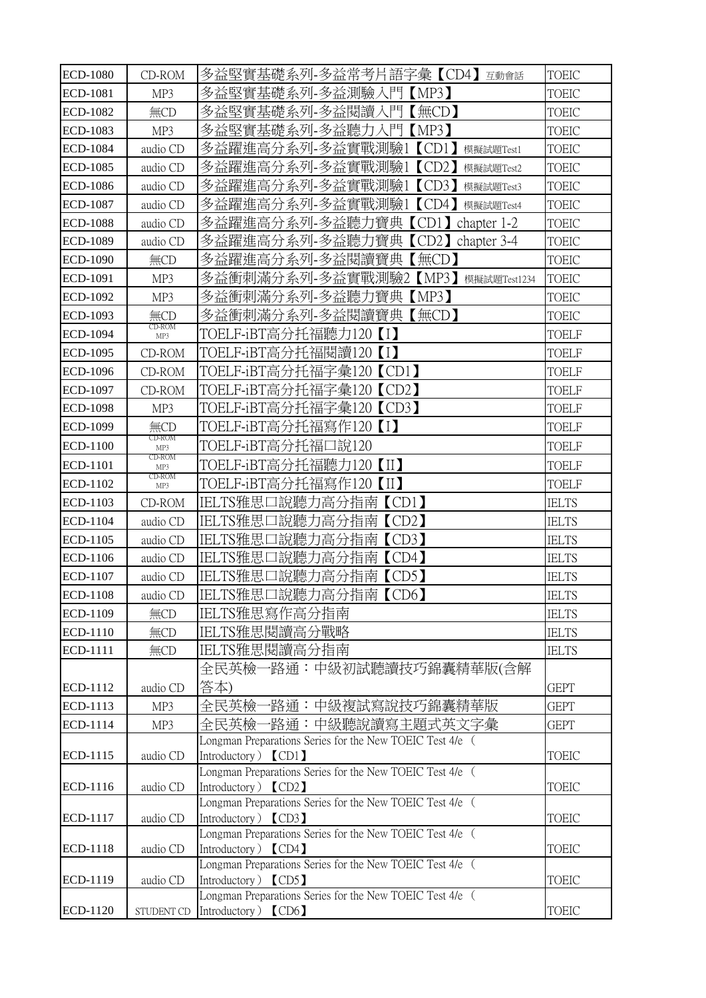| <b>ECD-1080</b> | CD-ROM        | 多益堅實基礎系列-多益常考片語字彙【CD4】 互動會話                                                         | <b>TOEIC</b> |
|-----------------|---------------|-------------------------------------------------------------------------------------|--------------|
| ECD-1081        | MP3           | 多益堅實基礎系列-多益測驗入門【MP3】                                                                | TOEIC        |
| ECD-1082        | 無CD           | 多益堅實基礎系列-多益閱讀入門<br>【無CD】                                                            | TOEIC        |
| ECD-1083        | MP3           | 多益堅實基礎系列-多益聽力入門<br>(MP3)                                                            | <b>TOEIC</b> |
| ECD-1084        | audio CD      | 多益躍進高分系列-多益實戰測驗1<br>$\text{CD}1$<br>模擬試題Test1                                       | <b>TOEIC</b> |
| ECD-1085        | audio CD      | 多益躍進高分系列-多益實戰測驗1<br>$\overline{CD2}$<br>模擬試題Test2                                   | <b>TOEIC</b> |
| ECD-1086        | audio CD      | 多益躍進高分系列-多益實戰測驗1<br>(CD3)<br>模擬試題Test3                                              | TOEIC        |
| <b>ECD-1087</b> | audio CD      | 多益躍進高分系列-多益實戰測驗1<br>$\text{CD4}$<br>模擬試題Test4                                       | TOEIC        |
| <b>ECD-1088</b> | audio CD      | 多益躍進高分系列-多益聽力寶典<br>[CD1]<br>chapter 1-2                                             | <b>TOEIC</b> |
| ECD-1089        | audio CD      | 多益躍進高分系列-多益聽力寶典<br><b>[CD2]</b> chapter 3-4                                         | <b>TOEIC</b> |
| <b>ECD-1090</b> | 無CD           | 多益躍進高分系列-多益閱讀寶典【無CD】                                                                | <b>TOEIC</b> |
| ECD-1091        | MP3           | 多益衝刺滿分系列-多益實戰測驗2【MP3】<br>模擬試題Test1234                                               | TOEIC        |
| ECD-1092        | MP3           | 多益衝刺滿分系列-多益聽力寶典【MP3】                                                                | TOEIC        |
| ECD-1093        | 無CD           | 多益衝刺滿分系列-多益閱讀寶典【無CD】                                                                | <b>TOEIC</b> |
| ECD-1094        | CD-ROM<br>MP3 | TOELF-iBT高分托福聽力120【I】                                                               | <b>TOELF</b> |
| ECD-1095        | $CD$ - $ROM$  | TOELF-iBT高分托福閱讀120【I】                                                               | <b>TOELF</b> |
| ECD-1096        | CD-ROM        | TOELF-iBT高分托福字彙120【CD1】                                                             | <b>TOELF</b> |
| ECD-1097        | CD-ROM        | TOELF-iBT高分托福字彙120【CD2】                                                             | <b>TOELF</b> |
| <b>ECD-1098</b> | MP3           | TOELF-iBT高分托福字彙120【CD3】                                                             | <b>TOELF</b> |
| ECD-1099        | 無CD           | TOELF-iBT高分托福寫作120【I】                                                               | <b>TOELF</b> |
| ECD-1100        | CD-ROM<br>MP3 | TOELF-iBT高分托福口說120                                                                  | <b>TOELF</b> |
| ECD-1101        | CD-ROM<br>MP3 | TOELF-iBT高分托福聽力120【II】                                                              | <b>TOELF</b> |
| ECD-1102        | CD-ROM<br>MP3 | TOELF-iBT高分托福寫作120【II】                                                              | <b>TOELF</b> |
| ECD-1103        | CD-ROM        | IELTS雅思口說聽力高分指南<br>$\text{CD}1$                                                     | <b>IELTS</b> |
| ECD-1104        | audio CD      | IELTS雅思 <br> 說聽力高分指南<br>$\text{CD2}$                                                | <b>IELTS</b> |
| ECD-1105        | audio CD      | <b>IELTS雅思</b><br>!說聽力高分指南<br>[CD3]                                                 | <b>IELTS</b> |
| ECD-1106        | audio CD      | IELTS雅思I<br>コ說聽力高分指南<br>$\text{CD4}$                                                | <b>IELTS</b> |
| ECD-1107        | audio CD      | IELTS雅思口說聽力高分指南<br>$\text{CD5}$                                                     | <b>IELTS</b> |
| ECD-1108        | audio CD      | <b>IELTS雅思口說聽力高分指南【CD6】</b>                                                         | <b>IELTS</b> |
| ECD-1109        | 無CD           | IELTS雅思寫作高分指南                                                                       | <b>IELTS</b> |
| ECD-1110        | 無CD           | IELTS雅思閱讀高分戰略                                                                       | <b>IELTS</b> |
| ECD-1111        | 無CD           | IELTS雅思閱讀高分指南                                                                       | <b>IELTS</b> |
|                 |               | 全民英檢一路通:中級初試聽讀技巧錦囊精華版(含解                                                            |              |
| ECD-1112        | audio CD      | 答本)                                                                                 | <b>GEPT</b>  |
| ECD-1113        | MP3           | 全民英檢-<br>·路通:中級複試寫說技巧錦囊精華版                                                          | <b>GEPT</b>  |
| ECD-1114        | MP3           | 全民英檢一路通:中級聽說讀寫主題式英文字彙                                                               | <b>GEPT</b>  |
|                 |               | Longman Preparations Series for the New TOEIC Test 4/e (                            |              |
| ECD-1115        | audio CD      | Introductory $\sum$ CD1<br>Longman Preparations Series for the New TOEIC Test 4/e ( | <b>TOEIC</b> |
| ECD-1116        | audio CD      | Introductory ) [CD2]                                                                | <b>TOEIC</b> |
|                 |               | Longman Preparations Series for the New TOEIC Test 4/e (                            |              |
| ECD-1117        | audio CD      | Introductory $\left[\begin{array}{cc}CD3\end{array}\right]$                         | <b>TOEIC</b> |
|                 |               | Longman Preparations Series for the New TOEIC Test 4/e (                            |              |
| ECD-1118        | audio CD      | Introductory ) [CD4]<br>Longman Preparations Series for the New TOEIC Test 4/e (    | <b>TOEIC</b> |
| ECD-1119        | audio CD      | Introductory ) [CD5]                                                                | <b>TOEIC</b> |
|                 |               | Longman Preparations Series for the New TOEIC Test 4/e (                            |              |
| ECD-1120        | STUDENT CD    | Introductory ) [CD6]                                                                | <b>TOEIC</b> |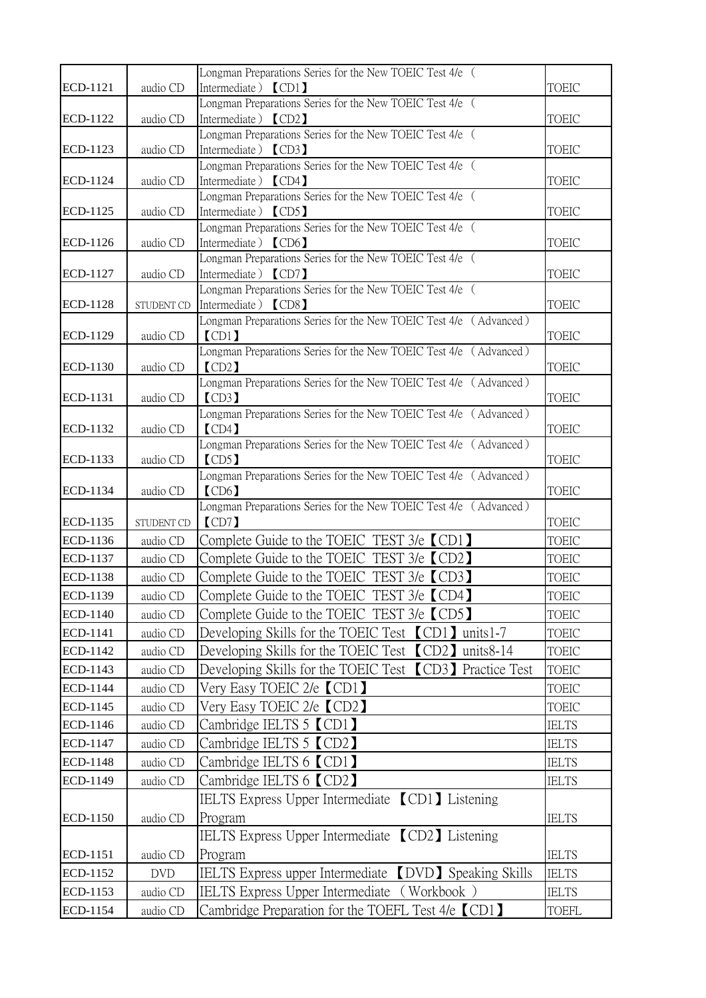|                 |            | Longman Preparations Series for the New TOEIC Test 4/e (                               |              |
|-----------------|------------|----------------------------------------------------------------------------------------|--------------|
| ECD-1121        | audio CD   | Intermediate $\sum$ CD1                                                                | <b>TOEIC</b> |
|                 |            | Longman Preparations Series for the New TOEIC Test 4/e (                               |              |
| ECD-1122        | audio CD   | Intermediate) [CD2]                                                                    | <b>TOEIC</b> |
| ECD-1123        | audio CD   | Longman Preparations Series for the New TOEIC Test 4/e (<br>Intermediate) <b>[CD3]</b> | <b>TOEIC</b> |
|                 |            | Longman Preparations Series for the New TOEIC Test 4/e (                               |              |
| ECD-1124        | audio CD   | Intermediate $\sum$ CD4                                                                | <b>TOEIC</b> |
|                 |            | Longman Preparations Series for the New TOEIC Test 4/e (                               |              |
| ECD-1125        | audio CD   | Intermediate) <b>[CD5]</b>                                                             | <b>TOEIC</b> |
|                 |            | Longman Preparations Series for the New TOEIC Test 4/e (                               |              |
| ECD-1126        | audio CD   | Intermediate) [CD6]                                                                    | <b>TOEIC</b> |
| ECD-1127        | audio CD   | Longman Preparations Series for the New TOEIC Test 4/e (<br>Intermediate) [CD7]        | <b>TOEIC</b> |
|                 |            | Longman Preparations Series for the New TOEIC Test 4/e (                               |              |
| <b>ECD-1128</b> | STUDENT CD | Intermediate) [CD8]                                                                    | <b>TOEIC</b> |
|                 |            | Longman Preparations Series for the New TOEIC Test 4/e (Advanced)                      |              |
| ECD-1129        | audio CD   | [CD1]                                                                                  | <b>TOEIC</b> |
|                 |            | Longman Preparations Series for the New TOEIC Test 4/e (Advanced)                      |              |
| ECD-1130        | audio CD   | [CD2]<br>Longman Preparations Series for the New TOEIC Test 4/e (Advanced)             | <b>TOEIC</b> |
| ECD-1131        | audio CD   | [CD3]                                                                                  | <b>TOEIC</b> |
|                 |            | Longman Preparations Series for the New TOEIC Test 4/e (Advanced)                      |              |
| ECD-1132        | audio CD   | [CD4]                                                                                  | <b>TOEIC</b> |
|                 |            | Longman Preparations Series for the New TOEIC Test 4/e (Advanced)                      |              |
| ECD-1133        | audio CD   | [CD5]                                                                                  | <b>TOEIC</b> |
| ECD-1134        |            | Longman Preparations Series for the New TOEIC Test 4/e (Advanced)<br>[CD6]             | <b>TOEIC</b> |
|                 | audio CD   | Longman Preparations Series for the New TOEIC Test 4/e (Advanced)                      |              |
| ECD-1135        | STUDENT CD | [CD7]                                                                                  | <b>TOEIC</b> |
| ECD-1136        | audio CD   | Complete Guide to the TOEIC TEST 3/e [CD1]                                             | <b>TOEIC</b> |
| ECD-1137        | audio CD   | Complete Guide to the TOEIC TEST 3/e 【CD2】                                             | <b>TOEIC</b> |
| ECD-1138        | audio CD   | Complete Guide to the TOEIC TEST 3/e 【CD3】                                             | <b>TOEIC</b> |
| ECD-1139        | audio CD   | Complete Guide to the TOEIC TEST 3/e [CD4]                                             | <b>TOEIC</b> |
| ECD-1140        | audio CD   | Complete Guide to the TOEIC TEST 3/e (CD5)                                             | <b>TOEIC</b> |
| ECD-1141        | audio CD   | Developing Skills for the TOEIC Test [CD1] units1-7                                    | <b>TOEIC</b> |
| ECD-1142        | audio CD   | Developing Skills for the TOEIC Test [CD2] units8-14                                   | <b>TOEIC</b> |
| ECD-1143        | audio CD   | Developing Skills for the TOEIC Test <b>[CD3]</b> Practice Test                        | <b>TOEIC</b> |
| ECD-1144        | audio CD   | Very Easy TOEIC 2/e CD1                                                                | <b>TOEIC</b> |
| ECD-1145        | audio CD   | Very Easy TOEIC 2/e 【CD2】                                                              | <b>TOEIC</b> |
| ECD-1146        | audio CD   | Cambridge IELTS 5 CD1                                                                  | <b>IELTS</b> |
| ECD-1147        | audio CD   | Cambridge IELTS 5 [CD2]                                                                | <b>IELTS</b> |
| ECD-1148        | audio CD   | Cambridge IELTS 6 CD1                                                                  | <b>IELTS</b> |
| ECD-1149        |            | Cambridge IELTS 6 [CD2]                                                                | <b>IELTS</b> |
|                 | audio CD   |                                                                                        |              |
|                 |            | IELTS Express Upper Intermediate [CD1] Listening                                       |              |
| ECD-1150        | audio CD   | Program                                                                                | <b>IELTS</b> |
|                 |            | IELTS Express Upper Intermediate 【CD2】 Listening                                       |              |
| ECD-1151        | audio CD   | Program                                                                                | <b>IELTS</b> |
| ECD-1152        | <b>DVD</b> | <b>IELTS</b> Express upper Intermediate <b>[DVD]</b> Speaking Skills                   | <b>IELTS</b> |
| ECD-1153        | audio CD   | IELTS Express Upper Intermediate (Workbook)                                            | <b>IELTS</b> |
| ECD-1154        | audio CD   | Cambridge Preparation for the TOEFL Test $4/e$ (CD1)                                   | <b>TOEFL</b> |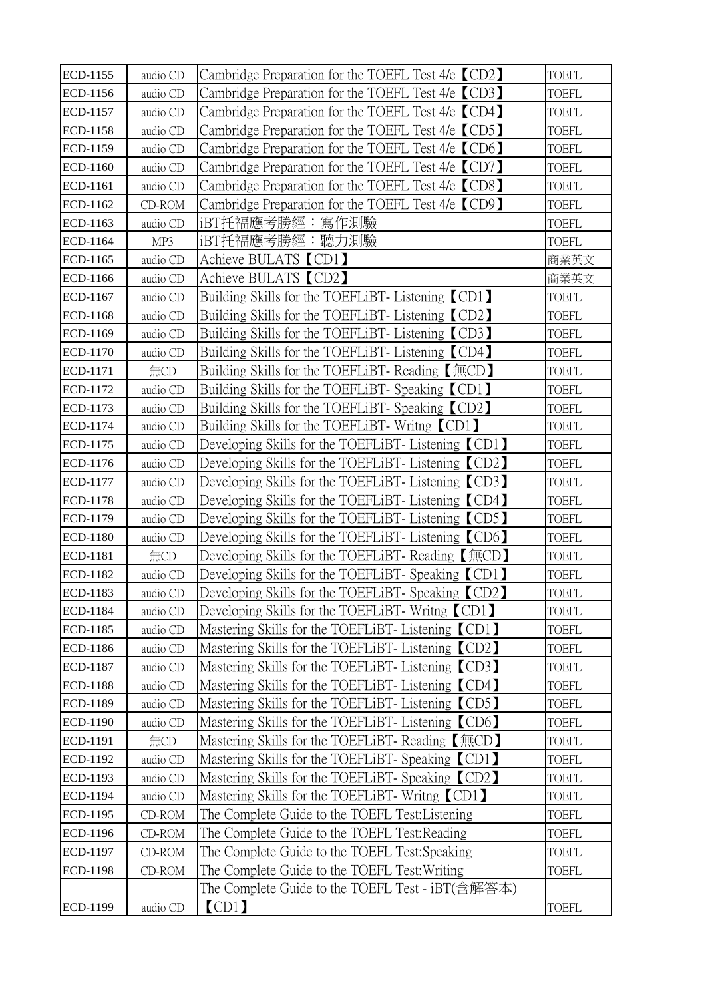| ECD-1155        | audio CD     | Cambridge Preparation for the TOEFL Test 4/e [CD2] | <b>TOEFL</b> |
|-----------------|--------------|----------------------------------------------------|--------------|
| ECD-1156        | audio CD     | Cambridge Preparation for the TOEFL Test 4/e (CD3) | <b>TOEFL</b> |
| ECD-1157        | audio CD     | Cambridge Preparation for the TOEFL Test 4/e CCD4  | <b>TOEFL</b> |
| ECD-1158        | audio CD     | Cambridge Preparation for the TOEFL Test 4/e CD5   | <b>TOEFL</b> |
| ECD-1159        | audio CD     | Cambridge Preparation for the TOEFL Test 4/e CD6   | <b>TOEFL</b> |
| ECD-1160        | audio CD     | Cambridge Preparation for the TOEFL Test 4/e (CD7) | <b>TOEFL</b> |
| ECD-1161        | audio CD     | Cambridge Preparation for the TOEFL Test 4/e CD8)  | <b>TOEFL</b> |
| ECD-1162        | CD-ROM       | Cambridge Preparation for the TOEFL Test 4/e CD9)  | <b>TOEFL</b> |
| ECD-1163        | audio CD     | iBT托福應考勝經:寫作測驗                                     | <b>TOEFL</b> |
| ECD-1164        | MP3          | iBT托福應考勝經:聽力測驗                                     | <b>TOEFL</b> |
| ECD-1165        | audio CD     | Achieve BULATS [CD1]                               | 商業英文         |
| ECD-1166        | audio CD     | Achieve BULATS 【CD2】                               | 商業英文         |
| ECD-1167        | audio CD     | Building Skills for the TOEFLiBT-Listening (CD1)   | <b>TOEFL</b> |
| ECD-1168        | audio CD     | Building Skills for the TOEFLiBT-Listening (CD2)   | <b>TOEFL</b> |
| ECD-1169        | audio CD     | Building Skills for the TOEFLiBT-Listening (CD3)   | <b>TOEFL</b> |
| ECD-1170        | audio CD     | Building Skills for the TOEFLiBT-Listening (CD4)   | <b>TOEFL</b> |
| ECD-1171        | 無CD          | Building Skills for the TOEFLiBT- Reading 【無CD】    | <b>TOEFL</b> |
| ECD-1172        | audio CD     | Building Skills for the TOEFLiBT- Speaking (CD1)   | <b>TOEFL</b> |
| ECD-1173        | audio CD     | Building Skills for the TOEFLiBT- Speaking (CD2)   | <b>TOEFL</b> |
| ECD-1174        | audio CD     | Building Skills for the TOEFLiBT-Writng (CD1)      | <b>TOEFL</b> |
| ECD-1175        | audio CD     | Developing Skills for the TOEFLiBT-Listening (CD1) | <b>TOEFL</b> |
| ECD-1176        | audio CD     | Developing Skills for the TOEFLiBT-Listening (CD2) | <b>TOEFL</b> |
| <b>ECD-1177</b> | audio CD     | Developing Skills for the TOEFLiBT-Listening (CD3) | <b>TOEFL</b> |
| ECD-1178        | audio CD     | Developing Skills for the TOEFLiBT-Listening (CD4) | <b>TOEFL</b> |
| ECD-1179        | audio CD     | Developing Skills for the TOEFLiBT-Listening (CD5) | <b>TOEFL</b> |
| ECD-1180        | audio CD     | Developing Skills for the TOEFLiBT-Listening (CD6) | <b>TOEFL</b> |
| ECD-1181        | 無CD          | Developing Skills for the TOEFLiBT- Reading 【無CD】  | <b>TOEFL</b> |
| ECD-1182        | audio CD     | Developing Skills for the TOEFLiBT- Speaking (CD1) | <b>TOEFL</b> |
| ECD-1183        | audio CD     | Developing Skills for the TOEFLiBT- Speaking (CD2) | <b>TOEFL</b> |
| ECD-1184        | audio CD     | Developing Skills for the TOEFLiBT-Writng (CD1)    | TOEFL        |
| ECD-1185        | audio CD     | Mastering Skills for the TOEFLiBT-Listening (CD1)  | <b>TOEFL</b> |
| ECD-1186        | audio CD     | Mastering Skills for the TOEFLiBT-Listening (CD2)  | <b>TOEFL</b> |
| <b>ECD-1187</b> | audio CD     | Mastering Skills for the TOEFLiBT-Listening (CD3)  | <b>TOEFL</b> |
| <b>ECD-1188</b> | audio CD     | Mastering Skills for the TOEFLiBT-Listening (CD4)  | <b>TOEFL</b> |
| ECD-1189        | audio CD     | Mastering Skills for the TOEFLiBT-Listening (CD5)  | <b>TOEFL</b> |
| ECD-1190        | audio CD     | Mastering Skills for the TOEFLiBT-Listening (CD6)  | <b>TOEFL</b> |
| ECD-1191        | 無CD          | Mastering Skills for the TOEFLiBT- Reading 【無CD】   | TOEFL        |
| ECD-1192        | audio CD     | Mastering Skills for the TOEFLiBT- Speaking (CD1)  | <b>TOEFL</b> |
| ECD-1193        | audio CD     | Mastering Skills for the TOEFLiBT- Speaking (CD2)  | <b>TOEFL</b> |
| ECD-1194        | audio CD     | Mastering Skills for the TOEFLiBT-Writng (CD1)     | TOEFL        |
| ECD-1195        | $CD$ - $ROM$ | The Complete Guide to the TOEFL Test: Listening    | <b>TOEFL</b> |
| ECD-1196        | CD-ROM       | The Complete Guide to the TOEFL Test: Reading      | <b>TOEFL</b> |
| ECD-1197        | CD-ROM       | The Complete Guide to the TOEFL Test:Speaking      | <b>TOEFL</b> |
| ECD-1198        | CD-ROM       | The Complete Guide to the TOEFL Test: Writing      | <b>TOEFL</b> |
|                 |              | The Complete Guide to the TOEFL Test - iBT(含解答本)   |              |
| ECD-1199        | audio CD     | [CD1]                                              | <b>TOEFL</b> |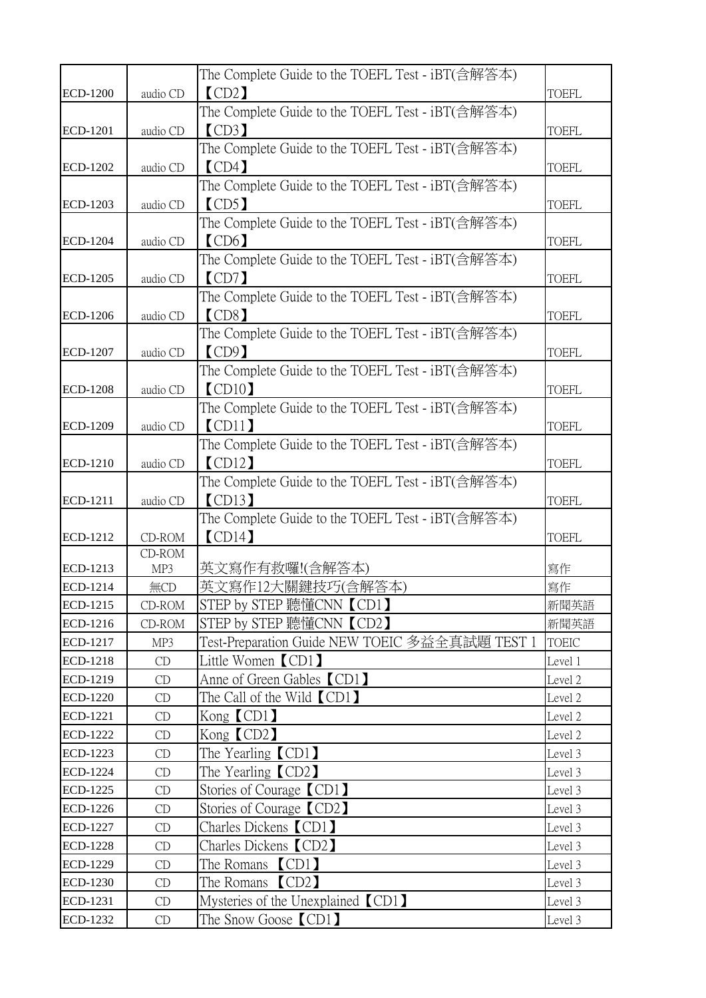|                 |               | The Complete Guide to the TOEFL Test - iBT(含解答本)          |              |
|-----------------|---------------|-----------------------------------------------------------|--------------|
| ECD-1200        | audio CD      | [CD2]                                                     | <b>TOEFL</b> |
|                 |               | The Complete Guide to the TOEFL Test - iBT(含解答本)          |              |
| ECD-1201        | audio CD      | [CD3]                                                     | <b>TOEFL</b> |
|                 |               | The Complete Guide to the TOEFL Test - iBT(含解答本)          |              |
| ECD-1202        | audio CD      | [CD4]                                                     | <b>TOEFL</b> |
|                 |               | The Complete Guide to the TOEFL Test - iBT(含解答本)          |              |
| ECD-1203        | audio CD      | [CD5]                                                     | <b>TOEFL</b> |
|                 |               | The Complete Guide to the TOEFL Test - iBT(含解答本)          |              |
| ECD-1204        | audio CD      | [CD6]                                                     | <b>TOEFL</b> |
|                 |               | The Complete Guide to the TOEFL Test - iBT(含解答本)          |              |
| ECD-1205        | audio CD      | [CD7]                                                     | <b>TOEFL</b> |
| ECD-1206        | audio CD      | The Complete Guide to the TOEFL Test - iBT(含解答本)<br>[CD8] | <b>TOEFL</b> |
|                 |               | The Complete Guide to the TOEFL Test - iBT(含解答本)          |              |
| ECD-1207        | audio CD      | [CD9]                                                     | <b>TOEFL</b> |
|                 |               | The Complete Guide to the TOEFL Test - iBT(含解答本)          |              |
| <b>ECD-1208</b> | audio CD      | [CD10]                                                    | <b>TOEFL</b> |
|                 |               | The Complete Guide to the TOEFL Test - iBT(含解答本)          |              |
| ECD-1209        | audio CD      | [CD11]                                                    | <b>TOEFL</b> |
|                 |               | The Complete Guide to the TOEFL Test - iBT(含解答本)          |              |
| ECD-1210        | audio CD      | [CD12]                                                    | <b>TOEFL</b> |
|                 |               | The Complete Guide to the TOEFL Test - iBT(含解答本)          |              |
| ECD-1211        | audio CD      | [CD13]                                                    | <b>TOEFL</b> |
|                 |               | The Complete Guide to the TOEFL Test - iBT(含解答本)          |              |
| ECD-1212        | CD-ROM        | [CD14]                                                    | <b>TOEFL</b> |
| ECD-1213        | CD-ROM<br>MP3 | 英文寫作有救囉!(含解答本)                                            | 寫作           |
| ECD-1214        | 無CD           | 英文寫作12大關鍵技巧(含解答本)                                         | 寫作           |
| ECD-1215        | CD-ROM        | STEP by STEP 聽懂CNN【CD1】                                   | 新聞英語         |
| ECD-1216        | $CD$ - $ROM$  | STEP by STEP 聽懂CNN【CD2】                                   | 新聞英語         |
| ECD-1217        | MP3           | Test-Preparation Guide NEW TOEIC 多益全真試題 TEST 1            | <b>TOEIC</b> |
| <b>ECD-1218</b> | CD            | Little Women (CD1)                                        | Level 1      |
| ECD-1219        | CD            | Anne of Green Gables <i>[CD1]</i>                         | Level 2      |
| <b>ECD-1220</b> | CD            | The Call of the Wild $\mathbb{C}$ D1)                     | Level 2      |
| ECD-1221        | CD            | Kong <i>[CD1]</i>                                         | Level 2      |
| ECD-1222        | CD            | Kong $\text{CD2}$                                         | Level 2      |
| ECD-1223        | CD            | The Yearling <b>[CD1]</b>                                 | Level 3      |
| ECD-1224        | CD            | The Yearling $\mathcal{L}$ CD2 $\mathcal{L}$              | Level 3      |
| ECD-1225        | CD            | Stories of Courage <b>[CD1]</b>                           | Level 3      |
| ECD-1226        | CD            | Stories of Courage 【CD2】                                  | Level 3      |
| ECD-1227        | CD            | Charles Dickens <b>[CD1]</b>                              | Level 3      |
| <b>ECD-1228</b> | CD            | Charles Dickens <b>[CD2]</b>                              | Level 3      |
| ECD-1229        | CD            | The Romans <b>CD1</b>                                     | Level 3      |
| ECD-1230        | CD            | The Romans <b>[CD2]</b>                                   | Level 3      |
| ECD-1231        | CD            | Mysteries of the Unexplained (CD1)                        | Level 3      |
| ECD-1232        | CD            | The Snow Goose <b>[CD1]</b>                               | Level 3      |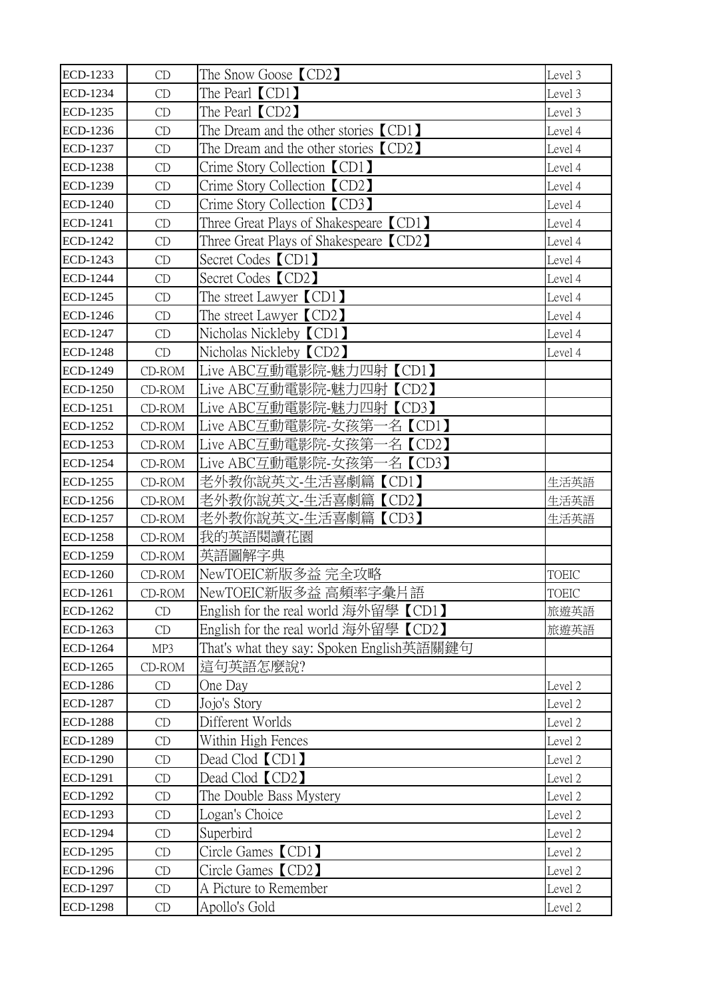| ECD-1233        | CD           | The Snow Goose <b>CD2</b>                              | Level 3      |
|-----------------|--------------|--------------------------------------------------------|--------------|
| ECD-1234        | CD           | The Pearl <b>CD1</b>                                   | Level 3      |
| ECD-1235        | CD           | The Pearl $\text{CD2}$                                 | Level 3      |
| ECD-1236        | CD           | The Dream and the other stories $\mathbb{C}\text{CD1}$ | Level 4      |
| <b>ECD-1237</b> | CD           | The Dream and the other stories (CD2)                  | Level 4      |
| <b>ECD-1238</b> | CD           | Crime Story Collection <b>CD1</b>                      | Level 4      |
| ECD-1239        | CD           | Crime Story Collection <b>[CD2]</b>                    | Level 4      |
| <b>ECD-1240</b> | CD           | Crime Story Collection 【CD3】                           | Level 4      |
| ECD-1241        | CD           | Three Great Plays of Shakespeare $\Box$ CD1)           | Level 4      |
| ECD-1242        | CD           | Three Great Plays of Shakespeare $\mathcal{L}$ CD2)    | Level 4      |
| ECD-1243        | CD           | Secret Codes <b>CD1</b>                                | Level 4      |
| ECD-1244        | CD           | Secret Codes 【CD2】                                     | Level 4      |
| ECD-1245        | CD           | The street Lawyer $\text{\textsf{CD1}}$                | Level 4      |
| ECD-1246        | CD           | The street Lawyer $[CD2]$                              | Level 4      |
| ECD-1247        | CD           | Nicholas Nickleby <b>[CD1]</b>                         | Level 4      |
| <b>ECD-1248</b> | CD           | Nicholas Nickleby (CD2)                                | Level 4      |
| ECD-1249        | CD-ROM       | Live ABC互動電影院-魅力四射【CD1】                                |              |
| <b>ECD-1250</b> | CD-ROM       | Live ABC互動電影院-魅力四射【CD2】                                |              |
| ECD-1251        | CD-ROM       | Live ABC互動電影院-魅力四射【CD3】                                |              |
| ECD-1252        | CD-ROM       | Live ABC互動電影院-女孩第-<br>-名 【CD1】                         |              |
| ECD-1253        | $CD$ - $ROM$ | Live ABC互動電影院-女孩第一名【CD2】                               |              |
| ECD-1254        | CD-ROM       | Live ABC互動電影院-女孩第-<br>-名【CD3】                          |              |
| ECD-1255        | $CD$ - $ROM$ | 老外教你說英文-生活喜劇篇【CD1】                                     | 生活英語         |
| ECD-1256        | CD-ROM       | 老外教你說英文-生活喜劇篇【CD2】                                     | 生活英語         |
| <b>ECD-1257</b> | CD-ROM       | 老外教你說英文-生活喜劇篇【CD3】                                     | 生活英語         |
| <b>ECD-1258</b> | CD-ROM       | 我的英語閱讀花園                                               |              |
| ECD-1259        | CD-ROM       | 英語圖解字典                                                 |              |
| <b>ECD-1260</b> | $CD$ - $ROM$ | NewTOEIC新版多益 完全攻略                                      | <b>TOEIC</b> |
| ECD-1261        | $CD$ - $ROM$ | NewTOEIC新版多益 高頻率字彙片語                                   | <b>TOEIC</b> |
| ECD-1262        | CD           | English for the real world 海外留學【CD1】                   | 旅遊英語         |
| ECD-1263        | CD           | English for the real world 海外留學【CD2】                   | 旅遊英語         |
| ECD-1264        | MP3          | That's what they say: Spoken English英語關鍵句              |              |
| ECD-1265        | $CD$ - $ROM$ | 這句英語怎麼說?                                               |              |
| ECD-1286        | CD           | One Day                                                | Level 2      |
| <b>ECD-1287</b> | CD           | Jojo's Story                                           | Level 2      |
| <b>ECD-1288</b> | CD           | Different Worlds                                       | Level 2      |
| ECD-1289        | CD           | Within High Fences                                     | Level 2      |
| <b>ECD-1290</b> | CD           | Dead Clod <i>[CD1]</i>                                 | Level 2      |
| ECD-1291        | CD           | Dead Clod <b>[CD2]</b>                                 | Level 2      |
| ECD-1292        | CD           | The Double Bass Mystery                                | Level 2      |
| ECD-1293        | CD           | Logan's Choice                                         | Level 2      |
| ECD-1294        | CD           | Superbird                                              | Level 2      |
| <b>ECD-1295</b> | CD           | Circle Games <b>[CD1]</b>                              | Level 2      |
| ECD-1296        | CD           | Circle Games 【CD2】                                     | Level 2      |
| ECD-1297        | CD           | A Picture to Remember                                  | Level 2      |
| <b>ECD-1298</b> | CD           | Apollo's Gold                                          | Level 2      |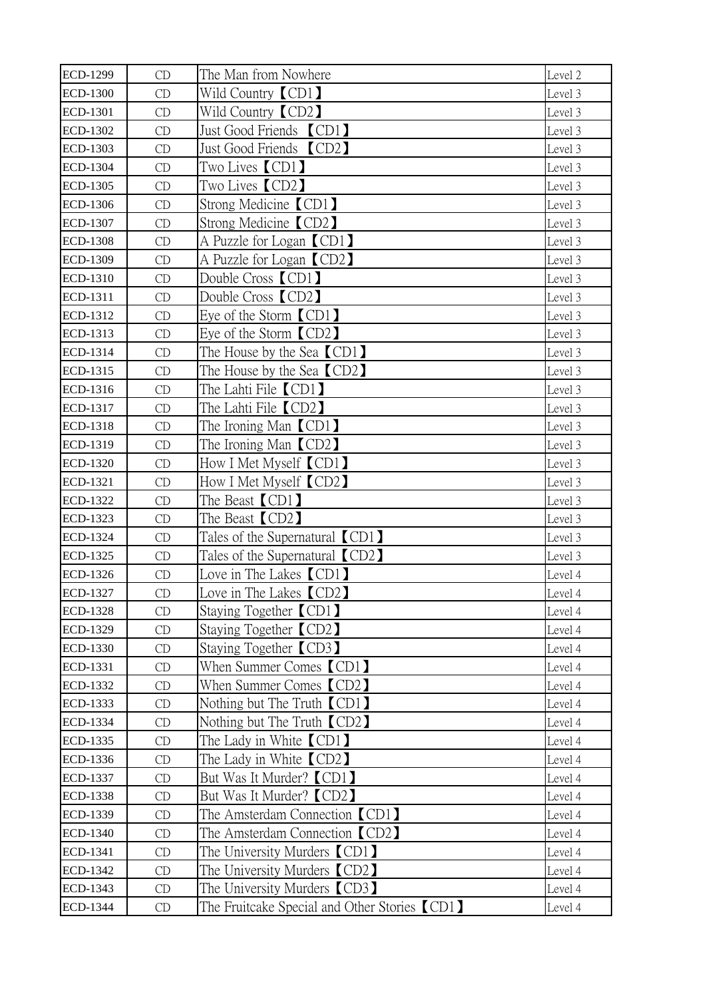| ECD-1299        | CD | The Man from Nowhere                          | Level 2 |
|-----------------|----|-----------------------------------------------|---------|
| <b>ECD-1300</b> | CD | Wild Country <b>[CD1]</b>                     | Level 3 |
| <b>ECD-1301</b> | CD | Wild Country <b>[CD2]</b>                     | Level 3 |
| ECD-1302        | CD | Just Good Friends <b>[CD1]</b>                | Level 3 |
| ECD-1303        | CD | Just Good Friends <b>[CD2]</b>                | Level 3 |
| ECD-1304        | CD | Two Lives <b>[CD1]</b>                        | Level 3 |
| ECD-1305        | CD | Two Lives 【CD2】                               | Level 3 |
| ECD-1306        | CD | Strong Medicine <b>[CD1]</b>                  | Level 3 |
| ECD-1307        | CD | Strong Medicine <b>[CD2]</b>                  | Level 3 |
| <b>ECD-1308</b> | CD | A Puzzle for Logan (CD1)                      | Level 3 |
| ECD-1309        | CD | A Puzzle for Logan (CD2)                      | Level 3 |
| ECD-1310        | CD | Double Cross <b>[CD1]</b>                     | Level 3 |
| ECD-1311        | CD | Double Cross 【CD2】                            | Level 3 |
| ECD-1312        | CD | Eye of the Storm $\text{CD1}$                 | Level 3 |
| ECD-1313        | CD | Eye of the Storm $[CD2]$                      | Level 3 |
| ECD-1314        | CD | The House by the Sea <b>[CD1]</b>             | Level 3 |
| ECD-1315        | CD | The House by the Sea <i>[CD2]</i>             | Level 3 |
| ECD-1316        | CD | The Lahti File <b>[CD1]</b>                   | Level 3 |
| ECD-1317        | CD | The Lahti File 【CD2】                          | Level 3 |
| ECD-1318        | CD | The Ironing Man $\mathbb{C}$ D1)              | Level 3 |
| ECD-1319        | CD | The Ironing Man $\mathbb{C}$ D2)              | Level 3 |
| ECD-1320        | CD | How I Met Myself <i>[CD1]</i>                 | Level 3 |
| ECD-1321        | CD | How I Met Myself <i>[CD2]</i>                 | Level 3 |
| ECD-1322        | CD | The Beast <b>[CD1]</b>                        | Level 3 |
| ECD-1323        | CD | The Beast (CD2)                               | Level 3 |
| ECD-1324        | CD | Tales of the Supernatural <b>[CD1]</b>        | Level 3 |
| ECD-1325        | CD | Tales of the Supernatural <b>[CD2]</b>        | Level 3 |
| ECD-1326        | CD | Love in The Lakes (CD1)                       | Level 4 |
| <b>ECD-1327</b> | CD | Love in The Lakes 【CD2】                       | Level 4 |
| <b>ECD-1328</b> | CD | Staying Together <b>CD1</b>                   | Level 4 |
| ECD-1329        | CD | Staying Together <b>CD2</b>                   | Level 4 |
| ECD-1330        | CD | Staying Together <b>CD3</b>                   | Level 4 |
| ECD-1331        | CD | When Summer Comes <b>[CD1]</b>                | Level 4 |
| ECD-1332        | CD | When Summer Comes <b>[CD2]</b>                | Level 4 |
| ECD-1333        | CD | Nothing but The Truth $\mathbb{C}$ D1         | Level 4 |
| ECD-1334        | CD | Nothing but The Truth $\mathbb{C}$ D2)        | Level 4 |
| ECD-1335        | CD | The Lady in White $\text{CD1}$                | Level 4 |
| ECD-1336        | CD | The Lady in White $\Gamma$ CD2)               | Level 4 |
| ECD-1337        | CD | But Was It Murder? CD1                        | Level 4 |
| <b>ECD-1338</b> | CD | But Was It Murder? CD2                        | Level 4 |
| ECD-1339        | CD | The Amsterdam Connection <b>[CD1]</b>         | Level 4 |
| ECD-1340        | CD | The Amsterdam Connection [CD2]                | Level 4 |
| ECD-1341        | CD | The University Murders <b>[CD1]</b>           | Level 4 |
| ECD-1342        | CD | The University Murders (CD2)                  | Level 4 |
| ECD-1343        | CD | The University Murders (CD3)                  | Level 4 |
| ECD-1344        | CD | The Fruitcake Special and Other Stories (CD1) | Level 4 |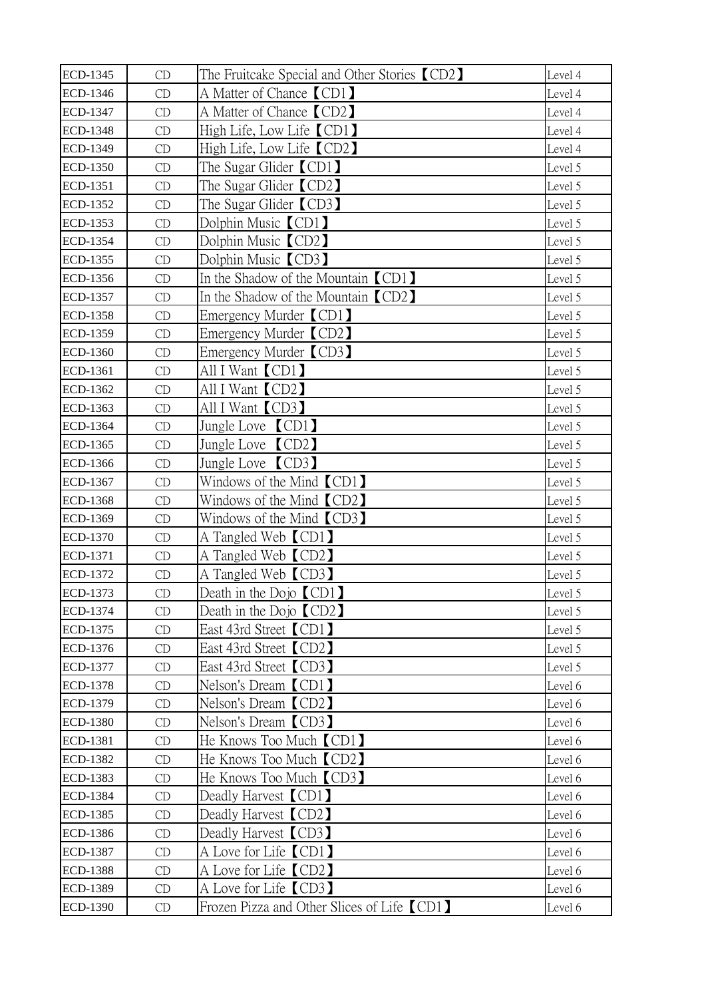| ECD-1345        | CD | The Fruitcake Special and Other Stories (CD2)  | Level 4 |
|-----------------|----|------------------------------------------------|---------|
| ECD-1346        | CD | A Matter of Chance CD1                         | Level 4 |
| ECD-1347        | CD | A Matter of Chance <b>[CD2]</b>                | Level 4 |
| ECD-1348        | CD | High Life, Low Life (CD1)                      | Level 4 |
| ECD-1349        | CD | High Life, Low Life 【CD2】                      | Level 4 |
| ECD-1350        | CD | The Sugar Glider $[CD1]$                       | Level 5 |
| ECD-1351        | CD | The Sugar Glider $[CD2]$                       | Level 5 |
| <b>ECD-1352</b> | CD | The Sugar Glider $[CD3]$                       | Level 5 |
| ECD-1353        | CD | Dolphin Music 【CD1】                            | Level 5 |
| ECD-1354        | CD | Dolphin Music <b>[CD2]</b>                     | Level 5 |
| ECD-1355        | CD | Dolphin Music <b>[CD3]</b>                     | Level 5 |
| ECD-1356        | CD | In the Shadow of the Mountain [CD1]            | Level 5 |
| <b>ECD-1357</b> | CD | In the Shadow of the Mountain $\mathbb{C}$ D2) | Level 5 |
| <b>ECD-1358</b> | CD | Emergency Murder <b>[CD1]</b>                  | Level 5 |
| <b>ECD-1359</b> | CD | Emergency Murder 【CD2】                         | Level 5 |
| <b>ECD-1360</b> | CD | Emergency Murder <b>[CD3]</b>                  | Level 5 |
| ECD-1361        | CD | All I Want <b>CD1</b>                          | Level 5 |
| ECD-1362        | CD | All I Want <i>[CD2]</i>                        | Level 5 |
| ECD-1363        | CD | All I Want <b>[CD3]</b>                        | Level 5 |
| ECD-1364        | CD | Jungle Love <b>CD1</b>                         | Level 5 |
| ECD-1365        | CD | Jungle Love $\mathcal{L}$ CD2                  | Level 5 |
| ECD-1366        | CD | Jungle Love $\mathcal{L}$ CD3)                 | Level 5 |
| ECD-1367        | CD | Windows of the Mind $\text{CD1}$               | Level 5 |
| ECD-1368        | CD | Windows of the Mind 【CD2】                      | Level 5 |
| ECD-1369        | CD | Windows of the Mind $\text{CD3}$               | Level 5 |
| <b>ECD-1370</b> | CD | A Tangled Web <b>[CD1]</b>                     | Level 5 |
| ECD-1371        | CD | A Tangled Web CD2                              | Level 5 |
| <b>ECD-1372</b> | CD | A Tangled Web 【CD3】                            | Level 5 |
| ECD-1373        | CD | Death in the Dojo <b>[CD1]</b>                 | Level 5 |
| ECD-1374        | CD | Death in the Dojo <b>[CD2]</b>                 | Level 5 |
| ECD-1375        | CD | East 43rd Street <b>CD1</b>                    | Level 5 |
| ECD-1376        | CD | East 43rd Street <b>CD2</b>                    | Level 5 |
| <b>ECD-1377</b> | CD | East 43rd Street [CD3]                         | Level 5 |
| <b>ECD-1378</b> | CD | Nelson's Dream <b>CD1</b>                      | Level 6 |
| ECD-1379        | CD | Nelson's Dream <b>CD2</b>                      | Level 6 |
| <b>ECD-1380</b> | CD | Nelson's Dream <b>[CD3]</b>                    | Level 6 |
| <b>ECD-1381</b> | CD | He Knows Too Much (CD1)                        | Level 6 |
| ECD-1382        | CD | He Knows Too Much 【CD2】                        | Level 6 |
| ECD-1383        | CD | He Knows Too Much 【CD3】                        | Level 6 |
| <b>ECD-1384</b> | CD | Deadly Harvest <b>CD1</b>                      | Level 6 |
| ECD-1385        | CD | Deadly Harvest <b>CD2</b>                      | Level 6 |
| ECD-1386        | CD | Deadly Harvest <b>CD3</b>                      | Level 6 |
| <b>ECD-1387</b> | CD | A Love for Life CD1                            | Level 6 |
| <b>ECD-1388</b> | CD | A Love for Life CD2                            | Level 6 |
| ECD-1389        | CD | A Love for Life <b>CD3</b>                     | Level 6 |
| <b>ECD-1390</b> | CD | Frozen Pizza and Other Slices of Life (CD1)    | Level 6 |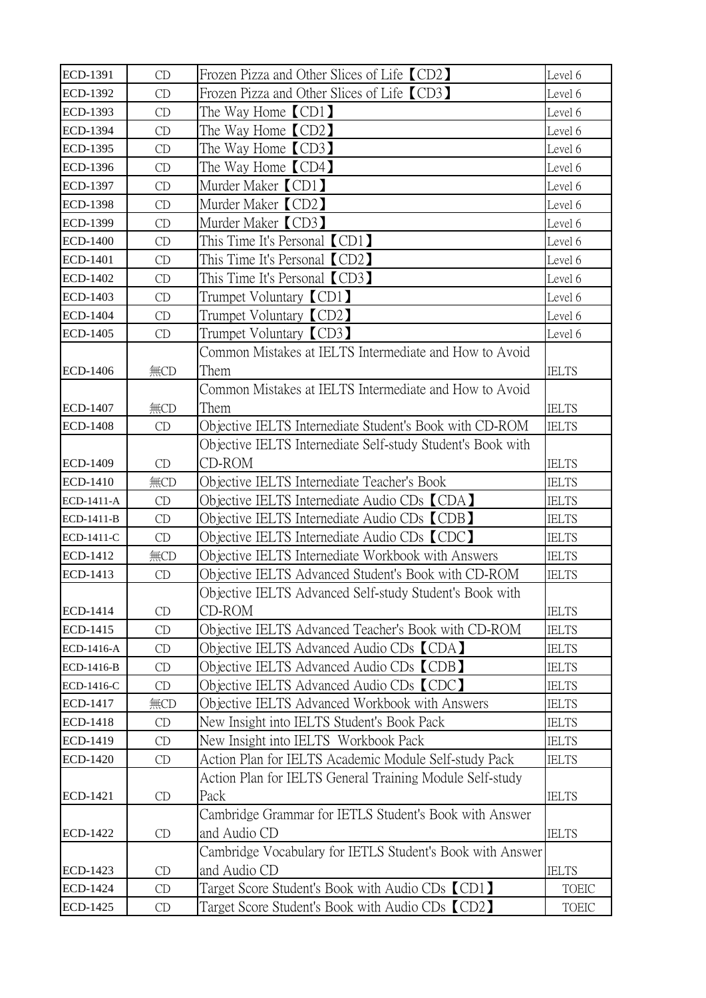| ECD-1391        | CD  | Frozen Pizza and Other Slices of Life (CD2)                 | Level 6      |
|-----------------|-----|-------------------------------------------------------------|--------------|
| ECD-1392        | CD  | Frozen Pizza and Other Slices of Life (CD3)                 | Level 6      |
| ECD-1393        | CD  | The Way Home $\text{CD1}$                                   | Level 6      |
| ECD-1394        | CD  | The Way Home $\mathcal{L}CD2$                               | Level 6      |
| ECD-1395        | CD  | The Way Home <b>[CD3]</b>                                   | Level 6      |
| ECD-1396        | CD  | The Way Home <b>CD4</b>                                     | Level 6      |
| ECD-1397        | CD  | Murder Maker [CD1]                                          | Level 6      |
| <b>ECD-1398</b> | CD  | Murder Maker 【CD2】                                          | Level 6      |
| ECD-1399        | CD  | Murder Maker (CD3)                                          | Level 6      |
| <b>ECD-1400</b> | CD  | This Time It's Personal (CD1)                               | Level 6      |
| ECD-1401        | CD  | This Time It's Personal (CD2)                               | Level 6      |
| ECD-1402        | CD  | This Time It's Personal CD3                                 | Level 6      |
| ECD-1403        | CD  | Trumpet Voluntary <b>[CD1]</b>                              | Level 6      |
| ECD-1404        | CD  | Trumpet Voluntary <b>[CD2]</b>                              | Level 6      |
| <b>ECD-1405</b> | CD  | Trumpet Voluntary 【CD3】                                     | Level 6      |
|                 |     | Common Mistakes at IELTS Intermediate and How to Avoid      |              |
| ECD-1406        | 無CD | Them                                                        | <b>IELTS</b> |
|                 |     | Common Mistakes at IELTS Intermediate and How to Avoid      |              |
| <b>ECD-1407</b> | 無CD | Them                                                        | <b>IELTS</b> |
| <b>ECD-1408</b> | CD  | Objective IELTS Internediate Student's Book with CD-ROM     | <b>IELTS</b> |
|                 |     | Objective IELTS Internediate Self-study Student's Book with |              |
| ECD-1409        | CD  | CD-ROM                                                      | <b>IELTS</b> |
| <b>ECD-1410</b> | 無CD | Objective IELTS Internediate Teacher's Book                 | <b>IELTS</b> |
| ECD-1411-A      | CD  | Objective IELTS Internediate Audio CDs (CDA)                | <b>IELTS</b> |
| ECD-1411-B      | CD  | Objective IELTS Internediate Audio CDs CDB                  | <b>IELTS</b> |
| ECD-1411-C      | CD  | Objective IELTS Internediate Audio CDs (CDC)                | <b>IELTS</b> |
| ECD-1412        | 無CD | Objective IELTS Internediate Workbook with Answers          | <b>IELTS</b> |
| ECD-1413        | CD  | Objective IELTS Advanced Student's Book with CD-ROM         | <b>IELTS</b> |
|                 |     | Objective IELTS Advanced Self-study Student's Book with     |              |
| ECD-1414        | CD  | CD-ROM                                                      | <b>IELTS</b> |
| ECD-1415        | CD  | Objective IELTS Advanced Teacher's Book with CD-ROM         | <b>IELTS</b> |
| ECD-1416-A      | CD  | Objective IELTS Advanced Audio CDs CDA                      | <b>IELTS</b> |
| ECD-1416-B      | CD  | Objective IELTS Advanced Audio CDs (CDB)                    | <b>IELTS</b> |
| ECD-1416-C      | CD  | Objective IELTS Advanced Audio CDs [CDC]                    | <b>IELTS</b> |
| ECD-1417        | 無CD | Objective IELTS Advanced Workbook with Answers              | <b>IELTS</b> |
| <b>ECD-1418</b> | CD  | New Insight into IELTS Student's Book Pack                  | <b>IELTS</b> |
| ECD-1419        | CD  | New Insight into IELTS Workbook Pack                        | <b>IELTS</b> |
| <b>ECD-1420</b> | CD  | Action Plan for IELTS Academic Module Self-study Pack       | <b>IELTS</b> |
|                 |     | Action Plan for IELTS General Training Module Self-study    |              |
| ECD-1421        | CD  | Pack                                                        | <b>IELTS</b> |
|                 |     | Cambridge Grammar for IETLS Student's Book with Answer      |              |
| ECD-1422        | CD  | and Audio CD                                                | <b>IELTS</b> |
|                 |     | Cambridge Vocabulary for IETLS Student's Book with Answer   |              |
| ECD-1423        | CD  | and Audio CD                                                | <b>IELTS</b> |
| <b>ECD-1424</b> | CD  | Target Score Student's Book with Audio CDs (CD1)            | <b>TOEIC</b> |
| ECD-1425        | CD  | Target Score Student's Book with Audio CDs (CD2)            | <b>TOEIC</b> |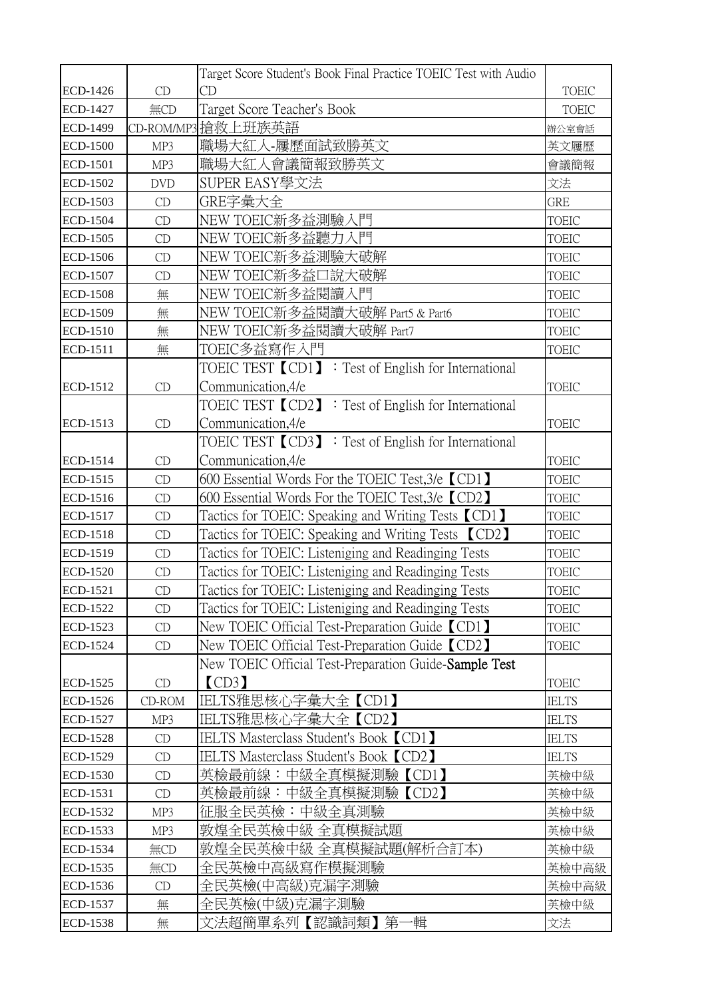|                 |            | Target Score Student's Book Final Practice TOEIC Test with Audio |              |
|-----------------|------------|------------------------------------------------------------------|--------------|
| ECD-1426        | CD         | CD                                                               | <b>TOEIC</b> |
| <b>ECD-1427</b> | 無CD        | Target Score Teacher's Book                                      | <b>TOEIC</b> |
| <b>ECD-1499</b> |            | CD-ROM/MP3 搶救上班族英語                                               | 辦公室會話        |
| ECD-1500        | MP3        | 職場大紅人-屨歷面試致勝英文                                                   | 英文屨歷         |
| ECD-1501        | MP3        | 職場大紅人會議簡報致勝英文                                                    | 會議簡報         |
| ECD-1502        | <b>DVD</b> | SUPER EASY學文法                                                    | 文法           |
| ECD-1503        | CD         | GRE字彙大全                                                          | <b>GRE</b>   |
| ECD-1504        | CD         | NEW TOEIC新多益測驗入門                                                 | <b>TOEIC</b> |
| ECD-1505        | CD         | NEW TOEIC新多益聽力入門                                                 | <b>TOEIC</b> |
| ECD-1506        | CD         | NEW TOEIC新多益測驗大破解                                                | <b>TOEIC</b> |
| ECD-1507        | CD         | NEW TOEIC新多益口說大破解                                                | <b>TOEIC</b> |
| <b>ECD-1508</b> | 無          | NEW TOEIC新多益閱讀入門                                                 | <b>TOEIC</b> |
| ECD-1509        | 無          | NEW TOEIC新多益閱讀大破解 Part5 & Part6                                  | <b>TOEIC</b> |
| ECD-1510        | 無          | NEW TOEIC新多益閱讀大破解 Part7                                          | <b>TOEIC</b> |
| ECD-1511        | 無          | TOEIC多益寫作入門                                                      | <b>TOEIC</b> |
|                 |            | TOEIC TEST <b>[CD1]</b> : Test of English for International      |              |
| ECD-1512        | CD         | Communication, 4/e                                               | <b>TOEIC</b> |
|                 |            | TOEIC TEST <b>[CD2]</b> : Test of English for International      |              |
| ECD-1513        | CD         | Communication, 4/e                                               | <b>TOEIC</b> |
|                 |            | TOEIC TEST <b>[CD3]</b> : Test of English for International      |              |
| ECD-1514        | CD         | Communication, 4/e                                               | <b>TOEIC</b> |
| ECD-1515        | CD         | 600 Essential Words For the TOEIC Test, 3/e [CD1]                | <b>TOEIC</b> |
| ECD-1516        | CD         | 600 Essential Words For the TOEIC Test, 3/e [CD2]                | <b>TOEIC</b> |
| ECD-1517        | CD         | Tactics for TOEIC: Speaking and Writing Tests (CD1)              | <b>TOEIC</b> |
| ECD-1518        | CD         | Tactics for TOEIC: Speaking and Writing Tests (CD2)              | <b>TOEIC</b> |
| ECD-1519        | CD         | Tactics for TOEIC: Listeniging and Readinging Tests              | <b>TOEIC</b> |
| ECD-1520        | CD         | Tactics for TOEIC: Listeniging and Readinging Tests              | <b>TOEIC</b> |
| <b>ECD-1521</b> | CD         | Tactics for TOEIC: Listeniging and Readinging Tests              | <b>TOEIC</b> |
| ECD-1522        | CD         | Tactics for TOEIC: Listeniging and Readinging Tests              | <b>TOEIC</b> |
| <b>ECD-1523</b> | CD         | New TOEIC Official Test-Preparation Guide (CD1)                  | <b>TOEIC</b> |
| ECD-1524        | CD         | New TOEIC Official Test-Preparation Guide (CD2)                  | <b>TOEIC</b> |
|                 |            | New TOEIC Official Test-Preparation Guide-Sample Test            |              |
| ECD-1525        | CD         | [CD3]                                                            | <b>TOEIC</b> |
| ECD-1526        | CD-ROM     | IELTS雅思核心字彙大全【CD1】                                               | <b>IELTS</b> |
| ECD-1527        | MP3        | IELTS雅思核心字彙大全【CD2】                                               | <b>IELTS</b> |
| <b>ECD-1528</b> | CD         | IELTS Masterclass Student's Book [CD1]                           | <b>IELTS</b> |
| ECD-1529        | CD         | IELTS Masterclass Student's Book (CD2)                           | <b>IELTS</b> |
| ECD-1530        | CD         | 英檢最前線:中級全真模擬測驗【CD1】                                              | 英檢中級         |
| ECD-1531        | CD         | 英檢最前線:中級全真模擬測驗【CD2】                                              | 英檢中級         |
| ECD-1532        | MP3        | 征服全民英檢:中級全真測驗                                                    | 英檢中級         |
| ECD-1533        | MP3        | 敦煌全民英檢中級 全真模擬試題                                                  | 英檢中級         |
| ECD-1534        | 無CD        | 敦煌全民英檢中級 全真模擬試題(解析合訂本)                                           | 英檢中級         |
| ECD-1535        | 無CD        | 全民英檢中高級寫作模擬測驗                                                    | 英檢中高級        |
| ECD-1536        | CD         | 全民英檢(中高級)克漏字測驗                                                   | 英檢中高級        |
| ECD-1537        | 無          | 全民英檢(中級)克漏字測驗                                                    | 英檢中級         |
| <b>ECD-1538</b> | 無          | 文法超簡單系列【認識詞類】第一輯                                                 | 文法           |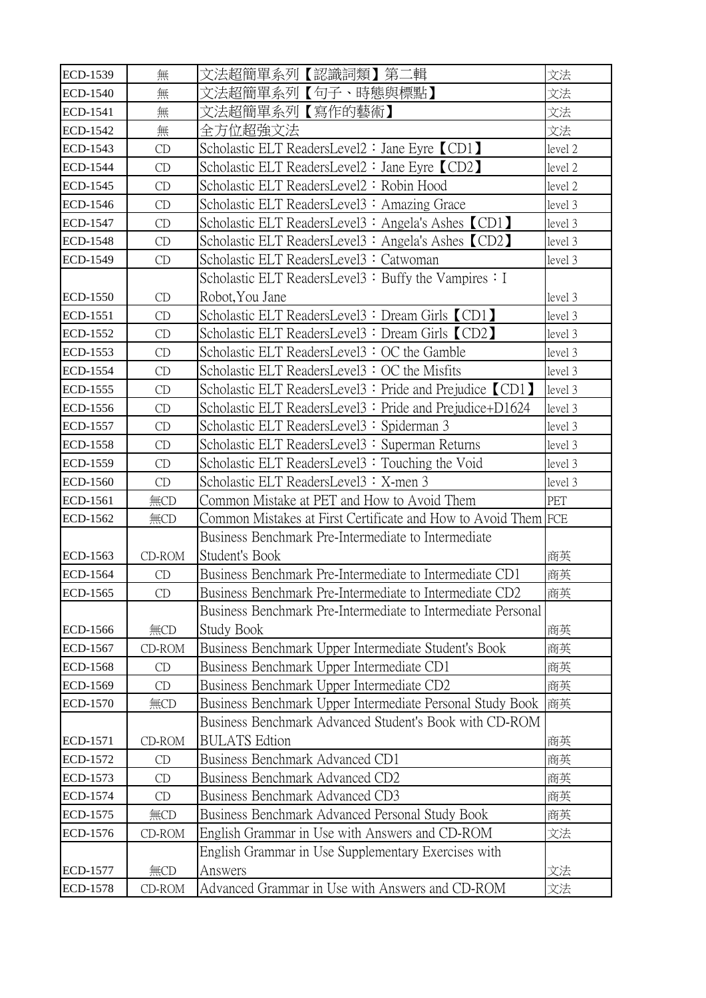| ECD-1539        | 無      | 文法超簡單系列【認識詞類】第二輯                                               | 文法      |
|-----------------|--------|----------------------------------------------------------------|---------|
| <b>ECD-1540</b> | 無      | 文法超簡單系列【句子、時態與標點】                                              | 文法      |
| <b>ECD-1541</b> | 無      | 文法超簡單系列【寫作的藝術】                                                 | 文法      |
| ECD-1542        | 無      | 全方位超強文法                                                        | 文法      |
| ECD-1543        | CD     | Scholastic ELT ReadersLevel2 : Jane Eyre 【CD1】                 | level 2 |
| <b>ECD-1544</b> | CD     | Scholastic ELT ReadersLevel2: Jane Eyre 【CD2】                  | level 2 |
| ECD-1545        | CD     | Scholastic ELT ReadersLevel2: Robin Hood                       | level 2 |
| ECD-1546        | CD     | Scholastic ELT ReadersLevel3: Amazing Grace                    | level 3 |
| <b>ECD-1547</b> | CD     | Scholastic ELT ReadersLevel3: Angela's Ashes (CD1)             | level 3 |
| <b>ECD-1548</b> | CD     | Scholastic ELT ReadersLevel3: Angela's Ashes (CD2)             | level 3 |
| ECD-1549        | CD     | Scholastic ELT ReadersLevel3: Catwoman                         | level 3 |
|                 |        | Scholastic ELT ReadersLevel3: Buffy the Vampires: I            |         |
| <b>ECD-1550</b> | CD     | Robot, You Jane                                                | level 3 |
| ECD-1551        | CD     | Scholastic ELT ReadersLevel3: Dream Girls 【CD1】                | level 3 |
| ECD-1552        | CD     | Scholastic ELT ReadersLevel3: Dream Girls (CD2)                | level 3 |
| ECD-1553        | CD     | Scholastic ELT ReadersLevel3: OC the Gamble                    | level 3 |
| ECD-1554        | CD     | Scholastic ELT ReadersLevel3: OC the Misfits                   | level 3 |
| <b>ECD-1555</b> | CD     | Scholastic ELT ReadersLevel3: Pride and Prejudice (CD1)        | level 3 |
| ECD-1556        | CD     | Scholastic ELT ReadersLevel3: Pride and Prejudice+D1624        | level 3 |
| ECD-1557        | CD     | Scholastic ELT ReadersLevel3: Spiderman 3                      | level 3 |
| <b>ECD-1558</b> | CD     | Scholastic ELT ReadersLevel3: Superman Returns                 | level 3 |
| ECD-1559        | CD     | Scholastic ELT ReadersLevel3: Touching the Void                | level 3 |
| ECD-1560        | CD     | Scholastic ELT ReadersLevel3: X-men 3                          | level 3 |
| ECD-1561        | 無CD    | Common Mistake at PET and How to Avoid Them                    | PET     |
| ECD-1562        | 無CD    | Common Mistakes at First Certificate and How to Avoid Them FCE |         |
|                 |        | Business Benchmark Pre-Intermediate to Intermediate            |         |
| ECD-1563        | CD-ROM | Student's Book                                                 | 商英      |
| ECD-1564        | CD     | Business Benchmark Pre-Intermediate to Intermediate CD1        | 商英      |
| ECD-1565        | CD     | Business Benchmark Pre-Intermediate to Intermediate CD2        | 商英      |
|                 |        | Business Benchmark Pre-Intermediate to Intermediate Personal   |         |
| ECD-1566        | 無CD    | <b>Study Book</b>                                              | 商英      |
| ECD-1567        | CD-ROM | Business Benchmark Upper Intermediate Student's Book           | 商英      |
| <b>ECD-1568</b> | CD     | Business Benchmark Upper Intermediate CD1                      | 商英      |
| ECD-1569        | CD     | Business Benchmark Upper Intermediate CD2                      | 商英      |
| ECD-1570        | 無CD    | Business Benchmark Upper Intermediate Personal Study Book      | 商英      |
|                 |        | Business Benchmark Advanced Student's Book with CD-ROM         |         |
| ECD-1571        | CD-ROM | <b>BULATS</b> Edtion                                           | 商英      |
| ECD-1572        | CD     | Business Benchmark Advanced CD1                                | 商英      |
| ECD-1573        | CD     | Business Benchmark Advanced CD2                                | 商英      |
| ECD-1574        | CD     | Business Benchmark Advanced CD3                                | 商英      |
| ECD-1575        | 無CD    | Business Benchmark Advanced Personal Study Book                | 商英      |
| ECD-1576        | CD-ROM | English Grammar in Use with Answers and CD-ROM                 | 文法      |
|                 |        | English Grammar in Use Supplementary Exercises with            |         |
| ECD-1577        | 無CD    | Answers                                                        | 文法      |
| ECD-1578        | CD-ROM | Advanced Grammar in Use with Answers and CD-ROM                | 文法      |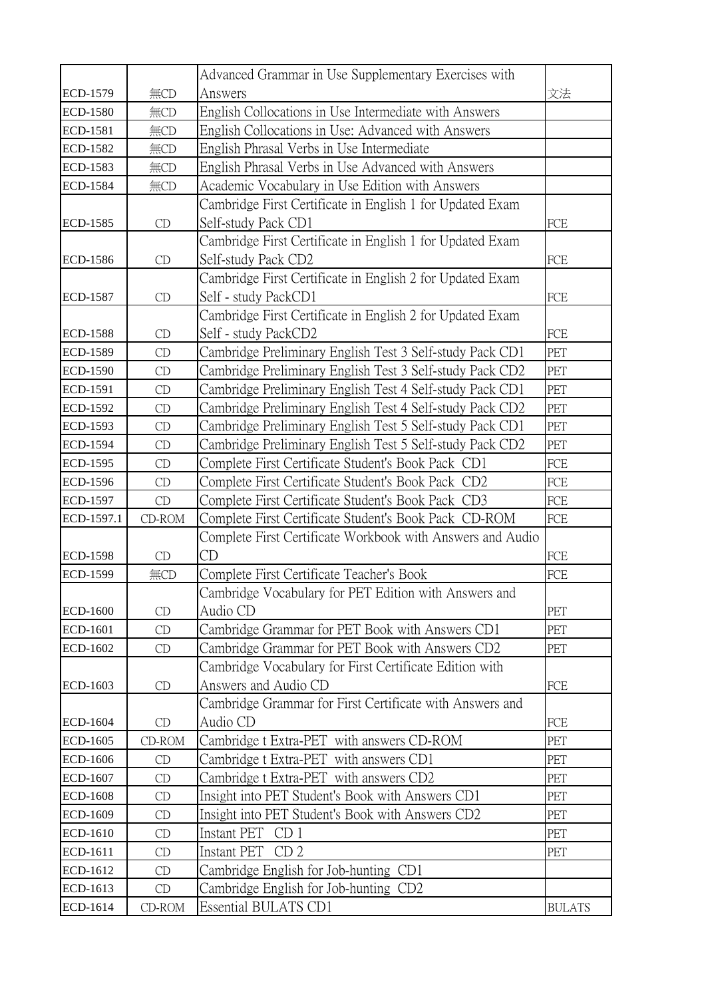|                 |        | Advanced Grammar in Use Supplementary Exercises with       |     |
|-----------------|--------|------------------------------------------------------------|-----|
| ECD-1579        | 無CD    | Answers                                                    | 文法  |
| <b>ECD-1580</b> | 無CD    | English Collocations in Use Intermediate with Answers      |     |
| ECD-1581        | 無CD    | English Collocations in Use: Advanced with Answers         |     |
| ECD-1582        | 無CD    | English Phrasal Verbs in Use Intermediate                  |     |
| ECD-1583        | 無CD    | English Phrasal Verbs in Use Advanced with Answers         |     |
| ECD-1584        | 無CD    | Academic Vocabulary in Use Edition with Answers            |     |
|                 |        | Cambridge First Certificate in English 1 for Updated Exam  |     |
| ECD-1585        | CD     | Self-study Pack CD1                                        | FCE |
|                 |        | Cambridge First Certificate in English 1 for Updated Exam  |     |
| ECD-1586        | CD     | Self-study Pack CD2                                        | FCE |
|                 |        | Cambridge First Certificate in English 2 for Updated Exam  |     |
| <b>ECD-1587</b> | CD     | Self - study PackCD1                                       | FCE |
|                 |        | Cambridge First Certificate in English 2 for Updated Exam  |     |
| ECD-1588        | CD     | Self - study PackCD2                                       | FCE |
| ECD-1589        | CD     | Cambridge Preliminary English Test 3 Self-study Pack CD1   | PET |
| ECD-1590        | CD     | Cambridge Preliminary English Test 3 Self-study Pack CD2   | PET |
| ECD-1591        | CD     | Cambridge Preliminary English Test 4 Self-study Pack CD1   | PET |
| ECD-1592        | CD     | Cambridge Preliminary English Test 4 Self-study Pack CD2   | PET |
| ECD-1593        | CD     | Cambridge Preliminary English Test 5 Self-study Pack CD1   | PET |
| ECD-1594        | CD     | Cambridge Preliminary English Test 5 Self-study Pack CD2   | PET |
| ECD-1595        | CD     | Complete First Certificate Student's Book Pack CD1         | FCE |
| ECD-1596        | CD     | Complete First Certificate Student's Book Pack CD2         | FCE |
| ECD-1597        | CD     | Complete First Certificate Student's Book Pack CD3         | FCE |
| ECD-1597.1      | CD-ROM | Complete First Certificate Student's Book Pack CD-ROM      | FCE |
|                 |        | Complete First Certificate Workbook with Answers and Audio |     |
| <b>ECD-1598</b> | CD     | CD                                                         | FCE |
| ECD-1599        | 無CD    | Complete First Certificate Teacher's Book                  | FCE |
|                 |        | Cambridge Vocabulary for PET Edition with Answers and      |     |
| ECD-1600        | CD     | Audio CD                                                   | PET |
| ECD-1601        | CD     | Cambridge Grammar for PET Book with Answers CD1            | PET |
| ECD-1602        | CD     | Cambridge Grammar for PET Book with Answers CD2            | PET |
|                 |        | Cambridge Vocabulary for First Certificate Edition with    |     |
| ECD-1603        | CD     | Answers and Audio CD                                       | FCE |
|                 |        | Cambridge Grammar for First Certificate with Answers and   |     |
| ECD-1604        | CD     | Audio CD                                                   | FCE |
| ECD-1605        | CD-ROM | Cambridge t Extra-PET with answers CD-ROM                  | PET |
| ECD-1606        | CD     | Cambridge t Extra-PET with answers CD1                     | PET |
| ECD-1607        | CD     | Cambridge t Extra-PET with answers CD2                     | PET |
| ECD-1608        | CD     | Insight into PET Student's Book with Answers CD1           | PET |
| ECD-1609        | CD     | Insight into PET Student's Book with Answers CD2           | PET |
| ECD-1610        | CD     | Instant PET CD 1                                           | PET |
| ECD-1611        | CD     | Instant PET CD 2                                           | PET |
| ECD-1612        | CD     | Cambridge English for Job-hunting CD1                      |     |
|                 |        |                                                            |     |
| ECD-1613        | CD     | Cambridge English for Job-hunting CD2                      |     |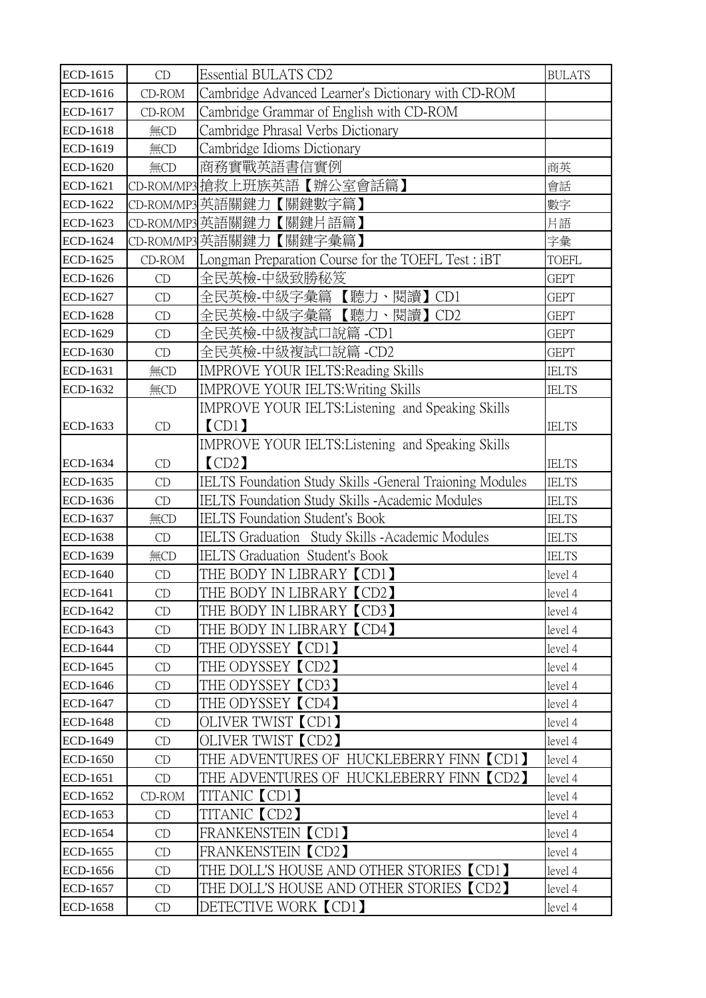| ECD-1615        | CD                     | Essential BULATS CD2                                     | <b>BULATS</b> |
|-----------------|------------------------|----------------------------------------------------------|---------------|
| ECD-1616        | CD-ROM                 | Cambridge Advanced Learner's Dictionary with CD-ROM      |               |
| ECD-1617        | CD-ROM                 | Cambridge Grammar of English with CD-ROM                 |               |
| ECD-1618        | 無CD                    | Cambridge Phrasal Verbs Dictionary                       |               |
| ECD-1619        | 無CD                    | Cambridge Idioms Dictionary                              |               |
| ECD-1620        | 無CD                    | 商務實戰英語書信實例                                               | 商英            |
| ECD-1621        |                        | CD-ROM/MP3 搶救上班族英語【辦公室會話篇】                               | 會話            |
| ECD-1622        |                        | CD-ROM/MP3 英語關鍵力【關鍵數字篇】                                  | 數字            |
| ECD-1623        |                        | CD-ROM/MP3 英語關鍵力【關鍵片語篇】                                  | 片語            |
| ECD-1624        |                        | CD-ROM/MP3 英語關鍵力【關鍵字彙篇】                                  | 字彙            |
| ECD-1625        | $CD$ -ROM              | Longman Preparation Course for the TOEFL Test : iBT      | <b>TOEFL</b>  |
| ECD-1626        | CD                     | 全民英檢-中級致勝秘笈                                              | <b>GEPT</b>   |
| ECD-1627        | CD                     | 全民英檢-中級字彙篇【聽力、閱讀】CD1                                     | <b>GEPT</b>   |
| ECD-1628        | CD                     | 全民英檢-中級字彙篇 【聽力、閱讀】 CD2                                   | <b>GEPT</b>   |
| ECD-1629        | CD                     | 全民英檢-中級複試口說篇 -CD1                                        | <b>GEPT</b>   |
| ECD-1630        | CD                     | 全民英檢-中級複試口說篇 -CD2                                        | <b>GEPT</b>   |
| ECD-1631        | 無CD                    | <b>IMPROVE YOUR IELTS: Reading Skills</b>                | <b>IELTS</b>  |
| ECD-1632        | 無CD                    | <b>IMPROVE YOUR IELTS: Writing Skills</b>                | <b>IELTS</b>  |
|                 |                        | IMPROVE YOUR IELTS: Listening and Speaking Skills        |               |
| ECD-1633        | CD                     | [CD1]                                                    | <b>IELTS</b>  |
|                 |                        | IMPROVE YOUR IELTS: Listening and Speaking Skills        |               |
| ECD-1634        | CD                     | [CD2]                                                    | <b>IELTS</b>  |
| ECD-1635        | CD                     | IELTS Foundation Study Skills -General Traioning Modules | <b>IELTS</b>  |
| ECD-1636        | CD                     | IELTS Foundation Study Skills - Academic Modules         | <b>IELTS</b>  |
| ECD-1637        | 無CD                    | <b>IELTS</b> Foundation Student's Book                   | <b>IELTS</b>  |
| ECD-1638        | CD                     | IELTS Graduation Study Skills - Academic Modules         | <b>IELTS</b>  |
| ECD-1639        | 無CD                    | IELTS Graduation Student's Book                          | <b>IELTS</b>  |
| ECD-1640        | CD                     | THE BODY IN LIBRARY <i>[CD1]</i>                         | level 4       |
| ECD-1641        | $\mathop{\mathrm{CD}}$ | THE BODY IN LIBRARY <i>[CD2]</i>                         | level 4       |
| ECD-1642        | CD                     | THE BODY IN LIBRARY (CD3)                                | level 4       |
| ECD-1643        | CD                     | THE BODY IN LIBRARY <i>[CD4]</i>                         | level 4       |
| ECD-1644        | CD                     | THE ODYSSEY (CD1)                                        | level 4       |
| ECD-1645        | CD                     | THE ODYSSEY <i>[CD2]</i>                                 | level 4       |
| ECD-1646        | CD                     | THE ODYSSEY (CD3)                                        | level 4       |
| ECD-1647        | CD                     | THE ODYSSEY <i>[CD4]</i>                                 | level 4       |
| ECD-1648        | CD                     | OLIVER TWIST <i>[CD1]</i>                                | level 4       |
| ECD-1649        | CD                     | OLIVER TWIST <i>[CD2]</i>                                | level 4       |
| ECD-1650        | CD                     | THE ADVENTURES OF HUCKLEBERRY FINN (CD1)                 | level 4       |
| ECD-1651        | CD                     | THE ADVENTURES OF HUCKLEBERRY FINN (CD2)                 | level 4       |
| ECD-1652        | CD-ROM                 | TITANIC (CD1)                                            | level 4       |
| ECD-1653        | CD                     | TITANIC <i>[CD2]</i>                                     | level 4       |
| ECD-1654        | CD                     | FRANKENSTEIN (CD1)                                       | level 4       |
| ECD-1655        | CD                     | FRANKENSTEIN (CD2)                                       | level 4       |
| ECD-1656        | CD                     | THE DOLL'S HOUSE AND OTHER STORIES [CD1]                 | level 4       |
| ECD-1657        | CD                     | THE DOLL'S HOUSE AND OTHER STORIES 【CD2】                 | level 4       |
| <b>ECD-1658</b> | CD                     | DETECTIVE WORK <i>[CD1]</i>                              | level 4       |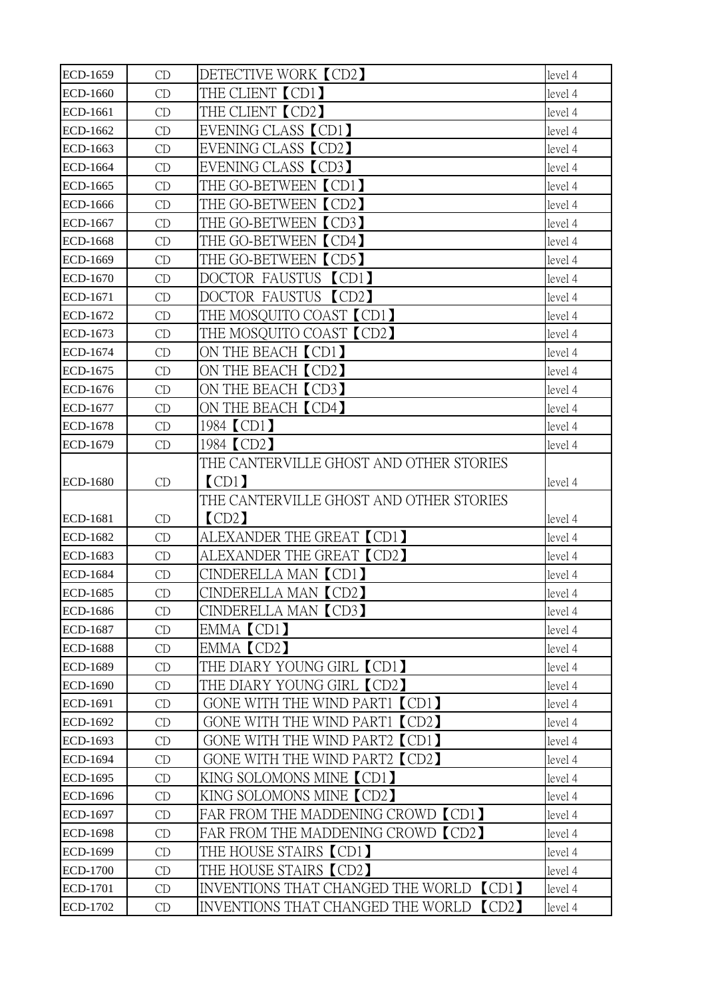| ECD-1659        | CD                     | DETECTIVE WORK <b>[CD2]</b>             | level 4 |
|-----------------|------------------------|-----------------------------------------|---------|
| ECD-1660        | CD                     | THE CLIENT <b>[CD1]</b>                 | level 4 |
| ECD-1661        | CD                     | THE CLIENT 【CD2】                        | level 4 |
| ECD-1662        | CD                     | EVENING CLASS 【CD1】                     | level 4 |
| ECD-1663        | CD                     | EVENING CLASS 【CD2】                     | level 4 |
| ECD-1664        | CD                     | EVENING CLASS 【CD3】                     | level 4 |
| ECD-1665        | CD                     | THE GO-BETWEEN (CD1)                    | level 4 |
| ECD-1666        | CD                     | THE GO-BETWEEN <i>[CD2]</i>             | level 4 |
| ECD-1667        | CD                     | THE GO-BETWEEN (CD3)                    | level 4 |
| ECD-1668        | CD                     | THE GO-BETWEEN <i>[CD4]</i>             | level 4 |
| ECD-1669        | CD                     | THE GO-BETWEEN (CD5)                    | level 4 |
| ECD-1670        | CD                     | DOCTOR FAUSTUS <i>[CD1]</i>             | level 4 |
| ECD-1671        | CD                     | DOCTOR FAUSTUS <i>[CD2]</i>             | level 4 |
| ECD-1672        | CD                     | THE MOSQUITO COAST [CD1]                | level 4 |
| ECD-1673        | CD                     | THE MOSQUITO COAST【CD2】                 | level 4 |
| ECD-1674        | CD                     | ON THE BEACH <b>[CD1]</b>               | level 4 |
| ECD-1675        | CD                     | ON THE BEACH <i>[CD2]</i>               | level 4 |
| ECD-1676        | CD                     | ON THE BEACH <b>[CD3]</b>               | level 4 |
| ECD-1677        | CD                     | ON THE BEACH <b>[CD4]</b>               | level 4 |
| ECD-1678        | CD                     | 1984 <b>[CD1]</b>                       | level 4 |
| ECD-1679        | CD                     | 1984 [CD2]                              | level 4 |
|                 |                        | THE CANTERVILLE GHOST AND OTHER STORIES |         |
| <b>ECD-1680</b> | CD                     | [CD1]                                   | level 4 |
|                 |                        | THE CANTERVILLE GHOST AND OTHER STORIES |         |
| ECD-1681        | CD                     | [CD2]                                   | level 4 |
| ECD-1682        | CD                     | ALEXANDER THE GREAT <i>[CD1]</i>        | level 4 |
| ECD-1683        |                        | ALEXANDER THE GREAT <i>[CD2]</i>        |         |
|                 | CD                     |                                         | level 4 |
| ECD-1684        | CD                     | CINDERELLA MAN <i>[CD1]</i>             | level 4 |
| ECD-1685        | CD                     | CINDERELLA MAN 【CD2】                    | level 4 |
| ECD-1686        | CD                     | CINDERELLA MAN (CD3)                    | level 4 |
| ECD-1687        | CD                     | EMMA CD1                                | level 4 |
| ECD-1688        | CD                     | EMMA (CD2)                              | level 4 |
| ECD-1689        | CD                     | THE DIARY YOUNG GIRL <i>[CD1]</i>       | level 4 |
| ECD-1690        | CD                     | THE DIARY YOUNG GIRL 【CD2】              | level 4 |
| ECD-1691        | CD                     | GONE WITH THE WIND PART1 (CD1)          | level 4 |
| ECD-1692        | CD                     | GONE WITH THE WIND PART1 (CD2)          | level 4 |
| ECD-1693        | CD                     | GONE WITH THE WIND PART2 <i>[CD1]</i>   | level 4 |
| ECD-1694        | CD                     | GONE WITH THE WIND PART2 (CD2)          | level 4 |
| ECD-1695        | CD                     | KING SOLOMONS MINE CD1                  | level 4 |
| ECD-1696        | CD                     | KING SOLOMONS MINE CD2                  | level 4 |
| ECD-1697        | CD                     | FAR FROM THE MADDENING CROWD [CD1]      | level 4 |
| ECD-1698        | CD                     | FAR FROM THE MADDENING CROWD 【CD2】      | level 4 |
| ECD-1699        | CD                     | THE HOUSE STAIRS <i>[CD1]</i>           | level 4 |
| <b>ECD-1700</b> | CD                     | THE HOUSE STAIRS CD2                    | level 4 |
| ECD-1701        | $\mathop{\mathrm{CD}}$ | INVENTIONS THAT CHANGED THE WORLD 【CD1】 | level 4 |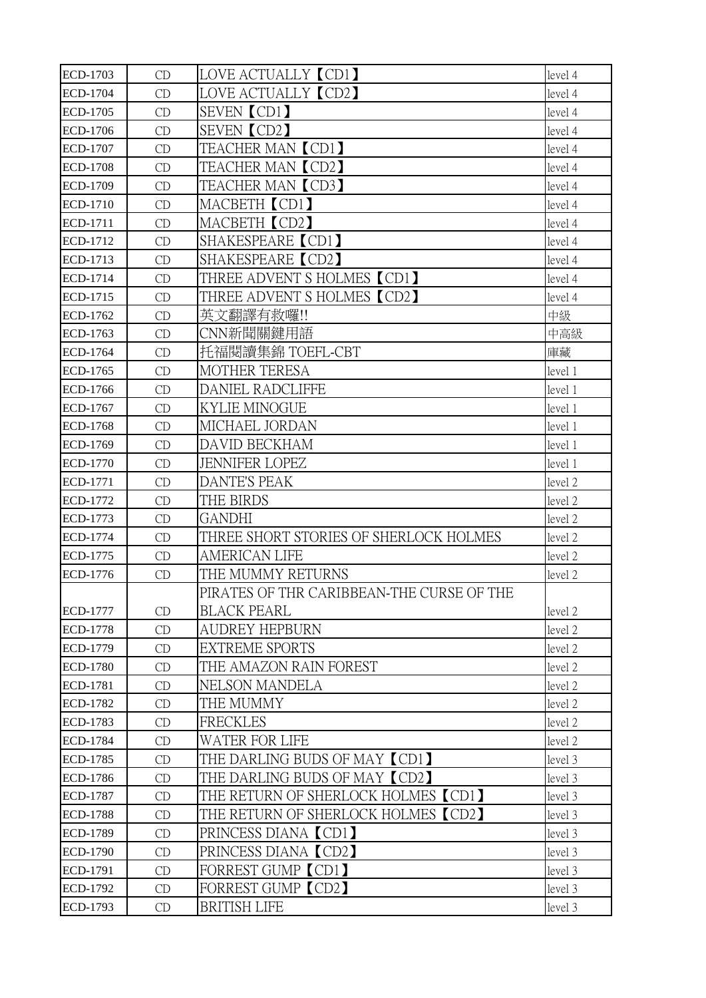| ECD-1703        | CD | LOVE ACTUALLY <i>[CD1]</i>                | level 4 |
|-----------------|----|-------------------------------------------|---------|
| ECD-1704        | CD | LOVE ACTUALLY <i>[CD2]</i>                | level 4 |
| <b>ECD-1705</b> | CD | SEVEN (CD1)                               | level 4 |
| ECD-1706        | CD | SEVEN <b>[CD2]</b>                        | level 4 |
| <b>ECD-1707</b> | CD | TEACHER MAN <i>[CD1]</i>                  | level 4 |
| <b>ECD-1708</b> | CD | TEACHER MAN (CD2)                         | level 4 |
| ECD-1709        | CD | TEACHER MAN (CD3)                         | level 4 |
| <b>ECD-1710</b> | CD | MACBETH <b>[CD1]</b>                      | level 4 |
| ECD-1711        | CD | MACBETH <b>[CD2]</b>                      | level 4 |
| ECD-1712        | CD | SHAKESPEARE <i>[CD1]</i>                  | level 4 |
| ECD-1713        | CD | SHAKESPEARE <i>[CD2]</i>                  | level 4 |
| ECD-1714        | CD | THREE ADVENT S HOLMES (CD1)               | level 4 |
| ECD-1715        | CD | THREE ADVENT S HOLMES 【CD2】               | level 4 |
| ECD-1762        | CD | 英文翻譯有救囉!!                                 | 中級      |
| ECD-1763        | CD | CNN新聞關鍵用語                                 | 中高級     |
| ECD-1764        | CD | 托福閱讀集錦 TOEFL-CBT                          | 庫藏      |
| ECD-1765        | CD | <b>MOTHER TERESA</b>                      | level 1 |
| ECD-1766        | CD | <b>DANIEL RADCLIFFE</b>                   | level 1 |
| <b>ECD-1767</b> | CD | <b>KYLIE MINOGUE</b>                      | level 1 |
| <b>ECD-1768</b> | CD | MICHAEL JORDAN                            | level 1 |
| ECD-1769        | CD | DAVID BECKHAM                             | level 1 |
| ECD-1770        | CD | <b>JENNIFER LOPEZ</b>                     | level 1 |
| ECD-1771        | CD | <b>DANTE'S PEAK</b>                       | level 2 |
| ECD-1772        | CD | THE BIRDS                                 | level 2 |
| ECD-1773        | CD | <b>GANDHI</b>                             | level 2 |
| <b>ECD-1774</b> | CD | THREE SHORT STORIES OF SHERLOCK HOLMES    | level 2 |
| ECD-1775        | CD | <b>AMERICAN LIFE</b>                      | level 2 |
| <b>ECD-1776</b> | CD | THE MUMMY RETURNS                         | level 2 |
|                 |    | PIRATES OF THR CARIBBEAN-THE CURSE OF THE |         |
| <b>ECD-1777</b> | CD | <b>BLACK PEARL</b>                        | level 2 |
| <b>ECD-1778</b> | CD | <b>AUDREY HEPBURN</b>                     | level 2 |
| ECD-1779        | CD | <b>EXTREME SPORTS</b>                     | level 2 |
| <b>ECD-1780</b> | CD | THE AMAZON RAIN FOREST                    | level 2 |
| ECD-1781        | CD | <b>NELSON MANDELA</b>                     | level 2 |
| <b>ECD-1782</b> | CD | THE MUMMY                                 | level 2 |
| ECD-1783        | CD | <b>FRECKLES</b>                           | level 2 |
| ECD-1784        | CD | WATER FOR LIFE                            | level 2 |
| ECD-1785        | CD | THE DARLING BUDS OF MAY 【CD1】             | level 3 |
| ECD-1786        | CD | THE DARLING BUDS OF MAY 【CD2】             | level 3 |
| <b>ECD-1787</b> | CD | THE RETURN OF SHERLOCK HOLMES (CD1)       | level 3 |
| <b>ECD-1788</b> | CD | THE RETURN OF SHERLOCK HOLMES 【CD2】       | level 3 |
| ECD-1789        | CD | PRINCESS DIANA <i>[CD1]</i>               | level 3 |
| <b>ECD-1790</b> | CD | PRINCESS DIANA <i>[CD2]</i>               | level 3 |
| ECD-1791        | CD | FORREST GUMP <i>[CD1]</i>                 | level 3 |
| <b>ECD-1792</b> | CD | FORREST GUMP 【CD2】                        | level 3 |
| ECD-1793        | CD | <b>BRITISH LIFE</b>                       | level 3 |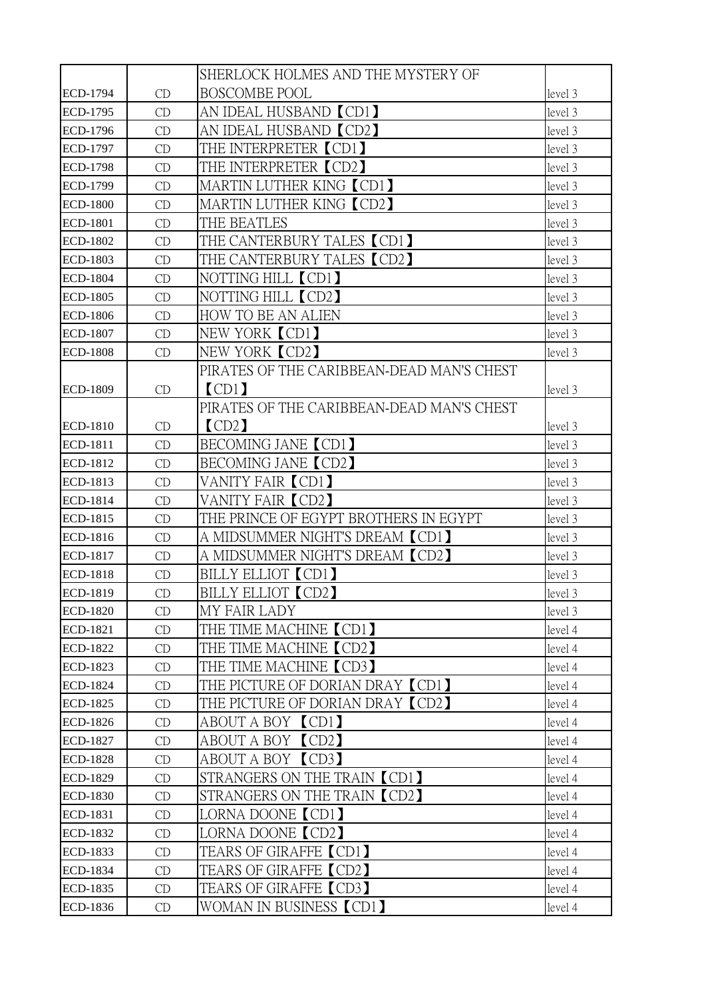|                 |    | SHERLOCK HOLMES AND THE MYSTERY OF        |         |
|-----------------|----|-------------------------------------------|---------|
| <b>ECD-1794</b> | CD | <b>BOSCOMBE POOL</b>                      | level 3 |
| <b>ECD-1795</b> | CD | AN IDEAL HUSBAND <i>[CD1]</i>             | level 3 |
| ECD-1796        | CD | AN IDEAL HUSBAND 【CD2】                    | level 3 |
| <b>ECD-1797</b> | CD | THE INTERPRETER (CD1)                     | level 3 |
| <b>ECD-1798</b> | CD | THE INTERPRETER (CD2)                     | level 3 |
| ECD-1799        | CD | MARTIN LUTHER KING CD1                    | level 3 |
| <b>ECD-1800</b> | CD | MARTIN LUTHER KING <i>[CD2]</i>           | level 3 |
| ECD-1801        | CD | THE BEATLES                               | level 3 |
| ECD-1802        | CD | THE CANTERBURY TALES <i>[CD1]</i>         | level 3 |
| ECD-1803        | CD | THE CANTERBURY TALES <i>[CD2]</i>         | level 3 |
| ECD-1804        | CD | NOTTING HILL CD1                          | level 3 |
| ECD-1805        | CD | NOTTING HILL <i>[CD2]</i>                 | level 3 |
| ECD-1806        | CD | HOW TO BE AN ALIEN                        | level 3 |
| <b>ECD-1807</b> | CD | NEW YORK <b>[CD1]</b>                     | level 3 |
| <b>ECD-1808</b> | CD | NEW YORK <i>[CD2]</i>                     | level 3 |
|                 |    | PIRATES OF THE CARIBBEAN-DEAD MAN'S CHEST |         |
| <b>ECD-1809</b> | CD | [CD1]                                     | level 3 |
|                 |    | PIRATES OF THE CARIBBEAN-DEAD MAN'S CHEST |         |
| <b>ECD-1810</b> | CD | [CD2]                                     | level 3 |
| ECD-1811        | CD | BECOMING JANE (CD1)                       | level 3 |
| ECD-1812        | CD | BECOMING JANE (CD2)                       | level 3 |
| ECD-1813        | CD | VANITY FAIR <i>[CD1]</i>                  | level 3 |
| ECD-1814        | CD | VANITY FAIR <i>[CD2]</i>                  | level 3 |
| ECD-1815        | CD | THE PRINCE OF EGYPT BROTHERS IN EGYPT     | level 3 |
| ECD-1816        | CD | A MIDSUMMER NIGHT'S DREAM (CD1)           | level 3 |
| ECD-1817        | CD | A MIDSUMMER NIGHT'S DREAM (CD2)           | level 3 |
| <b>ECD-1818</b> | CD | BILLY ELLIOT (CD1)                        | level 3 |
| ECD-1819        | CD | BILLY ELLIOT <i>[CD2]</i>                 | level 3 |
| <b>ECD-1820</b> | CD | MY FAIR LADY                              | level 3 |
| ECD-1821        | CD | THE TIME MACHINE <i>[CD1]</i>             | level 4 |
| ECD-1822        | CD | THE TIME MACHINE <i>[CD2]</i>             | level 4 |
| ECD-1823        | CD | THE TIME MACHINE 【CD3】                    | level 4 |
| <b>ECD-1824</b> | CD | THE PICTURE OF DORIAN DRAY 【CD1】          | level 4 |
| <b>ECD-1825</b> | CD | THE PICTURE OF DORIAN DRAY 【CD2】          | level 4 |
| ECD-1826        | CD | ABOUT A BOY <b>[CD1]</b>                  | level 4 |
| <b>ECD-1827</b> | CD | ABOUT A BOY CD2                           | level 4 |
| <b>ECD-1828</b> | CD | ABOUT A BOY <b>[CD3]</b>                  | level 4 |
| ECD-1829        | CD | STRANGERS ON THE TRAIN [CD1]              | level 4 |
| <b>ECD-1830</b> | CD | STRANGERS ON THE TRAIN (CD2)              | level 4 |
| ECD-1831        | CD | LORNA DOONE 【CD1】                         | level 4 |
| ECD-1832        | CD | LORNA DOONE CD2                           | level 4 |
| ECD-1833        | CD | TEARS OF GIRAFFE <i>[CD1]</i>             | level 4 |
| ECD-1834        | CD | TEARS OF GIRAFFE <i>[CD2]</i>             | level 4 |
| ECD-1835        | CD | TEARS OF GIRAFFE <i>[CD3]</i>             | level 4 |
| ECD-1836        | CD | WOMAN IN BUSINESS【CD1】                    | level 4 |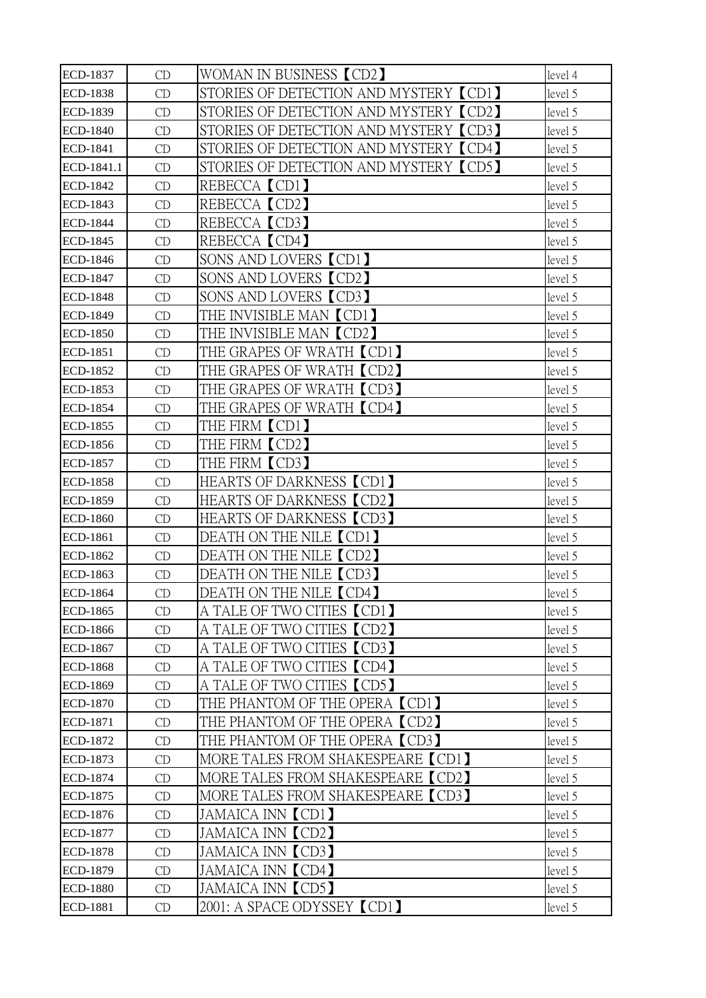| <b>ECD-1837</b> | CD | WOMAN IN BUSINESS <i>[CD2]</i>                | level 4 |
|-----------------|----|-----------------------------------------------|---------|
| <b>ECD-1838</b> | CD | STORIES OF DETECTION AND MYSTERY [CD1]        | level 5 |
| ECD-1839        | CD | STORIES OF DETECTION AND MYSTERY 【CD2】        | level 5 |
| <b>ECD-1840</b> | CD | STORIES OF DETECTION AND MYSTERY 【CD3】        | level 5 |
| ECD-1841        | CD | STORIES OF DETECTION AND MYSTERY <i>[CD4]</i> | level 5 |
| ECD-1841.1      | CD | STORIES OF DETECTION AND MYSTERY 【CD5】        | level 5 |
| ECD-1842        | CD | REBECCA (CD1)                                 | level 5 |
| ECD-1843        | CD | REBECCA <b>[CD2]</b>                          | level 5 |
| ECD-1844        | CD | REBECCA <b>[CD3]</b>                          | level 5 |
| ECD-1845        | CD | REBECCA <b>[CD4]</b>                          | level 5 |
| ECD-1846        | CD | SONS AND LOVERS <i>[CD1]</i>                  | level 5 |
| ECD-1847        | CD | SONS AND LOVERS 【CD2】                         | level 5 |
| <b>ECD-1848</b> | CD | SONS AND LOVERS <i>[CD3]</i>                  | level 5 |
| ECD-1849        | CD | THE INVISIBLE MAN <i>[CD1]</i>                | level 5 |
| <b>ECD-1850</b> | CD | THE INVISIBLE MAN【CD2】                        | level 5 |
| ECD-1851        | CD | THE GRAPES OF WRATH <i>[CD1]</i>              | level 5 |
| ECD-1852        | CD | THE GRAPES OF WRATH <i>[CD2]</i>              | level 5 |
| ECD-1853        | CD | THE GRAPES OF WRATH <i>[CD3]</i>              | level 5 |
| <b>ECD-1854</b> | CD | THE GRAPES OF WRATH <i>[CD4]</i>              | level 5 |
| ECD-1855        | CD | THE FIRM (CD1)                                | level 5 |
| ECD-1856        | CD | THE FIRM <b>[CD2]</b>                         | level 5 |
| <b>ECD-1857</b> | CD | THE FIRM (CD3)                                | level 5 |
| <b>ECD-1858</b> | CD | HEARTS OF DARKNESS <i>[CD1]</i>               | level 5 |
| ECD-1859        | CD | HEARTS OF DARKNESS <i>[CD2]</i>               | level 5 |
| <b>ECD-1860</b> | CD | HEARTS OF DARKNESS (CD3)                      | level 5 |
| ECD-1861        | CD | DEATH ON THE NILE <i>[CD1]</i>                | level 5 |
| ECD-1862        | CD | DEATH ON THE NILE CD2                         | level 5 |
| ECD-1863        | CD | DEATH ON THE NILE <i>[CD3]</i>                | level 5 |
| ECD-1864        | CD | DEATH ON THE NILE (CD4)                       | level 5 |
| ECD-1865        | CD | A TALE OF TWO CITIES 【CD1】                    | level 5 |
| ECD-1866        | CD | A TALE OF TWO CITIES <i>[CD2]</i>             | level 5 |
| ECD-1867        | CD | A TALE OF TWO CITIES 【CD3】                    | level 5 |
| <b>ECD-1868</b> | CD | A TALE OF TWO CITIES <i>[CD4]</i>             | level 5 |
| ECD-1869        | CD | A TALE OF TWO CITIES <i>[CD5]</i>             | level 5 |
| <b>ECD-1870</b> | CD | THE PHANTOM OF THE OPERA CD1                  | level 5 |
| <b>ECD-1871</b> | CD | THE PHANTOM OF THE OPERA <i>[CD2]</i>         | level 5 |
| <b>ECD-1872</b> | CD | THE PHANTOM OF THE OPERA <b>[CD3]</b>         | level 5 |
| ECD-1873        | CD | MORE TALES FROM SHAKESPEARE (CD1)             | level 5 |
| ECD-1874        | CD | MORE TALES FROM SHAKESPEARE 【CD2】             | level 5 |
| ECD-1875        | CD | MORE TALES FROM SHAKESPEARE ICD3              | level 5 |
| ECD-1876        | CD | JAMAICA INN CD1                               | level 5 |
| <b>ECD-1877</b> | CD | JAMAICA INN 【CD2】                             | level 5 |
| <b>ECD-1878</b> | CD | JAMAICA INN (CD3)                             | level 5 |
| <b>ECD-1879</b> | CD | JAMAICA INN 【CD4】                             | level 5 |
| <b>ECD-1880</b> | CD | JAMAICA INN CD5                               | level 5 |
| <b>ECD-1881</b> | CD | 2001: A SPACE ODYSSEY <i>[CD1]</i>            | level 5 |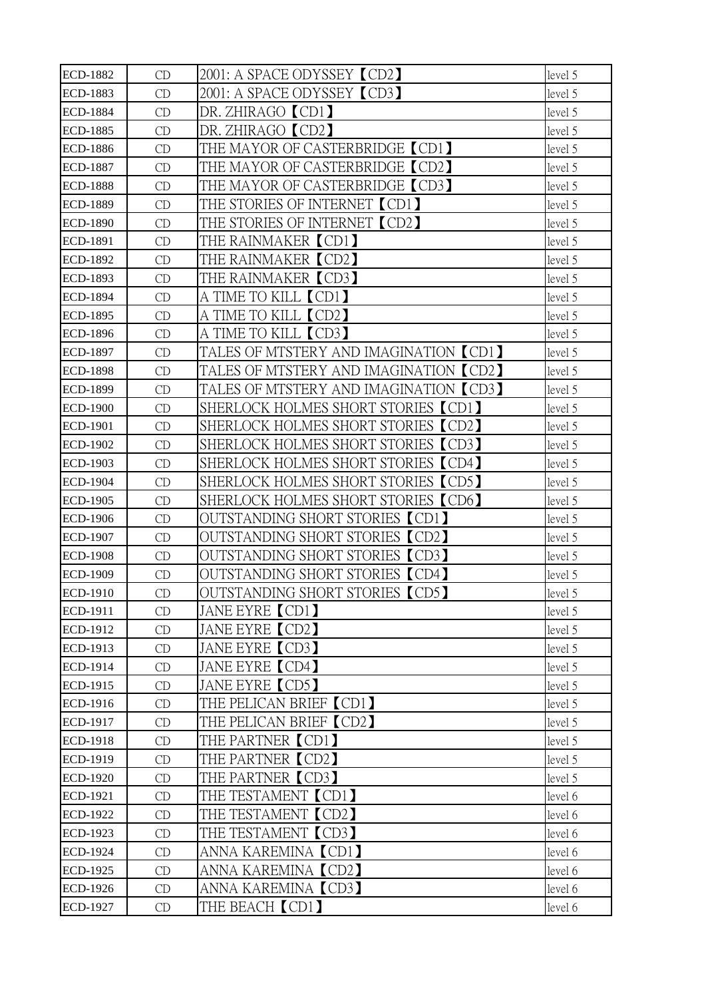| <b>ECD-1882</b> | CD | 2001: A SPACE ODYSSEY <i>[CD2]</i>     | level 5 |
|-----------------|----|----------------------------------------|---------|
| ECD-1883        | CD | 2001: A SPACE ODYSSEY 【CD3】            | level 5 |
| <b>ECD-1884</b> | CD | DR. ZHIRAGO【CD1】                       | level 5 |
| ECD-1885        | CD | DR. ZHIRAGO <b>[CD2]</b>               | level 5 |
| <b>ECD-1886</b> | CD | THE MAYOR OF CASTERBRIDGE 【CD1】        | level 5 |
| <b>ECD-1887</b> | CD | THE MAYOR OF CASTERBRIDGE 【CD2】        | level 5 |
| <b>ECD-1888</b> | CD | THE MAYOR OF CASTERBRIDGE 【CD3】        | level 5 |
| <b>ECD-1889</b> | CD | THE STORIES OF INTERNET 【CD1】          | level 5 |
| <b>ECD-1890</b> | CD | THE STORIES OF INTERNET 【CD2】          | level 5 |
| ECD-1891        | CD | THE RAINMAKER (CD1)                    | level 5 |
| ECD-1892        | CD | THE RAINMAKER 【CD2】                    | level 5 |
| ECD-1893        | CD | THE RAINMAKER【CD3】                     | level 5 |
| <b>ECD-1894</b> | CD | A TIME TO KILL 【CD1】                   | level 5 |
| <b>ECD-1895</b> | CD | A TIME TO KILL <i>[CD2]</i>            | level 5 |
| <b>ECD-1896</b> | CD | A TIME TO KILL 【CD3】                   | level 5 |
| <b>ECD-1897</b> | CD | TALES OF MTSTERY AND IMAGINATION 【CD1】 | level 5 |
| <b>ECD-1898</b> | CD | TALES OF MTSTERY AND IMAGINATION 【CD2】 | level 5 |
| ECD-1899        | CD | TALES OF MTSTERY AND IMAGINATION 【CD3】 | level 5 |
| <b>ECD-1900</b> | CD | SHERLOCK HOLMES SHORT STORIES (CD1)    | level 5 |
| ECD-1901        | CD | SHERLOCK HOLMES SHORT STORIES 【CD2】    | level 5 |
| <b>ECD-1902</b> | CD | SHERLOCK HOLMES SHORT STORIES (CD3)    | level 5 |
| ECD-1903        | CD | SHERLOCK HOLMES SHORT STORIES 【CD4】    | level 5 |
| <b>ECD-1904</b> | CD | SHERLOCK HOLMES SHORT STORIES 【CD5】    | level 5 |
| <b>ECD-1905</b> | CD | SHERLOCK HOLMES SHORT STORIES (CD6)    | level 5 |
| <b>ECD-1906</b> | CD | OUTSTANDING SHORT STORIES【CD1】         | level 5 |
| <b>ECD-1907</b> | CD | OUTSTANDING SHORT STORIES 【CD2】        | level 5 |
| <b>ECD-1908</b> | CD | OUTSTANDING SHORT STORIES 【CD3】        | level 5 |
| <b>ECD-1909</b> | CD | OUTSTANDING SHORT STORIES 【CD4】        | level 5 |
| ECD-1910        | CD | OUTSTANDING SHORT STORIES 【CD5】        | level 5 |
| ECD-1911        | CD | JANE EYRE 【CD1】                        | level 5 |
| ECD-1912        | CD | JANE EYRE 【CD2】                        | level 5 |
| ECD-1913        | CD | JANE EYRE 【CD3】                        | level 5 |
| ECD-1914        | CD | JANE EYRE <i>[CD4]</i>                 | level 5 |
| ECD-1915        | CD | JANE EYRE <i>[CD5]</i>                 | level 5 |
| ECD-1916        | CD | THE PELICAN BRIEF (CD1)                | level 5 |
| ECD-1917        | CD | THE PELICAN BRIEF (CD2)                | level 5 |
| <b>ECD-1918</b> | CD | THE PARTNER <i>[CD1]</i>               | level 5 |
| ECD-1919        | CD | THE PARTNER (CD2)                      | level 5 |
| <b>ECD-1920</b> | CD | THE PARTNER CD3                        | level 5 |
| <b>ECD-1921</b> | CD | THE TESTAMENT (CD1)                    | level 6 |
| ECD-1922        | CD | THE TESTAMENT <i>[CD2]</i>             | level 6 |
| ECD-1923        | CD | THE TESTAMENT <i>[CD3]</i>             | level 6 |
| <b>ECD-1924</b> | CD | ANNA KAREMINA (CD1)                    | level 6 |
| ECD-1925        | CD | ANNA KAREMINA 【CD2】                    | level 6 |
| ECD-1926        | CD | ANNA KAREMINA 【CD3】                    | level 6 |
| ECD-1927        | CD | THE BEACH <b>[CD1]</b>                 | level 6 |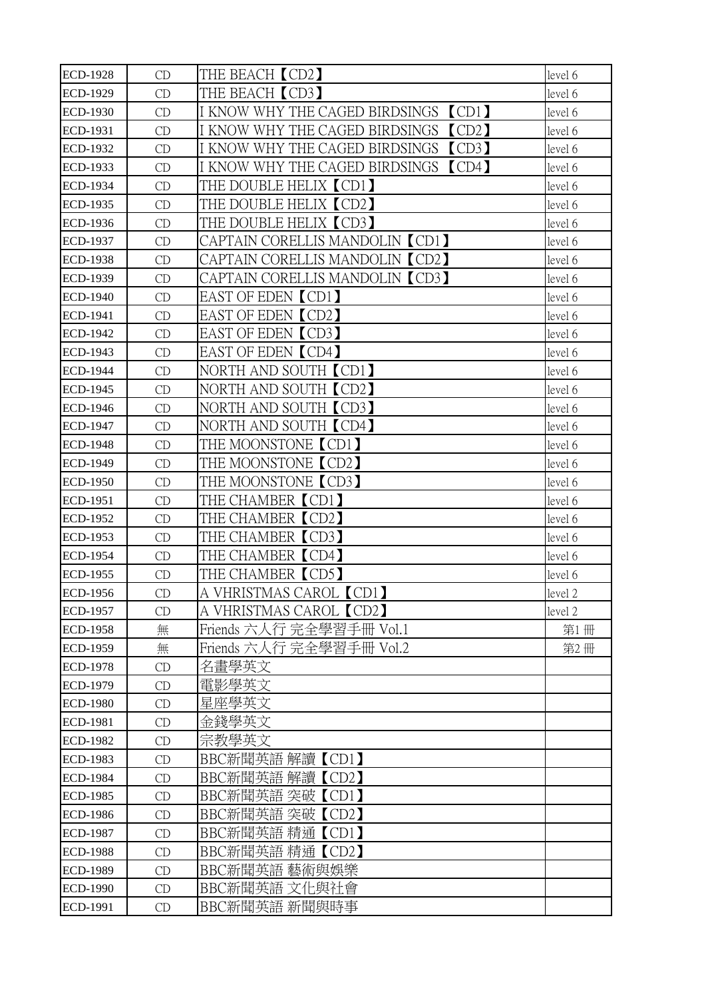| <b>ECD-1928</b> | CD | THE BEACH <i>[CD2]</i>                         | level 6 |
|-----------------|----|------------------------------------------------|---------|
| ECD-1929        | CD | THE BEACH (CD3)                                | level 6 |
| <b>ECD-1930</b> | CD | I KNOW WHY THE CAGED BIRDSINGS 【CD1】           | level 6 |
| ECD-1931        | CD | I KNOW WHY THE CAGED BIRDSINGS [CD2]           | level 6 |
| ECD-1932        | CD | I KNOW WHY THE CAGED BIRDSINGS<br>$\text{CD3}$ | level 6 |
| ECD-1933        | CD | I KNOW WHY THE CAGED BIRDSINGS<br>[CD4]        | level 6 |
| ECD-1934        | CD | THE DOUBLE HELIX (CD1)                         | level 6 |
| <b>ECD-1935</b> | CD | THE DOUBLE HELIX (CD2)                         | level 6 |
| ECD-1936        | CD | THE DOUBLE HELIX (CD3)                         | level 6 |
| <b>ECD-1937</b> | CD | CAPTAIN CORELLIS MANDOLIN【CD1】                 | level 6 |
| <b>ECD-1938</b> | CD | CAPTAIN CORELLIS MANDOLIN 【CD2】                | level 6 |
| ECD-1939        | CD | CAPTAIN CORELLIS MANDOLIN【CD3】                 | level 6 |
| <b>ECD-1940</b> | CD | EAST OF EDEN <b>[CD1]</b>                      | level 6 |
| ECD-1941        | CD | EAST OF EDEN <i>[CD2]</i>                      | level 6 |
| ECD-1942        | CD | EAST OF EDEN (CD3)                             | level 6 |
| ECD-1943        | CD | EAST OF EDEN <i>[CD4]</i>                      | level 6 |
| ECD-1944        | CD | NORTH AND SOUTH (CD1)                          | level 6 |
| ECD-1945        | CD | NORTH AND SOUTH <i>[CD2]</i>                   | level 6 |
| ECD-1946        | CD | NORTH AND SOUTH <i>[CD3]</i>                   | level 6 |
| <b>ECD-1947</b> | CD | NORTH AND SOUTH (CD4)                          | level 6 |
| <b>ECD-1948</b> | CD | THE MOONSTONE <i>[CD1]</i>                     | level 6 |
| ECD-1949        | CD | THE MOONSTONE (CD2)                            | level 6 |
| <b>ECD-1950</b> | CD | THE MOONSTONE 【CD3】                            | level 6 |
| ECD-1951        | CD | THE CHAMBER CD1)                               | level 6 |
| ECD-1952        | CD | THE CHAMBER (CD2)                              | level 6 |
| ECD-1953        | CD | THE CHAMBER <i>[CD3]</i>                       | level 6 |
| <b>ECD-1954</b> | CD | THE CHAMBER CD4                                | level 6 |
| <b>ECD-1955</b> | CD | THE CHAMBER <i>[CD5]</i>                       | level 6 |
| ECD-1956        | CD | A VHRISTMAS CAROL <i>[CD1]</i>                 | level 2 |
| <b>ECD-1957</b> | CD | A VHRISTMAS CAROL【CD2】                         | level 2 |
| <b>ECD-1958</b> | 無  | Friends 六人行 完全學習手冊 Vol.1                       | 第1冊     |
| ECD-1959        | 無  | Friends 六人行 完全學習手冊 Vol.2                       | 第2冊     |
| <b>ECD-1978</b> | CD | 名畫學英文                                          |         |
| <b>ECD-1979</b> | CD | 電影學英文                                          |         |
| <b>ECD-1980</b> | CD | 星座學英文                                          |         |
| <b>ECD-1981</b> | CD | 金錢學英文                                          |         |
| <b>ECD-1982</b> | CD | 宗教學英文                                          |         |
| ECD-1983        | CD | BBC新聞英語 解讀【CD1】                                |         |
| <b>ECD-1984</b> | CD | BBC新聞英語 解讀【CD2】                                |         |
| <b>ECD-1985</b> | CD | BBC新聞英語 突破【CD1】                                |         |
| <b>ECD-1986</b> | CD | BBC新聞英語 突破【CD2】                                |         |
| <b>ECD-1987</b> | CD | BBC新聞英語 精通【CD1】                                |         |
| <b>ECD-1988</b> | CD | BBC新聞英語 精通【CD2】                                |         |
| ECD-1989        | CD | BBC新聞英語 藝術與娛樂                                  |         |
| <b>ECD-1990</b> | CD | BBC新聞英語 文化與社會                                  |         |
| ECD-1991        | CD | BBC新聞英語 新聞與時事                                  |         |
|                 |    |                                                |         |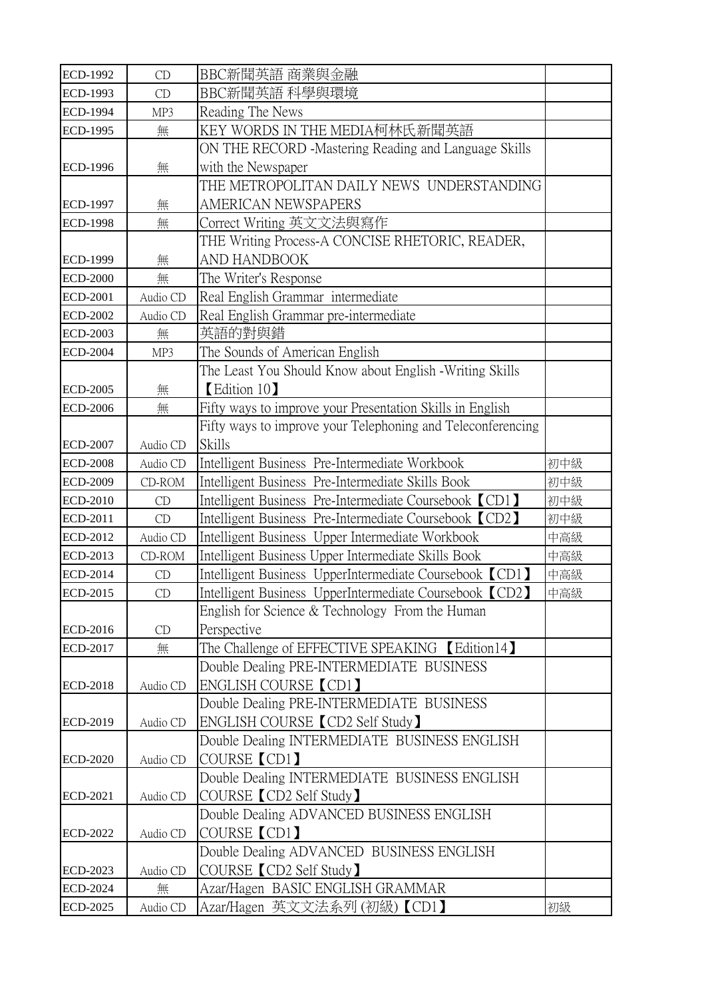| ECD-1992        | CD       | BBC新聞英語 商業與金融                                               |     |
|-----------------|----------|-------------------------------------------------------------|-----|
| ECD-1993        | CD       | BBC新聞英語 科學與環境                                               |     |
| <b>ECD-1994</b> | MP3      | Reading The News                                            |     |
| <b>ECD-1995</b> | 無        | KEY WORDS IN THE MEDIA柯林氏新聞英語                               |     |
|                 |          | ON THE RECORD -Mastering Reading and Language Skills        |     |
| <b>ECD-1996</b> | 無        | with the Newspaper                                          |     |
|                 |          | THE METROPOLITAN DAILY NEWS UNDERSTANDING                   |     |
| <b>ECD-1997</b> | 無        | AMERICAN NEWSPAPERS                                         |     |
| <b>ECD-1998</b> | 無        | Correct Writing 英文文法與寫作                                     |     |
|                 |          | THE Writing Process-A CONCISE RHETORIC, READER,             |     |
| ECD-1999        | 無        | <b>AND HANDBOOK</b>                                         |     |
| <b>ECD-2000</b> | 無        | The Writer's Response                                       |     |
| <b>ECD-2001</b> | Audio CD | Real English Grammar intermediate                           |     |
| <b>ECD-2002</b> | Audio CD | Real English Grammar pre-intermediate                       |     |
| <b>ECD-2003</b> | 無        | 英語的對與錯                                                      |     |
| <b>ECD-2004</b> | MP3      | The Sounds of American English                              |     |
|                 |          | The Least You Should Know about English - Writing Skills    |     |
| <b>ECD-2005</b> | 無        | Edition 10                                                  |     |
| <b>ECD-2006</b> | 無        | Fifty ways to improve your Presentation Skills in English   |     |
|                 |          | Fifty ways to improve your Telephoning and Teleconferencing |     |
| <b>ECD-2007</b> | Audio CD | Skills                                                      |     |
| <b>ECD-2008</b> | Audio CD | Intelligent Business Pre-Intermediate Workbook              | 初中級 |
| <b>ECD-2009</b> | CD-ROM   | Intelligent Business Pre-Intermediate Skills Book           | 初中級 |
| <b>ECD-2010</b> | CD       | Intelligent Business Pre-Intermediate Coursebook (CD1)      | 初中級 |
| <b>ECD-2011</b> | CD       | Intelligent Business Pre-Intermediate Coursebook (CD2)      | 初中級 |
| ECD-2012        | Audio CD | Intelligent Business Upper Intermediate Workbook            | 中高級 |
| ECD-2013        | CD-ROM   | Intelligent Business Upper Intermediate Skills Book         | 中高級 |
| ECD-2014        | CD       | Intelligent Business UpperIntermediate Coursebook [CD1]     | 中高級 |
| ECD-2015        | CD       | Intelligent Business UpperIntermediate Coursebook [CD2]     | 中高級 |
|                 |          | English for Science $&$ Technology From the Human           |     |
| ECD-2016        | CD       | Perspective                                                 |     |
| ECD-2017        | 無        | The Challenge of EFFECTIVE SPEAKING [Edition14]             |     |
|                 |          | Double Dealing PRE-INTERMEDIATE BUSINESS                    |     |
| <b>ECD-2018</b> | Audio CD | ENGLISH COURSE 【CD1】                                        |     |
|                 |          | Double Dealing PRE-INTERMEDIATE BUSINESS                    |     |
| ECD-2019        | Audio CD | ENGLISH COURSE 【CD2 Self Study】                             |     |
|                 |          | Double Dealing INTERMEDIATE BUSINESS ENGLISH                |     |
| <b>ECD-2020</b> | Audio CD | COURSE 【CD1】                                                |     |
|                 |          | Double Dealing INTERMEDIATE BUSINESS ENGLISH                |     |
| <b>ECD-2021</b> | Audio CD | COURSE CD2 Self Study J                                     |     |
|                 |          | Double Dealing ADVANCED BUSINESS ENGLISH                    |     |
| <b>ECD-2022</b> | Audio CD | COURSE <b>[CD1]</b>                                         |     |
|                 |          | Double Dealing ADVANCED BUSINESS ENGLISH                    |     |
| ECD-2023        | Audio CD | COURSE 【CD2 Self Study】                                     |     |
| <b>ECD-2024</b> | 無        | Azar/Hagen BASIC ENGLISH GRAMMAR                            |     |
| ECD-2025        | Audio CD | Azar/Hagen 英文文法系列(初級)【CD1】                                  | 初級  |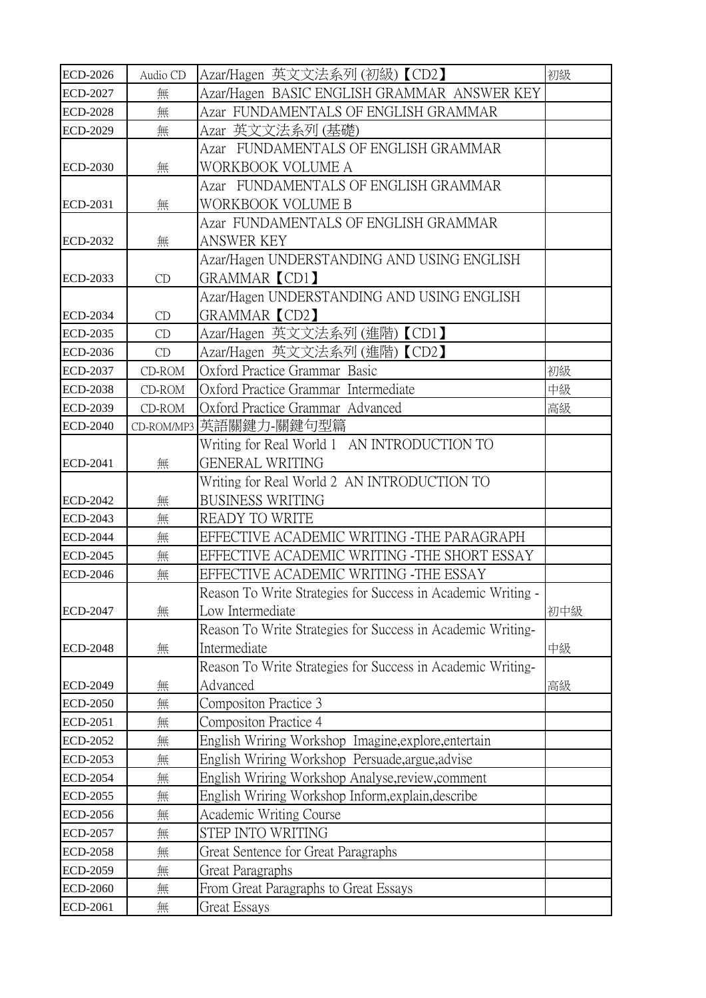| Azar/Hagen BASIC ENGLISH GRAMMAR ANSWER KEY<br><b>ECD-2027</b><br>無<br>Azar FUNDAMENTALS OF ENGLISH GRAMMAR<br>無<br><b>ECD-2028</b><br>無<br>Azar 英文文法系列(基礎)<br>ECD-2029<br>Azar FUNDAMENTALS OF ENGLISH GRAMMAR<br>WORKBOOK VOLUME A<br>無<br>Azar FUNDAMENTALS OF ENGLISH GRAMMAR<br>WORKBOOK VOLUME B<br>無<br>Azar FUNDAMENTALS OF ENGLISH GRAMMAR<br><b>ANSWER KEY</b><br><b>ECD-2032</b><br>無<br>Azar/Hagen UNDERSTANDING AND USING ENGLISH<br>GRAMMAR <i>[CD1]</i><br>ECD-2033<br>CD<br>Azar/Hagen UNDERSTANDING AND USING ENGLISH<br>GRAMMAR <i>[CD2]</i><br>CD<br><b>ECD-2034</b><br>Azar/Hagen 英文文法系列(進階)【CD1】<br>CD<br>ECD-2035<br>Azar/Hagen 英文文法系列(進階)【CD2】<br><b>ECD-2036</b><br>CD<br>Oxford Practice Grammar Basic<br>初級<br><b>ECD-2037</b><br>CD-ROM<br>Oxford Practice Grammar Intermediate<br>中級<br><b>ECD-2038</b><br>CD-ROM<br>Oxford Practice Grammar Advanced<br><b>ECD-2039</b><br>$CD$ -ROM<br>高級<br> 英語關鍵力-關鍵句型篇<br><b>ECD-2040</b><br>CD-ROM/MP3<br>Writing for Real World 1 AN INTRODUCTION TO<br><b>GENERAL WRITING</b><br><b>ECD-2041</b><br>無<br>Writing for Real World 2 AN INTRODUCTION TO<br><b>BUSINESS WRITING</b><br>ECD-2042<br>無<br>無<br><b>READY TO WRITE</b><br><b>ECD-2043</b><br>EFFECTIVE ACADEMIC WRITING -THE PARAGRAPH<br><b>ECD-2044</b><br>無<br>EFFECTIVE ACADEMIC WRITING -THE SHORT ESSAY<br>無<br>ECD-2045<br>EFFECTIVE ACADEMIC WRITING -THE ESSAY<br>ECD-2046<br>無<br>Reason To Write Strategies for Success in Academic Writing<br>Low Intermediate<br><b>ECD-2047</b><br>無<br>初中級<br>Reason To Write Strategies for Success in Academic Writing-<br>Intermediate<br>中級<br><b>ECD-2048</b><br>無<br>Reason To Write Strategies for Success in Academic Writing-<br>Advanced<br>高級<br>ECD-2049<br>無<br>Compositon Practice 3<br>無<br><b>ECD-2050</b><br>Compositon Practice 4<br>ECD-2051<br>無<br>English Wriring Workshop Imagine, explore, entertain<br>ECD-2052<br>無<br>English Wriring Workshop Persuade, argue, advise<br>ECD-2053<br>無<br>English Wriring Workshop Analyse, review, comment<br>無<br><b>ECD-2054</b><br>English Wriring Workshop Inform, explain, describe<br>ECD-2055<br>無<br>Academic Writing Course<br>ECD-2056<br>無<br>STEP INTO WRITING<br>無<br><b>ECD-2057</b><br>Great Sentence for Great Paragraphs<br><b>ECD-2058</b><br>無<br>Great Paragraphs<br>ECD-2059<br>無<br>From Great Paragraphs to Great Essays<br><b>ECD-2060</b><br>無 | <b>ECD-2026</b> | Audio CD | Azar/Hagen 英文文法系列(初級)【CD2】 | 初級 |
|-----------------------------------------------------------------------------------------------------------------------------------------------------------------------------------------------------------------------------------------------------------------------------------------------------------------------------------------------------------------------------------------------------------------------------------------------------------------------------------------------------------------------------------------------------------------------------------------------------------------------------------------------------------------------------------------------------------------------------------------------------------------------------------------------------------------------------------------------------------------------------------------------------------------------------------------------------------------------------------------------------------------------------------------------------------------------------------------------------------------------------------------------------------------------------------------------------------------------------------------------------------------------------------------------------------------------------------------------------------------------------------------------------------------------------------------------------------------------------------------------------------------------------------------------------------------------------------------------------------------------------------------------------------------------------------------------------------------------------------------------------------------------------------------------------------------------------------------------------------------------------------------------------------------------------------------------------------------------------------------------------------------------------------------------------------------------------------------------------------------------------------------------------------------------------------------------------------------------------------------------------------------------------------------------------------------------------------------------------------------------------------------------------------------|-----------------|----------|----------------------------|----|
|                                                                                                                                                                                                                                                                                                                                                                                                                                                                                                                                                                                                                                                                                                                                                                                                                                                                                                                                                                                                                                                                                                                                                                                                                                                                                                                                                                                                                                                                                                                                                                                                                                                                                                                                                                                                                                                                                                                                                                                                                                                                                                                                                                                                                                                                                                                                                                                                                 |                 |          |                            |    |
|                                                                                                                                                                                                                                                                                                                                                                                                                                                                                                                                                                                                                                                                                                                                                                                                                                                                                                                                                                                                                                                                                                                                                                                                                                                                                                                                                                                                                                                                                                                                                                                                                                                                                                                                                                                                                                                                                                                                                                                                                                                                                                                                                                                                                                                                                                                                                                                                                 |                 |          |                            |    |
|                                                                                                                                                                                                                                                                                                                                                                                                                                                                                                                                                                                                                                                                                                                                                                                                                                                                                                                                                                                                                                                                                                                                                                                                                                                                                                                                                                                                                                                                                                                                                                                                                                                                                                                                                                                                                                                                                                                                                                                                                                                                                                                                                                                                                                                                                                                                                                                                                 |                 |          |                            |    |
|                                                                                                                                                                                                                                                                                                                                                                                                                                                                                                                                                                                                                                                                                                                                                                                                                                                                                                                                                                                                                                                                                                                                                                                                                                                                                                                                                                                                                                                                                                                                                                                                                                                                                                                                                                                                                                                                                                                                                                                                                                                                                                                                                                                                                                                                                                                                                                                                                 |                 |          |                            |    |
|                                                                                                                                                                                                                                                                                                                                                                                                                                                                                                                                                                                                                                                                                                                                                                                                                                                                                                                                                                                                                                                                                                                                                                                                                                                                                                                                                                                                                                                                                                                                                                                                                                                                                                                                                                                                                                                                                                                                                                                                                                                                                                                                                                                                                                                                                                                                                                                                                 | <b>ECD-2030</b> |          |                            |    |
|                                                                                                                                                                                                                                                                                                                                                                                                                                                                                                                                                                                                                                                                                                                                                                                                                                                                                                                                                                                                                                                                                                                                                                                                                                                                                                                                                                                                                                                                                                                                                                                                                                                                                                                                                                                                                                                                                                                                                                                                                                                                                                                                                                                                                                                                                                                                                                                                                 |                 |          |                            |    |
|                                                                                                                                                                                                                                                                                                                                                                                                                                                                                                                                                                                                                                                                                                                                                                                                                                                                                                                                                                                                                                                                                                                                                                                                                                                                                                                                                                                                                                                                                                                                                                                                                                                                                                                                                                                                                                                                                                                                                                                                                                                                                                                                                                                                                                                                                                                                                                                                                 | <b>ECD-2031</b> |          |                            |    |
|                                                                                                                                                                                                                                                                                                                                                                                                                                                                                                                                                                                                                                                                                                                                                                                                                                                                                                                                                                                                                                                                                                                                                                                                                                                                                                                                                                                                                                                                                                                                                                                                                                                                                                                                                                                                                                                                                                                                                                                                                                                                                                                                                                                                                                                                                                                                                                                                                 |                 |          |                            |    |
|                                                                                                                                                                                                                                                                                                                                                                                                                                                                                                                                                                                                                                                                                                                                                                                                                                                                                                                                                                                                                                                                                                                                                                                                                                                                                                                                                                                                                                                                                                                                                                                                                                                                                                                                                                                                                                                                                                                                                                                                                                                                                                                                                                                                                                                                                                                                                                                                                 |                 |          |                            |    |
|                                                                                                                                                                                                                                                                                                                                                                                                                                                                                                                                                                                                                                                                                                                                                                                                                                                                                                                                                                                                                                                                                                                                                                                                                                                                                                                                                                                                                                                                                                                                                                                                                                                                                                                                                                                                                                                                                                                                                                                                                                                                                                                                                                                                                                                                                                                                                                                                                 |                 |          |                            |    |
|                                                                                                                                                                                                                                                                                                                                                                                                                                                                                                                                                                                                                                                                                                                                                                                                                                                                                                                                                                                                                                                                                                                                                                                                                                                                                                                                                                                                                                                                                                                                                                                                                                                                                                                                                                                                                                                                                                                                                                                                                                                                                                                                                                                                                                                                                                                                                                                                                 |                 |          |                            |    |
|                                                                                                                                                                                                                                                                                                                                                                                                                                                                                                                                                                                                                                                                                                                                                                                                                                                                                                                                                                                                                                                                                                                                                                                                                                                                                                                                                                                                                                                                                                                                                                                                                                                                                                                                                                                                                                                                                                                                                                                                                                                                                                                                                                                                                                                                                                                                                                                                                 |                 |          |                            |    |
|                                                                                                                                                                                                                                                                                                                                                                                                                                                                                                                                                                                                                                                                                                                                                                                                                                                                                                                                                                                                                                                                                                                                                                                                                                                                                                                                                                                                                                                                                                                                                                                                                                                                                                                                                                                                                                                                                                                                                                                                                                                                                                                                                                                                                                                                                                                                                                                                                 |                 |          |                            |    |
|                                                                                                                                                                                                                                                                                                                                                                                                                                                                                                                                                                                                                                                                                                                                                                                                                                                                                                                                                                                                                                                                                                                                                                                                                                                                                                                                                                                                                                                                                                                                                                                                                                                                                                                                                                                                                                                                                                                                                                                                                                                                                                                                                                                                                                                                                                                                                                                                                 |                 |          |                            |    |
|                                                                                                                                                                                                                                                                                                                                                                                                                                                                                                                                                                                                                                                                                                                                                                                                                                                                                                                                                                                                                                                                                                                                                                                                                                                                                                                                                                                                                                                                                                                                                                                                                                                                                                                                                                                                                                                                                                                                                                                                                                                                                                                                                                                                                                                                                                                                                                                                                 |                 |          |                            |    |
|                                                                                                                                                                                                                                                                                                                                                                                                                                                                                                                                                                                                                                                                                                                                                                                                                                                                                                                                                                                                                                                                                                                                                                                                                                                                                                                                                                                                                                                                                                                                                                                                                                                                                                                                                                                                                                                                                                                                                                                                                                                                                                                                                                                                                                                                                                                                                                                                                 |                 |          |                            |    |
|                                                                                                                                                                                                                                                                                                                                                                                                                                                                                                                                                                                                                                                                                                                                                                                                                                                                                                                                                                                                                                                                                                                                                                                                                                                                                                                                                                                                                                                                                                                                                                                                                                                                                                                                                                                                                                                                                                                                                                                                                                                                                                                                                                                                                                                                                                                                                                                                                 |                 |          |                            |    |
|                                                                                                                                                                                                                                                                                                                                                                                                                                                                                                                                                                                                                                                                                                                                                                                                                                                                                                                                                                                                                                                                                                                                                                                                                                                                                                                                                                                                                                                                                                                                                                                                                                                                                                                                                                                                                                                                                                                                                                                                                                                                                                                                                                                                                                                                                                                                                                                                                 |                 |          |                            |    |
|                                                                                                                                                                                                                                                                                                                                                                                                                                                                                                                                                                                                                                                                                                                                                                                                                                                                                                                                                                                                                                                                                                                                                                                                                                                                                                                                                                                                                                                                                                                                                                                                                                                                                                                                                                                                                                                                                                                                                                                                                                                                                                                                                                                                                                                                                                                                                                                                                 |                 |          |                            |    |
|                                                                                                                                                                                                                                                                                                                                                                                                                                                                                                                                                                                                                                                                                                                                                                                                                                                                                                                                                                                                                                                                                                                                                                                                                                                                                                                                                                                                                                                                                                                                                                                                                                                                                                                                                                                                                                                                                                                                                                                                                                                                                                                                                                                                                                                                                                                                                                                                                 |                 |          |                            |    |
|                                                                                                                                                                                                                                                                                                                                                                                                                                                                                                                                                                                                                                                                                                                                                                                                                                                                                                                                                                                                                                                                                                                                                                                                                                                                                                                                                                                                                                                                                                                                                                                                                                                                                                                                                                                                                                                                                                                                                                                                                                                                                                                                                                                                                                                                                                                                                                                                                 |                 |          |                            |    |
|                                                                                                                                                                                                                                                                                                                                                                                                                                                                                                                                                                                                                                                                                                                                                                                                                                                                                                                                                                                                                                                                                                                                                                                                                                                                                                                                                                                                                                                                                                                                                                                                                                                                                                                                                                                                                                                                                                                                                                                                                                                                                                                                                                                                                                                                                                                                                                                                                 |                 |          |                            |    |
|                                                                                                                                                                                                                                                                                                                                                                                                                                                                                                                                                                                                                                                                                                                                                                                                                                                                                                                                                                                                                                                                                                                                                                                                                                                                                                                                                                                                                                                                                                                                                                                                                                                                                                                                                                                                                                                                                                                                                                                                                                                                                                                                                                                                                                                                                                                                                                                                                 |                 |          |                            |    |
|                                                                                                                                                                                                                                                                                                                                                                                                                                                                                                                                                                                                                                                                                                                                                                                                                                                                                                                                                                                                                                                                                                                                                                                                                                                                                                                                                                                                                                                                                                                                                                                                                                                                                                                                                                                                                                                                                                                                                                                                                                                                                                                                                                                                                                                                                                                                                                                                                 |                 |          |                            |    |
|                                                                                                                                                                                                                                                                                                                                                                                                                                                                                                                                                                                                                                                                                                                                                                                                                                                                                                                                                                                                                                                                                                                                                                                                                                                                                                                                                                                                                                                                                                                                                                                                                                                                                                                                                                                                                                                                                                                                                                                                                                                                                                                                                                                                                                                                                                                                                                                                                 |                 |          |                            |    |
|                                                                                                                                                                                                                                                                                                                                                                                                                                                                                                                                                                                                                                                                                                                                                                                                                                                                                                                                                                                                                                                                                                                                                                                                                                                                                                                                                                                                                                                                                                                                                                                                                                                                                                                                                                                                                                                                                                                                                                                                                                                                                                                                                                                                                                                                                                                                                                                                                 |                 |          |                            |    |
|                                                                                                                                                                                                                                                                                                                                                                                                                                                                                                                                                                                                                                                                                                                                                                                                                                                                                                                                                                                                                                                                                                                                                                                                                                                                                                                                                                                                                                                                                                                                                                                                                                                                                                                                                                                                                                                                                                                                                                                                                                                                                                                                                                                                                                                                                                                                                                                                                 |                 |          |                            |    |
|                                                                                                                                                                                                                                                                                                                                                                                                                                                                                                                                                                                                                                                                                                                                                                                                                                                                                                                                                                                                                                                                                                                                                                                                                                                                                                                                                                                                                                                                                                                                                                                                                                                                                                                                                                                                                                                                                                                                                                                                                                                                                                                                                                                                                                                                                                                                                                                                                 |                 |          |                            |    |
|                                                                                                                                                                                                                                                                                                                                                                                                                                                                                                                                                                                                                                                                                                                                                                                                                                                                                                                                                                                                                                                                                                                                                                                                                                                                                                                                                                                                                                                                                                                                                                                                                                                                                                                                                                                                                                                                                                                                                                                                                                                                                                                                                                                                                                                                                                                                                                                                                 |                 |          |                            |    |
|                                                                                                                                                                                                                                                                                                                                                                                                                                                                                                                                                                                                                                                                                                                                                                                                                                                                                                                                                                                                                                                                                                                                                                                                                                                                                                                                                                                                                                                                                                                                                                                                                                                                                                                                                                                                                                                                                                                                                                                                                                                                                                                                                                                                                                                                                                                                                                                                                 |                 |          |                            |    |
|                                                                                                                                                                                                                                                                                                                                                                                                                                                                                                                                                                                                                                                                                                                                                                                                                                                                                                                                                                                                                                                                                                                                                                                                                                                                                                                                                                                                                                                                                                                                                                                                                                                                                                                                                                                                                                                                                                                                                                                                                                                                                                                                                                                                                                                                                                                                                                                                                 |                 |          |                            |    |
|                                                                                                                                                                                                                                                                                                                                                                                                                                                                                                                                                                                                                                                                                                                                                                                                                                                                                                                                                                                                                                                                                                                                                                                                                                                                                                                                                                                                                                                                                                                                                                                                                                                                                                                                                                                                                                                                                                                                                                                                                                                                                                                                                                                                                                                                                                                                                                                                                 |                 |          |                            |    |
|                                                                                                                                                                                                                                                                                                                                                                                                                                                                                                                                                                                                                                                                                                                                                                                                                                                                                                                                                                                                                                                                                                                                                                                                                                                                                                                                                                                                                                                                                                                                                                                                                                                                                                                                                                                                                                                                                                                                                                                                                                                                                                                                                                                                                                                                                                                                                                                                                 |                 |          |                            |    |
|                                                                                                                                                                                                                                                                                                                                                                                                                                                                                                                                                                                                                                                                                                                                                                                                                                                                                                                                                                                                                                                                                                                                                                                                                                                                                                                                                                                                                                                                                                                                                                                                                                                                                                                                                                                                                                                                                                                                                                                                                                                                                                                                                                                                                                                                                                                                                                                                                 |                 |          |                            |    |
|                                                                                                                                                                                                                                                                                                                                                                                                                                                                                                                                                                                                                                                                                                                                                                                                                                                                                                                                                                                                                                                                                                                                                                                                                                                                                                                                                                                                                                                                                                                                                                                                                                                                                                                                                                                                                                                                                                                                                                                                                                                                                                                                                                                                                                                                                                                                                                                                                 |                 |          |                            |    |
|                                                                                                                                                                                                                                                                                                                                                                                                                                                                                                                                                                                                                                                                                                                                                                                                                                                                                                                                                                                                                                                                                                                                                                                                                                                                                                                                                                                                                                                                                                                                                                                                                                                                                                                                                                                                                                                                                                                                                                                                                                                                                                                                                                                                                                                                                                                                                                                                                 |                 |          |                            |    |
|                                                                                                                                                                                                                                                                                                                                                                                                                                                                                                                                                                                                                                                                                                                                                                                                                                                                                                                                                                                                                                                                                                                                                                                                                                                                                                                                                                                                                                                                                                                                                                                                                                                                                                                                                                                                                                                                                                                                                                                                                                                                                                                                                                                                                                                                                                                                                                                                                 |                 |          |                            |    |
|                                                                                                                                                                                                                                                                                                                                                                                                                                                                                                                                                                                                                                                                                                                                                                                                                                                                                                                                                                                                                                                                                                                                                                                                                                                                                                                                                                                                                                                                                                                                                                                                                                                                                                                                                                                                                                                                                                                                                                                                                                                                                                                                                                                                                                                                                                                                                                                                                 |                 |          |                            |    |
|                                                                                                                                                                                                                                                                                                                                                                                                                                                                                                                                                                                                                                                                                                                                                                                                                                                                                                                                                                                                                                                                                                                                                                                                                                                                                                                                                                                                                                                                                                                                                                                                                                                                                                                                                                                                                                                                                                                                                                                                                                                                                                                                                                                                                                                                                                                                                                                                                 |                 |          |                            |    |
|                                                                                                                                                                                                                                                                                                                                                                                                                                                                                                                                                                                                                                                                                                                                                                                                                                                                                                                                                                                                                                                                                                                                                                                                                                                                                                                                                                                                                                                                                                                                                                                                                                                                                                                                                                                                                                                                                                                                                                                                                                                                                                                                                                                                                                                                                                                                                                                                                 |                 |          |                            |    |
|                                                                                                                                                                                                                                                                                                                                                                                                                                                                                                                                                                                                                                                                                                                                                                                                                                                                                                                                                                                                                                                                                                                                                                                                                                                                                                                                                                                                                                                                                                                                                                                                                                                                                                                                                                                                                                                                                                                                                                                                                                                                                                                                                                                                                                                                                                                                                                                                                 |                 |          |                            |    |
|                                                                                                                                                                                                                                                                                                                                                                                                                                                                                                                                                                                                                                                                                                                                                                                                                                                                                                                                                                                                                                                                                                                                                                                                                                                                                                                                                                                                                                                                                                                                                                                                                                                                                                                                                                                                                                                                                                                                                                                                                                                                                                                                                                                                                                                                                                                                                                                                                 |                 |          |                            |    |
|                                                                                                                                                                                                                                                                                                                                                                                                                                                                                                                                                                                                                                                                                                                                                                                                                                                                                                                                                                                                                                                                                                                                                                                                                                                                                                                                                                                                                                                                                                                                                                                                                                                                                                                                                                                                                                                                                                                                                                                                                                                                                                                                                                                                                                                                                                                                                                                                                 |                 |          |                            |    |
|                                                                                                                                                                                                                                                                                                                                                                                                                                                                                                                                                                                                                                                                                                                                                                                                                                                                                                                                                                                                                                                                                                                                                                                                                                                                                                                                                                                                                                                                                                                                                                                                                                                                                                                                                                                                                                                                                                                                                                                                                                                                                                                                                                                                                                                                                                                                                                                                                 |                 |          |                            |    |
| ECD-2061<br>無<br>Great Essays                                                                                                                                                                                                                                                                                                                                                                                                                                                                                                                                                                                                                                                                                                                                                                                                                                                                                                                                                                                                                                                                                                                                                                                                                                                                                                                                                                                                                                                                                                                                                                                                                                                                                                                                                                                                                                                                                                                                                                                                                                                                                                                                                                                                                                                                                                                                                                                   |                 |          |                            |    |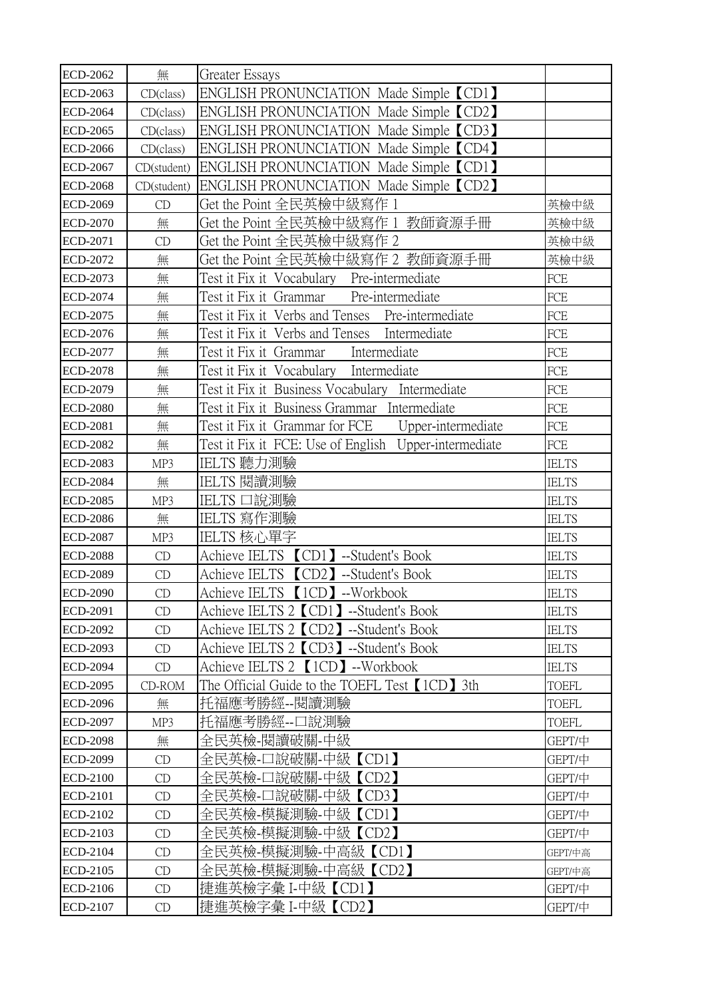| <b>ECD-2062</b> | 無                      | <b>Greater Essays</b>                                 |              |
|-----------------|------------------------|-------------------------------------------------------|--------------|
| ECD-2063        | CD(class)              | ENGLISH PRONUNCIATION Made Simple (CD1)               |              |
| <b>ECD-2064</b> | CD(class)              | ENGLISH PRONUNCIATION Made Simple (CD2)               |              |
| ECD-2065        | CD(class)              | ENGLISH PRONUNCIATION Made Simple (CD3)               |              |
| ECD-2066        | CD(class)              | ENGLISH PRONUNCIATION Made Simple (CD4)               |              |
| <b>ECD-2067</b> | CD(student)            | ENGLISH PRONUNCIATION Made Simple (CD1)               |              |
| <b>ECD-2068</b> | CD(student)            | ENGLISH PRONUNCIATION Made Simple (CD2)               |              |
| ECD-2069        | CD                     | Get the Point 全民英檢中級寫作 1                              | 英檢中級         |
| <b>ECD-2070</b> | 無                      | Get the Point 全民英檢中級寫作 1 教師資源手冊                       | 英檢中級         |
| ECD-2071        | CD                     | Get the Point 全民英檢中級寫作 2                              | 英檢中級         |
| <b>ECD-2072</b> | 無                      | Get the Point 全民英檢中級寫作 2  教師資源手冊                      | 英檢中級         |
| ECD-2073        | 無                      | Test it Fix it Vocabulary Pre-intermediate            | FCE          |
| <b>ECD-2074</b> | 無                      | Test it Fix it Grammar Pre-intermediate               | FCE          |
| ECD-2075        | 無                      | Test it Fix it Verbs and Tenses Pre-intermediate      | FCE          |
| ECD-2076        | 無                      | Test it Fix it Verbs and Tenses Intermediate          | FCE          |
| <b>ECD-2077</b> | 無                      | Test it Fix it Grammar Intermediate                   | FCE          |
| <b>ECD-2078</b> | 無                      | Test it Fix it Vocabulary Intermediate                | FCE          |
| <b>ECD-2079</b> | 無                      | Test it Fix it Business Vocabulary Intermediate       | FCE          |
| <b>ECD-2080</b> | 無                      | Test it Fix it Business Grammar Intermediate          | FCE          |
| <b>ECD-2081</b> | 無                      | Test it Fix it Grammar for FCE Upper-intermediate     | FCE          |
| <b>ECD-2082</b> | 無                      | Test it Fix it FCE: Use of English Upper-intermediate | FCE          |
| ECD-2083        | MP3                    | IELTS 聽力測驗                                            | <b>IELTS</b> |
| <b>ECD-2084</b> | 無                      | IELTS 閱讀測驗                                            | <b>IELTS</b> |
| <b>ECD-2085</b> | MP3                    | IELTS 口說測驗                                            | <b>IELTS</b> |
| <b>ECD-2086</b> | 無                      | IELTS 寫作測驗                                            | <b>IELTS</b> |
| <b>ECD-2087</b> | MP3                    | IELTS 核心單字                                            | <b>IELTS</b> |
| <b>ECD-2088</b> | CD                     | Achieve IELTS <b>[CD1]</b> --Student's Book           | <b>IELTS</b> |
| <b>ECD-2089</b> | CD                     | Achieve IELTS <b>[CD2]</b> --Student's Book           | <b>IELTS</b> |
| <b>ECD-2090</b> | $\mathop{\mathrm{CD}}$ | Achieve IELTS 【 1CD 】--Workbook                       | <b>IELTS</b> |
| <b>ECD-2091</b> | CD                     | Achieve IELTS 2 <b>[CD1]</b> --Student's Book         | <b>IELTS</b> |
| <b>ECD-2092</b> | CD                     | Achieve IELTS 2 [CD2] --Student's Book                | <b>IELTS</b> |
| ECD-2093        | CD                     | Achieve IELTS 2 [CD3] --Student's Book                | <b>IELTS</b> |
| <b>ECD-2094</b> | CD                     | Achieve IELTS 2 [1CD] --Workbook                      | <b>IELTS</b> |
| ECD-2095        | CD-ROM                 | The Official Guide to the TOEFL Test [1CD] 3th        | <b>TOEFL</b> |
| <b>ECD-2096</b> | 無                      | 托福應考勝經--閱讀測驗                                          | <b>TOEFL</b> |
| <b>ECD-2097</b> | MP3                    | 托福應考勝經--口說測驗                                          | <b>TOEFL</b> |
| <b>ECD-2098</b> | 無                      | 全民英檢-閱讀破關-中級                                          | GEPT/中       |
| <b>ECD-2099</b> | CD                     | 全民英檢-口說破關-中級【CD1】                                     | GEPT/中       |
| <b>ECD-2100</b> | CD                     | 全民英檢-口說破關-中級【CD2】                                     | GEPT/中       |
| ECD-2101        | CD                     | 全民英檢-口說破關-中級【CD3】                                     | GEPT/中       |
| ECD-2102        | CD                     | 全民英檢-模擬測驗-中級【CD1】                                     | GEPT/中       |
| ECD-2103        | CD                     | 全民英檢-模擬測驗-中級【CD2】                                     | GEPT/中       |
| ECD-2104        | CD                     | 全民英檢-模擬測驗-中高級【CD1】                                    | GEPT/中高      |
| ECD-2105        | CD                     | 全民英檢-模擬測驗-中高級【CD2】                                    | GEPT/中高      |
| ECD-2106        | CD                     | 捷進英檢字彙 I-中級【CD1】                                      | GEPT/中       |
| ECD-2107        | CD                     | 捷進英檢字彙 I-中級【CD2】                                      | GEPT/中       |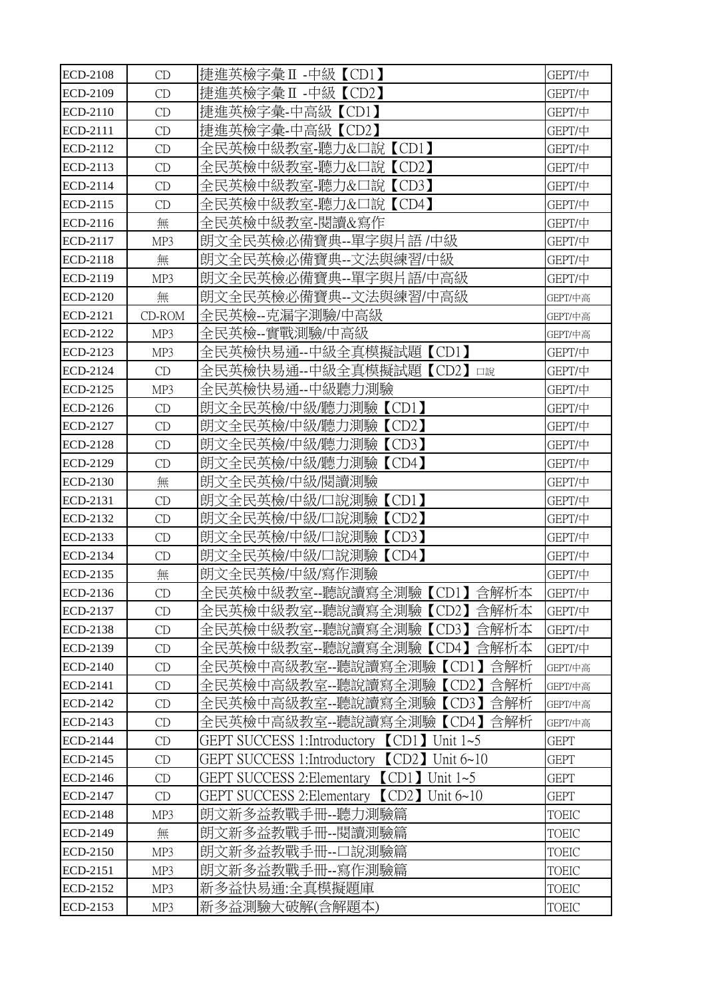| ECD-2108 | CD     | 捷進英檢字彙 II -中級【CD1】                                                   | GEPT/中       |
|----------|--------|----------------------------------------------------------------------|--------------|
| ECD-2109 | CD     | 捷進英檢字彙Ⅱ-中級【CD2】                                                      | GEPT/中       |
| ECD-2110 | CD     | 捷進英檢字彙-中高級【CD1】                                                      | GEPT/中       |
| ECD-2111 | CD     | 捷進英檢字彙-中高級【CD2】                                                      | GEPT/中       |
| ECD-2112 | CD     | 全民英檢中級教室-聽力&口說【CD1】                                                  | GEPT/中       |
| ECD-2113 | CD     | 全民英檢中級教室-聽力&口說【CD2】                                                  | GEPT/中       |
| ECD-2114 | CD     | 全民英檢中級教室-聽力&口說【CD3】                                                  | GEPT/中       |
| ECD-2115 | CD     | 全民英檢中級教室-聽力&口說【CD4】                                                  | GEPT/中       |
| ECD-2116 | 無      | 全民英檢中級教室-閱讀&寫作                                                       | GEPT/中       |
| ECD-2117 | MP3    | 朗文全民英檢必備寶典--單字與片語 /中級                                                | GEPT/中       |
| ECD-2118 | 無      | 朗文全民英檢必備寶典--文法與練習/中級                                                 | GEPT/中       |
| ECD-2119 | MP3    | 朗文全民英檢必備寶典--單字與片語/中高級                                                | GEPT/中       |
| ECD-2120 | 無      | 朗文全民英檢必備寶典--文法與練習/中高級                                                | GEPT/中高      |
| ECD-2121 | CD-ROM | 全民英檢--克漏字測驗/中高級                                                      | GEPT/中高      |
| ECD-2122 | MP3    | 全民英檢--實戰測驗/中高級                                                       | GEPT/中高      |
| ECD-2123 | MP3    | 全民英檢快易通--中級全真模擬試題【CD1】                                               | GEPT/中       |
| ECD-2124 | CD     | 全民英檢快易通--中級全真模擬試題【CD2】□說                                             | GEPT/中       |
| ECD-2125 | MP3    | 全民英檢快易通--中級聽力測驗                                                      | GEPT/中       |
| ECD-2126 | CD     | 朗文全民英檢/中級/聽力測驗【CD1】                                                  | GEPT/中       |
| ECD-2127 | CD     | 朗文全民英檢/中級/聽力測驗【CD2】                                                  | GEPT/中       |
| ECD-2128 | CD     | 朗文全民英檢/中級/聽力測驗【CD3】                                                  | GEPT/中       |
| ECD-2129 | CD     | 朗文全民英檢/中級/聽力測驗【CD4】                                                  | GEPT/中       |
| ECD-2130 | 無      | 朗文全民英檢/中級/閱讀測驗                                                       | GEPT/中       |
| ECD-2131 | CD     | 朗文全民英檢/中級/口說測驗【CD1】                                                  | GEPT/中       |
| ECD-2132 | CD     | 朗文全民英檢/中級/口說測驗<br>$\overline{CD2}$                                   | GEPT/中       |
| ECD-2133 | CD     | 朗文全民英檢/中級/口說測驗【CD3】                                                  | GEPT/中       |
| ECD-2134 | CD     | 朗文全民英檢/中級/口說測驗<br>$\text{CD4}$                                       | GEPT/中       |
| ECD-2135 | 無      | 朗文全民英檢/中級/寫作測驗                                                       | GEPT/中       |
| ECD-2136 | CD     | 全民英檢中級教室--聽說讀寫全測驗【CD1】 含解析本                                          | GEPT/中       |
| ECD-2137 | CD     | 全民英檢中級教室--聽說讀寫全測驗【CD2】<br>含解析本                                       | GEPT/中       |
| ECD-2138 | CD     | 全民英檢中級教室--聽說讀寫全測驗【CD3】<br>含解析本                                       | GEPT/中       |
| ECD-2139 | CD     | 全民英檢中級教室--聽說讀寫全測驗<br>$\text{CD4}$<br>含解析本                            | GEPT/中       |
| ECD-2140 | CD     | 全民英檢中高級教室--聽說讀寫全測驗【CD1】<br>含解析                                       | GEPT/中高      |
| ECD-2141 | CD     | 全民英檢中高級教室--聽說讀寫全測驗【CD2】<br>含解析                                       | GEPT/中高      |
| ECD-2142 | CD     | 全民英檢中高級教室--聽說讀寫全測驗<br>$\text{CD3}$<br>含解析                            | GEPT/中高      |
| ECD-2143 | CD     | 全民英檢中高級教室--聽說讀寫全測驗【CD4】<br>含解析                                       | GEPT/中高      |
| ECD-2144 | CD     | GEPT SUCCESS 1:Introductory (CD1) Unit 1~5                           | <b>GEPT</b>  |
| ECD-2145 | CD     | GEPT SUCCESS 1:Introductory CCD2 Unit 6~10                           | <b>GEPT</b>  |
| ECD-2146 | CD     | GEPT SUCCESS 2: Elementary CCD1 J Unit 1~5                           | <b>GEPT</b>  |
| ECD-2147 | CD     | <b>GEPT SUCCESS 2: Elementary</b><br>$\text{CD2}$ Unit $6\text{-}10$ | <b>GEPT</b>  |
| ECD-2148 | MP3    | 朗文新多益教戰手冊--聽力測驗篇                                                     | <b>TOEIC</b> |
| ECD-2149 | 無      | 朗文新多益教戰手冊--閱讀測驗篇                                                     | <b>TOEIC</b> |
| ECD-2150 | MP3    | 朗文新多益教戰手冊--口說測驗篇                                                     | <b>TOEIC</b> |
| ECD-2151 | MP3    | 朗文新多益教戰手冊--寫作測驗篇                                                     | <b>TOEIC</b> |
| ECD-2152 | MP3    | 新多益快易通:全真模擬題庫                                                        | <b>TOEIC</b> |
| ECD-2153 | MP3    | 新多益測驗大破解(含解題本)                                                       | <b>TOEIC</b> |
|          |        |                                                                      |              |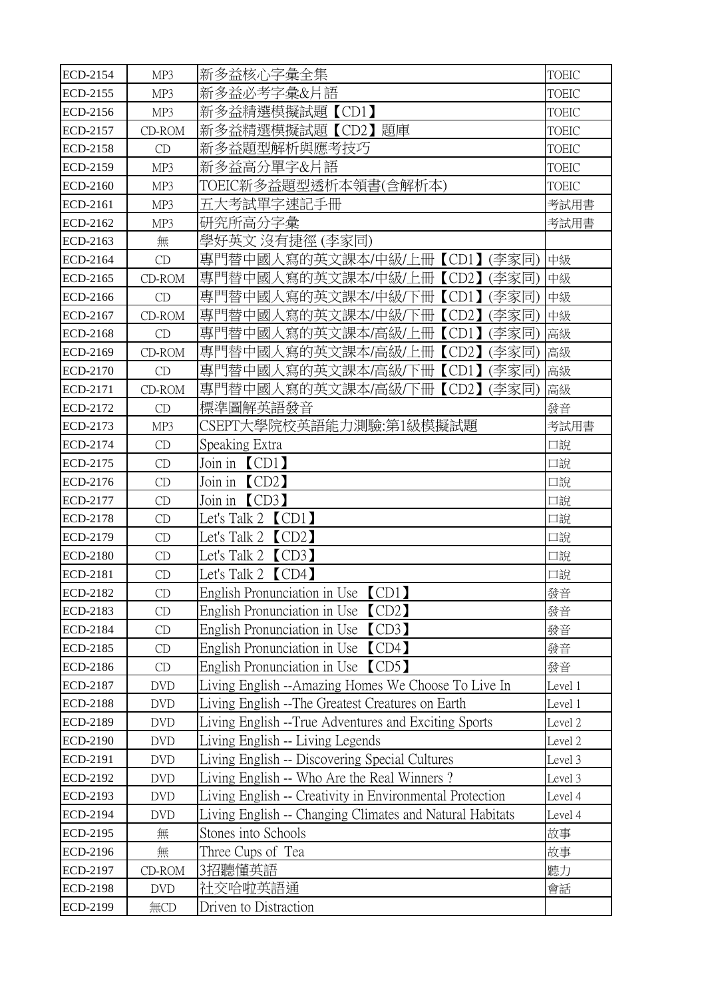| ECD-2154        | MP3        | 新多益核心字彙全集                                                | <b>TOEIC</b> |
|-----------------|------------|----------------------------------------------------------|--------------|
| ECD-2155        | MP3        | 新多益必考字彙&片語                                               | <b>TOEIC</b> |
| ECD-2156        | MP3        | 新多益精選模擬試題【CD1】                                           | <b>TOEIC</b> |
| ECD-2157        | CD-ROM     | 新多益精選模擬試題【CD2】題庫                                         | <b>TOEIC</b> |
| ECD-2158        | CD         | 新多益題型解析與應考技巧                                             | <b>TOEIC</b> |
| ECD-2159        | MP3        | 新多益高分單字&片語                                               | <b>TOEIC</b> |
| ECD-2160        | MP3        | TOEIC新多益題型透析本領書(含解析本)                                    | <b>TOEIC</b> |
| ECD-2161        | MP3        | 五大考試單字速記手冊                                               | 考試用書         |
| ECD-2162        | MP3        | 研究所高分字彙                                                  | 考試用書         |
| ECD-2163        | 無          | 學好英文 沒有捷徑 (李家同)                                          |              |
| ECD-2164        | CD         | 專門替中國人寫的英文課本/中級/上冊【CD1】(李家同)                             | 中級           |
| ECD-2165        | CD-ROM     | 專門替中國人寫的英文課本/中級/上冊<br>$\text{CD2}$<br>(李家同)              | 中級           |
| ECD-2166        | CD         | 專門替中國<br>人寫的英文課本/中級/<br>[CD1]<br>(李家同)<br>下冊             | 中級           |
| ECD-2167        | CD-ROM     | (李家同)<br>專門替中國<br>、寫的英文課本/中級/<br>下冊<br>$\text{CD2}$      | 中級           |
| ECD-2168        | CD         | 專門替中國<br>人寫的英文課本/高級/上冊<br>[CD1]<br>(李家同)                 | 高級           |
| ECD-2169        | CD-ROM     | 專門替中國<br>.寫的英文課本/高級/上冊<br>(李家同)<br>$\text{CD2}$          | 高級           |
| ECD-2170        | CD         | (李家同)<br>專門替中國<br>.寫的英文課本/高級/下冊<br>[CD1]                 | 高級           |
| ECD-2171        | CD-ROM     | 專門替中國人寫的英文課本/高級/下冊<br>$\text{CD2}$<br>(李家同)              | 高級           |
| ECD-2172        | CD         | 標準圖解英語發音                                                 | 發音           |
| ECD-2173        | MP3        | CSEPT大學院校英語能力測驗:第1級模擬試題                                  | 考試用書         |
| ECD-2174        | CD         | Speaking Extra                                           | 口說           |
| ECD-2175        | CD         | Join in $\text{CD1}$                                     | 口說           |
| ECD-2176        | CD         | Join in 【CD2】                                            | 口說           |
| ECD-2177        | CD         | Join in 【CD3】                                            | 口說           |
| ECD-2178        | CD         | Let's Talk 2<br>$\text{CD}1$                             | 口說           |
| ECD-2179        | CD         | Let's Talk 2<br>$\overline{CD2}$                         | 口說           |
| ECD-2180        | CD         | $\text{CD3}$<br>Let's Talk 2                             | 口說           |
| ECD-2181        | CD         | Let's Talk 2<br>$\text{CD4}$                             | 口說           |
| ECD-2182        | CD         | English Pronunciation in Use [CD1]                       | 發音           |
| ECD-2183        | CD         | English Pronunciation in Use [CD2]                       | 發音           |
| ECD-2184        | CD         | English Pronunciation in Use (CD3)                       | 發音           |
| ECD-2185        | CD         | English Pronunciation in Use [CD4]                       | 發音           |
| ECD-2186        | CD         | English Pronunciation in Use [CD5]                       | 發音           |
| ECD-2187        | <b>DVD</b> | Living English --Amazing Homes We Choose To Live In      | Level 1      |
| <b>ECD-2188</b> | <b>DVD</b> | Living English --The Greatest Creatures on Earth         | Level 1      |
| ECD-2189        | <b>DVD</b> | Living English --True Adventures and Exciting Sports     | Level 2      |
| ECD-2190        | <b>DVD</b> | Living English -- Living Legends                         | Level 2      |
| ECD-2191        | <b>DVD</b> | Living English -- Discovering Special Cultures           | Level 3      |
| ECD-2192        | <b>DVD</b> | Living English -- Who Are the Real Winners?              | Level 3      |
| ECD-2193        | <b>DVD</b> | Living English -- Creativity in Environmental Protection | Level 4      |
| ECD-2194        | <b>DVD</b> | Living English -- Changing Climates and Natural Habitats | Level 4      |
| ECD-2195        | 無          | Stones into Schools                                      | 故事           |
| ECD-2196        | 無          | Three Cups of Tea                                        | 故事           |
| ECD-2197        | CD-ROM     | 3招聽懂英語                                                   | 聽力           |
| <b>ECD-2198</b> | <b>DVD</b> | 社交哈啦英語通                                                  | 會話           |
| ECD-2199        | 無CD        | Driven to Distraction                                    |              |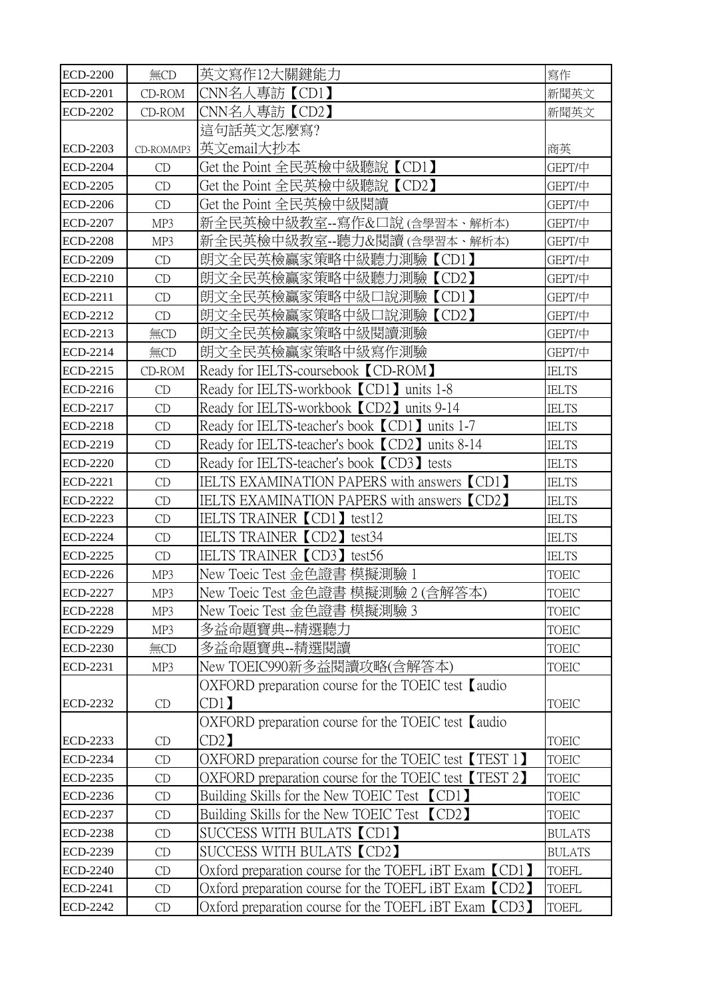| <b>ECD-2200</b> | 無CD        | 英文寫作12大關鍵能力                                                       | 寫作            |
|-----------------|------------|-------------------------------------------------------------------|---------------|
| ECD-2201        | CD-ROM     | CNN名人專訪【CD1】                                                      | 新聞英文          |
| <b>ECD-2202</b> | CD-ROM     | CNN名人專訪【CD2】                                                      | 新聞英文          |
|                 |            | 這句話英文怎麼寫?                                                         |               |
| ECD-2203        | CD-ROM/MP3 | 英文email大抄本                                                        | 商英            |
| <b>ECD-2204</b> | CD         | Get the Point 全民英檢中級聽說【CD1】                                       | GEPT/中        |
| <b>ECD-2205</b> | CD         | Get the Point 全民英檢中級聽說【CD2】                                       | GEPT/中        |
| <b>ECD-2206</b> | CD         | Get the Point 全民英檢中級閱讀                                            | GEPT/中        |
| <b>ECD-2207</b> | MP3        | 新全民英檢中級教室--寫作&口說 (含學習本、解析本)                                       | GEPT/中        |
| <b>ECD-2208</b> | MP3        | 新全民英檢中級教室--聽力&閱讀 (含學習本、解析本)                                       | GEPT/中        |
| ECD-2209        | CD         | 朗文全民英檢贏家策略中級聽力測驗【CD1】                                             | GEPT/中        |
| ECD-2210        | CD         | 朗文全民英檢贏家策略中級聽力測驗【CD2】                                             | GEPT/中        |
| ECD-2211        | CD         | 朗文全民英檢贏家策略中級口說測驗【CD1】                                             | GEPT/中        |
| ECD-2212        | CD         | 朗文全民英檢贏家策略中級口說測驗【CD2】                                             | GEPT/中        |
| ECD-2213        | 無CD        | 朗文全民英檢贏家策略中級閱讀測驗                                                  | GEPT/中        |
| ECD-2214        | 無CD        | 朗文全民英檢贏家策略中級寫作測驗                                                  | GEPT/中        |
| ECD-2215        | CD-ROM     | Ready for IELTS-coursebook CD-ROM                                 | <b>IELTS</b>  |
| ECD-2216        | CD         | Ready for IELTS-workbook CD1) units 1-8                           | <b>IELTS</b>  |
| ECD-2217        | CD         | Ready for IELTS-workbook <b>[CD2]</b> units 9-14                  | <b>IELTS</b>  |
| ECD-2218        | CD         | Ready for IELTS-teacher's book [CD1] units 1-7                    | <b>IELTS</b>  |
| ECD-2219        | CD         | Ready for IELTS-teacher's book (CD2) units 8-14                   | <b>IELTS</b>  |
| <b>ECD-2220</b> | CD         | Ready for IELTS-teacher's book (CD3) tests                        | <b>IELTS</b>  |
| ECD-2221        | CD         | IELTS EXAMINATION PAPERS with answers [CD1]                       | <b>IELTS</b>  |
| <b>ECD-2222</b> | CD         | IELTS EXAMINATION PAPERS with answers [CD2]                       | <b>IELTS</b>  |
| ECD-2223        | CD         | IELTS TRAINER CD1 ltest12                                         | <b>IELTS</b>  |
| <b>ECD-2224</b> | CD         | IELTS TRAINER <b>[CD2]</b> test34                                 | <b>IELTS</b>  |
| <b>ECD-2225</b> | CD         | IELTS TRAINER 【CD3】 test56                                        | <b>IELTS</b>  |
| ECD-2226        | MP3        | New Toeic Test 金色證書 模擬測驗 1                                        | <b>TOEIC</b>  |
| ECD-2227        | MP3        | New Toeic Test 金色證書 模擬測驗 2 (含解答本)                                 | <b>TOEIC</b>  |
| <b>ECD-2228</b> | MP3        | New Toeic Test 金色證書 模擬測驗 3                                        | <b>TOEIC</b>  |
| <b>ECD-2229</b> | MP3        | 多益命題寶典--精選聽力                                                      | <b>TOEIC</b>  |
| <b>ECD-2230</b> | 無CD        | 多益命題寶典--精選閱讀                                                      | <b>TOEIC</b>  |
| ECD-2231        | MP3        | New TOEIC990新多益閱讀攻略(含解答本)                                         | <b>TOEIC</b>  |
|                 |            | OXFORD preparation course for the TOEIC test $\blacksquare$ audio |               |
| ECD-2232        | CD         | $CD1$ )                                                           | <b>TOEIC</b>  |
|                 |            | OXFORD preparation course for the TOEIC test $\blacksquare$ audio |               |
| ECD-2233        | CD         | CD2                                                               | <b>TOEIC</b>  |
| ECD-2234        | CD         | OXFORD preparation course for the TOEIC test TEST 1               | <b>TOEIC</b>  |
| ECD-2235        | CD         | OXFORD preparation course for the TOEIC test TEST 2)              | <b>TOEIC</b>  |
| ECD-2236        | CD         | Building Skills for the New TOEIC Test [CD1]                      | <b>TOEIC</b>  |
| ECD-2237        | CD         | Building Skills for the New TOEIC Test [CD2]                      | <b>TOEIC</b>  |
| <b>ECD-2238</b> | CD         | SUCCESS WITH BULATS (CD1)                                         | <b>BULATS</b> |
| ECD-2239        | CD         | SUCCESS WITH BULATS <i>[CD2]</i>                                  | <b>BULATS</b> |
| ECD-2240        | CD         | Oxford preparation course for the TOEFL iBT Exam (CD1)            | <b>TOEFL</b>  |
| ECD-2241        | CD         | Oxford preparation course for the TOEFL iBT Exam (CD2)            | <b>TOEFL</b>  |
| ECD-2242        | CD         | Oxford preparation course for the TOEFL iBT Exam (CD3)            | <b>TOEFL</b>  |